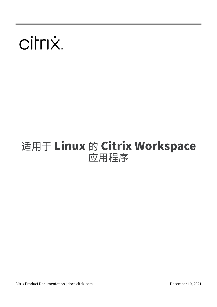# citrix.

# 适用于 **Linux** 的 **Citrix Workspace** 应用程序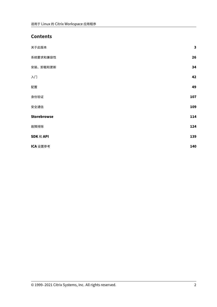# **Contents**

| 关于此版本              | $\mathbf{3}$ |
|--------------------|--------------|
| 系统要求和兼容性           | 26           |
| 安装、卸载和更新           | 34           |
| 入门                 | 42           |
| 配置                 | 49           |
| 身份验证               | 107          |
| 安全通信               | 109          |
| <b>Storebrowse</b> | 114          |
| 故障排除               | 124          |
| SDK 和 API          | 139          |
| ICA 设置参考           | 140          |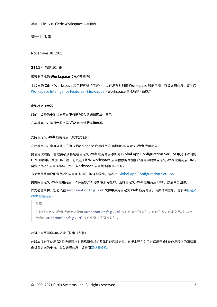关于此版本

<span id="page-2-0"></span>November 30, 2021

# **2111** 中的新增功能

# 带智能功能的 **Workspace**(技术预览版)

本版本的 Citrix Workspace 应用程序进行了优化,以在发布时利用 Workspace 智能功能。有关详细信息,请参阅 Workspace Intelligence Features - Microapps (Workspace 智能功能 - 微应用)。

# [电池状态指示器](https://docs.citrix.com/zh-cn/tech-zone/learn/tech-briefs/workspace-microapps.html)

以前,设备的电池状态不在服务器 VDA 的通知区域中显示。

在本版本中,将显示服务器 VDA 的电池状态指示器。

支持自定义 **Web** 应用商店(技术预览版)

在此版本中,您可以通过 Citrix Workspace 应用程序访问贵组织的自定义 Web 应用商店。

要使用此功能,管理员必须将域或自定义 Web 应用商店添加到 Global App Configuration Service 中允许访问的 URL 列表中。添加 URL 后,可以在 Citrix Workspace 应用程序的添加帐户屏幕中提供自定义 Web 应用商店 URL。 自定义 Web 应用商店将在本机 Workspace 应用程序窗口中打开。

有关为最终用户配置 Web 应用商店 URL 的详细信息,请参阅 Global App Configuration Service。

要删除自定义 Web 应用商店,请转至帐户 > 添加或删除帐户,选择自定义 Web 应用商店 URL,然后单击删除。

作为必备条件,您必须在 AuthManConfig.xml 文件中启用自定义 Web [应用商店。有关详细信息](https://developer.cloud.com/citrixworkspace/server-integration/global-app-configuration-service/docs/getting-started),请参阅自定义 Web 应用商店。

注意:

[只能对自定](https://docs.citrix.com/zh-cn/citrix-workspace-app-for-linux/get-started.html#custom-web-stores)义 Web 应用商店使用 AuthManConfig.xml 文件中列出的 URL。可以在要为自定义 Web [应用](https://docs.citrix.com/zh-cn/citrix-workspace-app-for-linux/get-started.html#custom-web-stores) 商店的 AuthManConfig.xml 文件中添加不同的 URL。

# 改进了网络摄像机的功能(技术预览版)

此版本提升了使用 32 位应用程序时网络摄像机的整体性能和稳定性。该版本还引入了对适用于 64 位应用程序的网络摄 像机重定向的支持。有关详细信息,请参阅网络摄像机。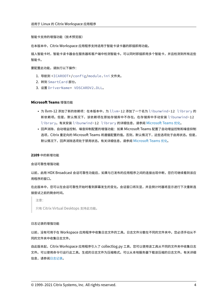智能卡支持的增强功能(技术预览版)

在本版本中,Citrix Workspace 应用程序支持适用于智能卡读卡器的即插即用功能。

插入智能卡时,智能卡读卡器会在服务器和客户端中检测智能卡。可以同时即插即用多个智能卡,并且检测到所有这些 智能卡。

要配置此功能,请执行以下操作:

- 1. 导航到 <ICAROOT>/config/module.ini 文件夹。
- 2. 转到 SmartCard 部分。
- 3. 设置 DriverName= VDSCARDV2.DLL。

# **Microsoft Teams** 增强功能

- 为 llvm-12 添加了新的依赖项: 在本版本中,为 llvm-12 添加了一个名为 libunwind-12 library 的 新依赖项。但是,默认情况下,该依赖项在原始存储库中不存在。在存储库中手动安装 libunwind-12 library。有关安装 libunwind-12 library 的详细信息,请参阅 Microsoft Teams 优化。
- 回声消除、自动增益控制、噪音抑制配置的增强功能:如果 Microsoft Teams 配置了自动增益控制和噪音抑制 选项,Citrix 重定向的 Microsoft Teams 将遵循配置的值。否则,默认情况下,这些选项处于启用状态。但是, 默认情况下,回声消除选项处于禁用状态。有关详细信息,请参阅 Micros[oft Teams](https://docs.citrix.com/zh-cn/citrix-workspace-app-for-linux/configure-xenapp.html#optimization-for-microsoft-teams) 优化。

# **2109** 中的新增功能

会话可靠性增强功能

以前,启用 HDX Broadcast 会话可靠性功能后,如果与已发布的应用程序之间的连接出现中断,您仍可继续看到该应 用程序的窗口。

在此版本中,您可以在会话可靠性开始时看到屏幕发生的变化。会话窗口将灰显,并且倒计时器将显示进行下次重新连 接尝试之前的剩余时间。

注意:

只有 Citrix Virtual Desktops 支持此功能。

#### 日志记录的增强功能

以前,没有可用于在 Workspace 应用程序中收集日志文件的工具。日志文件分散在不同的文件夹中。您必须手动从不 同的文件夹中收集日志文件。

自此版本起,Citrix Workspace 应用程序引入了 collectlog.py 工具,您可以使用该工具从不同的文件夹中收集日志 文件。可以使用命令行运行此工具。生成的日志文件为压缩格式。可以从本地服务器下载该压缩的日志文件。有关详细 信息,请参阅日志记录。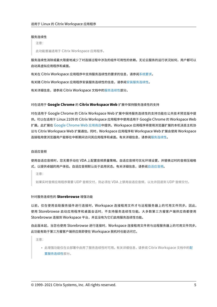#### 服务连续性

注意:

此功能普遍适用于 Citrix Workspace 应用程序。

服务连续性消除或最大限度地减少了对连接过程中涉及的组件可用性的依赖。无论云服务的运行状况如何,用户都可以 启动其虚拟应用程序和桌面。

有关在 Citrix Workspace 应用程序中支持服务连续性的要求的信息,请参阅系统要求。

有关随 Citrix Workspace 应用程序安装服务连续性的信息,请参阅安装服务连续性。

有关详细信息,请参阅 Citrix Workspace 文档中的服务连续性部分。

#### 对在适用于 **Google Chrome** 的 **Citrix Worksp[ace Web](https://docs.citrix.com/en-us/citrix-workspace/service-continuity.html)** 扩展中保持服务连续性的支持

对在适用于 Google Chrome 的 Citrix Workspace Web 扩展中保持服务连续性的支持功能在公共技术预览版中提 供。可以在适用于 Linux 2109 的 Citrix Workspace 应用程序中使用适用于 Google Chrome 的 Workspace Web 扩展。此扩展在 Google Chrome Web 应用商店中提供。Workspace 应用程序将使用浏览器扩展的本机消息主机协 议与 Citrix Workspace Web 扩展通信。同时,Workspace 应用程序和 Workspace Web 扩展会使用 Workspace 连接租用使浏览器用户能够在中断期间访问其应用程序和桌面。有关详细信息,请参阅服务连续性。

#### 自适应音频

使用自适应音频时,您无需手动在 VDA 上配置音频质量策略。自适应音频可优化环境设置,并替换过时的音频压缩格 式,以提供卓越的用户体验。自适应音频默认处于启用状态。有关详细信息,请参阅自适应音频。

注意:

如果实时音频应用程序需要 UDP 音频交付,则必须在 VDA 上禁用自适应音频,[以允许回退到](https://docs.citrix.com/zh-cn/citrix-virtual-apps-desktops/multimedia/audio.html#adaptive-audio) UDP 音频交付。

#### 针对服务连续性的 **Storebrowse** 增强功能

以前,仅在使用自助服务插件进行连接时,Workspace 连接租用文件才与远程服务器上的可用文件同步。因此, 使用 Storebrowse 启动应用程序和桌面会话时,不支持服务连续性功能。大多数第三方瘦客户端供应商都使用 Storebrowse 连接到 Workspace 平台,并且没有为它们启用服务连续性功能。

自此版本起,当您也使用 Storebrowse 进行连接时,Workspace 连接租用文件将与远程服务器上的可用文件同步。 此功能有助于第三方瘦客户端供应商即使在 Workspace 脱机时也能访问它。

注意:

• 此增强功能仅在云部署中启用了服务连续性时可用。有关详细信息,请参阅 Citrix Workspace 文档中的配 置服务连续性部分。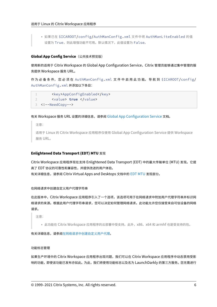• 如果已在 \$ICAROOT/config/AuthManConfig.xml 文件中将 AuthManLiteEnabled 的值 设置为 True, 则此增强功能不可用。默认情况下, 此值设置为 False。

# **Global App Config Service**(公共技术预览版)

使用新的适用于 Citrix Workspace 的 Global App Configuration Service,Citrix 管理员能够通过集中管理的服 务提供 Workspace 服务 URL。

作 为 必 备 条 件, 您 必 须 在 AuthManConfig.xml 文 件 中 启 用 此 功 能。 导 航 到 \$ICAROOT/config/ AuthManConfig.xml 并添加以下条目:

```
1 <key>AppConfigEnabled</key>
2 <value> true </value>
3 <!--NeedCopy-->
```
# 有关 Workspace 服务 URL 设置的详细信息,请参阅 Global App Configuration Service 文档。

注意:

适用于 Linux 的 Citrix Workspace 应用程序仅使用 [Global App Configuration Servi](https://developer.cloud.com/citrixworkspace/server-integration/global-app-configuration-service/docs/overview)ce 提供 Workspace 服务 URL。

# **Enlightened Data Transport (EDT) MTU** 发现

Citrix Workspace 应用程序现在支持 Enlightened Data Transport (EDT) 中的最大传输单位 (MTU) 发现。它提 高了 EDT 协议的可靠性和兼容性,并提供改进的用户体验。 有关详细信息,请参阅 Citrix Virtual Apps and Desktops 文档中的 EDT MTU 发现部分。

在网络请求中创建自定义用户代理字符串

在此版本中,Citrix Workspace 应用程序引入了一个选项,该选项可用于在网络请求中附加用户代理字符串并标识网 络请求的来源。根据此用户代理字符串请求,您可以决定如何管理网络请求。此功能允许您仅接受来自可信设备的网络 请求。

注意:

• 此功能在 Citrix Workspace 应用程序的云部署中受支持。此外,x86、x64 和 armhf 也是受支持的包。

有关详细信息,请参阅在网络请求中创建自定义用户代理。

功能标志管理

如果生产环境中的 Citrix Workspace 应用程序出现问题,我们可以在 Citrix Workspace 应用程序中动态禁用受影 响的功能,即使该功能已发布亦如此。为此,我们将使用功能标志以及名为 LaunchDarkly 的第三方服务。您无需进行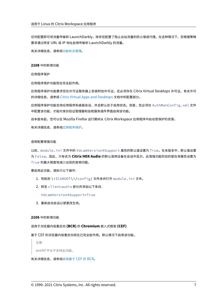任何配置即可将流量传输到 LaunchDarkly,除非您配置了阻止出站流量的防火墙或代理。在这种情况下,您根据策略 要求通过特定 URL 或 IP 地址启用传输到 LaunchDarkly 的流量。

有关详细信息,请参阅功能标志管理。

**2108** 中的新增功能

应用程序保护

应用程序保护功能现在完全起作用。

应用程序保护功能要求您在许可证服务器上安装附加许可证。还必须存在 Citrix Virtual Desktops 许可证。有关许可 的详细信息,请参阅 Citrix Virtual Apps and Desktops 文档中的配置部分。

应用程序保护功能支持应用程序和桌面会话,并且默认处于启用状态。但是,您必须在 AuthManConfig.xml 文件 中配置该功能,才能对身份验证管理器和自助服务插件界面启用该功能。

自本版本起,您可以在 [Mozilla Firefox](https://docs.citrix.com/zh-cn/citrix-virtual-apps-desktops.html) 运行期间从 Citrix Workspace 应用程序中启动受保护的资源。

有关详细信息,请参阅应用程序保护。

#### 音频配置增强功能

以前, module.ini 文件中的 VdcamVersion4Support 属性的默认值设置为 True。在本版本中,默认值设置 为 False。因此,只有名为 **Citrix HDX Audio** 的默认音频设备在会话中显示。此增强功能的目的是在将属性设置为 True 时最大限度地减少出现的音频问题。

要启用此功能,请执行以下操作:

- 1. 导航到 \<ICAROOT\>/config/ 文件夹并打开 module.ini 文件。
- 2. 转至 clientaudio 部分并添加以下条目:

VdcamVersion4Support=True

3. 重新启动会话以使更改生效。

#### **2106** 中的新增功能

# 适用于浏览器内容重定向 **(BCR)** 的 **Chromium** 嵌入式框架 **(CEF)**

# 基于 CEF 的浏览器内容重定向现在已完全起作用。默认情况下启用该功能。

注意:

armhf 平台不支持此功能。

有关详细信息,请参阅启用基于 CEF 的 BCR。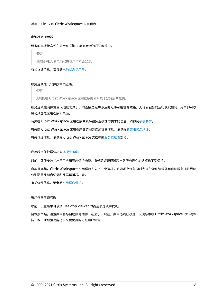# 电池状态指示器

# 设备的电池状态现在显示在 Citrix 桌面会话的通知区域中。

注意:

服务器 VDA 的电池状态指示灯不会显示。

有关详细信息,请参阅电池状态指示器。

# 服务连续性(公共技术[预览版\)](https://docs.citrix.com/zh-cn/citrix-workspace-app-for-linux/configure-xenapp.html#battery-status-indicator)

注意:

此功能在 Citrix Workspace 应用程序的公开技术预览版中提供。

服务连续性消除或最大限度地减少了对连接过程中涉及的组件可用性的依赖。无论云服务的运行状况如何,用户都可以 启动其虚拟应用程序和桌面。

有关在 Citrix Workspace 应用程序中支持服务连续性的要求的信息,请参阅系统要求。

有关随 Citrix Workspace 应用程序安装服务连续性的信息,请参阅安装服务连续性。

有关详细信息,请参阅 Citrix Workspace 文档中的服务连续性部分。

应用程序保护增强功能 实验性功能

以前,即使安装并启用了应用程序保护功能,身份验证管理器和自助服务插件对话框也不受保护。

自本版本起,Citrix W[orkspace](https://docs.citrix.com/zh-cn/citrix-workspace-app-for-linux/whats-new.html#experimental-features) 应用程序引入了一个选项,该选项允许您同时为身份验证管理器和自助服务插件界面 分别配置反键盘记录和反屏幕捕获功能。

有关详细信息,请参阅应用程序保护。

## 用户界面增强功能

以前,设置菜单可以从 Desktop Viewer 的首选项选项中找到。

自本版本起,设置菜单将与自助服务插件一起显示。现在,菜单选项已改进,以便与本机 Citrix Workspace 的外观保 持一致。此增强功能将带来更优异的无缝用户体验。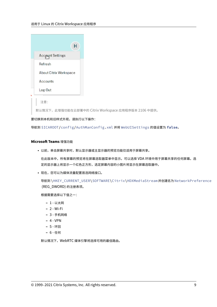| н                             |
|-------------------------------|
| <b>Account Settings</b>       |
| Refresh                       |
| <b>About Citrix Workspace</b> |
| Accounts                      |
| Log Out                       |
|                               |
| 注意:                           |

默认情况下,此增强功能在云部署中的 Citrix Workspace 应用程序版本 2106 中提供。

# 要切换到本机和旧样式外观,请执行以下操作:

导航到 \$ICAROOT/config/AuthManConfig.xml 并将 WebUISettings 的值设置为 **false**。

# **Microsoft Teams** 增强功能

• 以前,单击屏幕共享时,默认显示器或主显示器的预览功能仅适用于屏幕共享。

在此版本中,所有屏幕的预览将在屏幕选取器菜单中显示。可以选择 VDA 环境中用于屏幕共享的任何屏幕。选 定的显示器上将显示一个红色正方形,选定屏幕内容的小图片将显示在屏幕选取器中。

• 现在,您可以为媒体流量配置首选网络接口。

```
导航到 \HKEY_CURRENT_USER\SOFTWARE\Citrix\HDXMediaStream 并创建名为 NetworkPreference
(REG_DWORD) 的注册表项。
```
根据需要选择以下值之一:

- **–** 1 ‑ 以太网
- **–** 2 ‑ Wi‑Fi
- **–** 3 ‑ 手机网络
- **–** 4 ‑ VPN
- **–** 5 ‑ 环回
- **–** 6 ‑ 任何

默认情况下,WebRTC 媒体引擎将选择可用的最佳路由。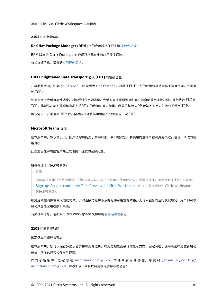**2104** 中的新增功能

# **Red Hat Package Manager (RPM)** 上的应用程序保护支持 实验性功能

RPM 版本的 Citrix Workspace 应用程序现在支持应用程序保护。

有关详细信息,请参阅应用程序保护。

# **HDX Enlightened [Data Transp](https://docs.citrix.com/zh-cn/citrix-workspace-app-for-linux/configure-xenapp.html#app-protection)ort** 协议 **(EDT)** 的增强功能

在早期版本中,如果将 HDXoverUDP 设置为 Preferred,则通过 EDT 进行的数据传输将用作主数据传输,并回退 到 TCP。

如果启用了会话可靠性功能,则将尝试在初始连接、会话可靠性重新连接和客户端自动重新连接过程中并行执行 EDT 和 TCP。此增强功能可缩短首选项为 EDT 时的连接时间。但是,所需的基础 UDP 传输不可用,并且必须使用 TCP。

默认情况下,回退到 TCP 后,自适应传输将继续每隔 5 分钟搜寻一次 EDT。

# **Microsoft Teams** 优化

在本版本中,默认情况下,回声消除功能处于禁用状态。我们建议您不要使用内置扬声器和麦克风进行通话。请改为使 用耳机。

此修复旨在解决瘦客户端上发现的不连贯的音频问题。

服务连续性(技术预览版)

注意:

此功能在技术预览版中提供。Citrix 建议仅在非生产环境中使用此功能。要进行注册,请使用以下 Podio 表单: Sign up: Service continuity Tech Preview for Citrix Workspace(注册:服务连续性 Citrix Workspace 的技术预览版)。

服务连续性消除或最大限度地减少了对连接过程中涉及的组件可用性的依赖。无论云服务的运行状况如何,用户都可以 启[动其虚拟应用程序和桌面。](https://podio.com/webforms/25148648/1854298)

有关详细信息,请参阅 Citrix Workspace 文档中的服务连续性部分。

## **2103** 中的新增功能

固定多显示器屏幕布局

在本版本中,您可以保存多显示器屏幕布局的选择。布局是指桌面会话的显示方式。固定有助于使用所选布局重新启动 会话,从而获得优化的用户体验。

作 为 必 备 条 件, 您 必 须 在 AuthManConfig.xml 文 件 中 启 用 此 功 能。 导 航 到 \$ICAROOT/config/ AuthManConfig.xml 并添加以下条目以启用固定屏幕布局功能: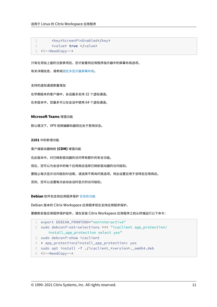```
1 <key>ScreenPinEnabled</key>
2 <value> true </value>
3 <!--NeedCopy-->
```
只有在添加上面的注册表项后,您才能看到应用程序指示器中的屏幕布局选项。

有关详细信息,请参阅固定多显示器屏幕布局。

#### 支持的虚拟通道数量增[加](https://docs.citrix.com/zh-cn/citrix-workspace-app-for-linux/configure-xenapp.html#pinning-multi-monitor-screen-layout)

在早期版本的客户端中,会话最多支持 32 个虚拟通道。

在本版本中,您最多可以在会话中使用 64 个虚拟通道。

# **Microsoft Teams** 增强功能

默认情况下,VP9 视频编解码器现在处于禁用状态。

### **2101** 中的新增功能

客户端驱动器映射 **(CDM)** 增强功能

在此版本中,对已映射驱动器的访问带有额外的安全功能。

现在,您可以为会话中的每个应用商店选择已映射驱动器的访问级别。

要阻止每次显示访问级别对话框,请选择不再询问我选项。将此设置应用于该特定应用商店。

否则,您可以设置每次启动会话时显示的访问级别。

#### **Debian** 软件包支持应用程序保护 实验性功能

Debian 版本的 Citrix Workspace 应用程序现在支持应用程序保护。

要静默安装应用程序保护组件,请在安装 [Citri](https://docs.citrix.com/zh-cn/citrix-workspace-app-for-linux/whats-new.html#experimental-features)x Workspace 应用程序之前从终端运行以下命令:

```
1 export DEBIAN_FRONTEND="noninteractive"
2 sudo debconf-set-selections <<< "icaclient app_protection/
     install_app_protection select yes"
3 sudo debconf-show icaclient
4 * app_protection/install_app_protection: yes
5 sudo apt install -f ./icaclient_<version>._amd64.deb
6 <!--NeedCopy-->
```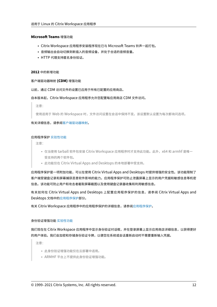# **Microsoft Teams** 增强功能

- Citrix Workspace 应用程序安装程序现在已与 Microsoft Teams 铃声一起打包。
- 音频输出会自动切换到新插入的音频设备,并处于合适的音频音量。
- HTTP 代理支持匿名身份验证。

#### **2012** 中的新增功能

#### 客户端驱动器映射 **(CDM)** 增强功能

以前,通过 CDM 访问文件的设置已应用于所有已配置的应用商店。

#### 自本版本起,Citrix Workspace 应用程序允许您配置每应用商店 CDM 文件访问。

注意:

使用适用于 Web 的 Workspace 时,文件访问设置在会话中保持不变。该设置默认设置为每次都询问选项。

有关详细信息,请参阅客户端驱动器映射。

#### 应用程序保护 实验性[功能](https://docs.citrix.com/zh-cn/citrix-workspace-app-for-linux/configure-xenapp.html#client-drive-mapping)

注意:

- 仅当使用 tarball 软件包安装 Citrix Workspace 应用程序时才支持此功能。此外,x64 和 armhf 是唯一 受[支持的两个软](https://docs.citrix.com/zh-cn/citrix-workspace-app-for-linux/whats-new.html#experimental-features)件包。
- 此功能仅在 Citrix Virtual Apps and Desktops 的本地部署中受支持。

应用程序保护是一项附加功能,可以在使用 Citrix Virtual Apps and Desktops 时提供增强的安全性。该功能限制了 客户端受键盘记录和屏幕捕获恶意软件影响的能力。应用程序保护可防止泄露屏幕上显示的用户凭据和敏感信息等机密 信息。该功能可防止用户和攻击者截取屏幕截图以及使用键盘记录器收集和利用敏感信息。

有关如何在 Citrix Virtual Apps and Desktops 上配置应用程序保护的信息,请参阅 Citrix Virtual Apps and Desktops 文档中的应用程序保护部分。

有关 Citrix Workspace 应用程序中的应用程序保护的详细信息,请参阅应用程序保护。

#### 身份验证增强功能 实验性功能

我们现在在 Citrix Workspace 应用程序中显示身份验证对话框,并在登录屏幕上显示应用商店详细信息,以获得更好 的用户体验。我们[会加密和存储](https://docs.citrix.com/zh-cn/citrix-workspace-app-for-linux/whats-new.html#experimental-features)身份验证令牌,以便您在系统或会话重新启动时不需要重新输入凭据。

注意:

- 此身份验证增强功能仅在云部署中适用。
- ARMHF 平台上不提供此身份验证增强功能。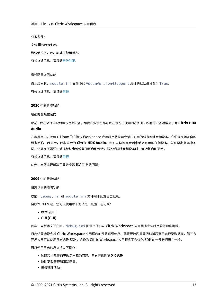必备条件:

安装 libsecret 库。

默认情况下,此功能处于禁用状态。

有关详细信息,请参阅身份验证。

音频配置增强功能

自本版本起,module.ini 文件中的 VdcamVersion4Support 属性的默认值设置为 True。

有关详细信息,请参阅音频。

#### **2010** 中的新增功能

#### 增强的音频重定向

以前,仅在会话中映射默认音频设备,即使许多设备都可以在设备上使用时亦如此。映射的设备通常显示为 **Citrix HDX Audio**.

在本版本中,适用于 Linux 的 Citrix Workspace 应用程序将显示会话中可用的所有本地音频设备。它们现在随各自的 设备名称一起显示,而非显示为 **Citrix HDX Audio**。您可以切换到会话中动态可用的任何设备。与在早期版本中不 同,您现在不需要先选择默认音频设备即可启动会话。插入或移除音频设备时,会话将自动更新。

有关详细信息,请参阅音频。

此外,本版本还解决了改进多流 ICA 功能的问题。

**2009** 中的新增功能

日志记录的增强功能

以前, debug.ini 和 module.ini 文件用于配置日志记录。

自版本 2009 起,您可以使用以下方法之一配置日志记录:

- 命令行接口
- GUI (GUI)

同样,自版本 2009 起,debug.ini 配置文件已从 Citrix Workspace 应用程序安装程序软件包中删除。

日志记录功能会将 Citrix Workspace 应用程序的部署详细信息、配置更改和管理活动捕获到日志记录数据库。第三方 开发人员可以使用日志记录 SDK, 这作为 Citrix Workspace 应用程序平台优化 SDK 的一部分捆绑在一起。

可以使用日志信息执行以下操作:

- 诊断和排除任何更改后出现的问题。日志提供浏览路径记录。
- 协助更改管理和跟踪配置。
- 报告管理活动。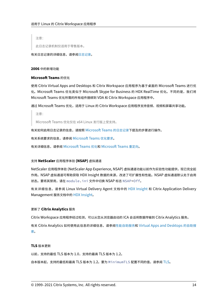注意:

此日志记录机制仅适用于零售版本。

有关日志记录的详细信息,请参阅日志记录。

**2006** 中的新增功能

# **Microsoft Teams** 的优化

使用 Citrix Virtual Apps and Desktops 和 Citrix Workspace 应用程序为基于桌面的 Microsoft Teams 进行优 化。Microsoft Teams 优化类似于 Microsoft Skype for Business 的 HDX RealTime 优化。不同的是,我们将 Microsoft Teams 优化所需的所有组件捆绑到 VDA 和 Citrix Workspace 应用程序中。

通过 Microsoft Teams 优化,适用于 Linux 的 Citrix Workspace 应用程序支持音频、视频和屏幕共享功能。

注意:

Microsoft Teams 优化仅在 x64 Linux 发行版上受支持。

有关如何启用日志记录的信息,请按照 Microsoft Teams 的日志记录下提及的步骤进行操作。

有关系统要求的信息,请参阅 Microsoft Teams 优化要求。

有关详细信息,请参阅 Microsoft Teams 优化和 [Microsoft Teams](https://docs.citrix.com/zh-cn/citrix-workspace-app-for-linux/configure-xenapp.html#logging-for-microsoft-teams) 重定向。

# 支持 **NetScaler** 应用程序体验 **[\(NSAP\)](https://docs.citrix.com/zh-cn/citrix-virtual-apps-desktops/multimedia/opt-ms-teams.html)** 虚拟通道

NetScaler 应用程序体验 (NetScaler App Expe[rience, NSAP\)](https://docs.citrix.com/zh-cn/citrix-virtual-apps-desktops/policies/reference/ica-policy-settings/multimedia-policy-settings.html#microsoft-teams-redirection) 虚拟通道功能以前作为实验性功能提供, 现已完全起 作用。NSAP 虚拟通道可帮助获取 HDX Insight 数据的来源,改进了可扩展性和性能。NSAP 虚拟通道默认处于启用 状态。要将其禁用,请在 module.ini 文件中切换 NSAP 标志 NSAP=Off。

有关详细信息,请参阅 Linux Virtual Delivery Agent 文档中的 HDX Insight 和 Citrix Application Delivery Management 服务文档中的 HDX Insight。

# 更新了 **Citrix Analytics** 服务

Citrix Workspace 应用程序[经过检测,可以](https://docs.citrix.com/zh-cn/citrix-application-delivery-management-service/analytics/hdx-insight.html)从您从浏览器启动的 ICA 会话将数据传输到 Citrix Analytics 服务。

有关 Citrix Analytics 如何使用此信息的详细信息,请参阅性能自助服务和 Virtual Apps and Desktops 的自助搜 索。

# **[TL](https://docs.citrix.com/zh-cn/security-analytics/self-service-search/self-service-search-virtual-apps-desktops.html)S** 版本更新

以前,支持的最低 TLS 版本为 1.0,支持的最高 TLS 版本为 1.2。

自本版本起,支持的最低和最高 TLS 版本为 1.2。要为 MinimumTLS 配置不同的值,请参阅 TLS。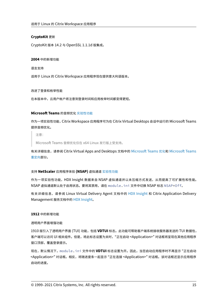# **CryptoKit** 更新

CryptoKit 版本 14.2 与 OpenSSL 1.1.1d 版集成。

#### **2004** 中的新增功能

语言支持

适用于 Linux 的 Citrix Workspace 应用程序现在提供意大利语版本。

# 改进了登录和枚举性能

在本版本中,云用户帐户将注意到登录时间和应用枚举时间都变得更短。

# **Microsoft Teams** 的音频优化 实验性功能

作为一项实验性功能,Citrix Workspace 应用程序可为在 Citrix Virtual Desktops 会话中运行的 Microsoft Teams 提供音频优化。

注意:

Microsoft Teams 音频优化仅在 x64 Linux 发行版上受支持。

有关详细信息,请参阅 Citrix Virtual Apps and Desktops 文档中的 Microsoft Teams 优化和 Microsoft Teams 重定向部分。

# 支持 **[N](https://docs.citrix.com/zh-cn/citrix-virtual-apps-desktops/policies/reference/ica-policy-settings/multimedia-policy-settings.html#microsoft-teams-redirection)etScaler** 应用程序体验 **(NSAP)** 虚拟通道 实验性功能

作为一项实验性功能,HDX Insight 数据来自 NSAP 虚拟通道并以未压缩方式发送,从而提高了可扩展性和性能。 NSAP 虚拟通道默认处于启用状态。要将其禁用,请在 [modul](https://docs.citrix.com/zh-cn/citrix-workspace-app-for-linux/whats-new.html#experimental-features)e.ini 文件中切换 NSAP 标志 NSAP=Off。

有关详细信息,请参阅 Linux Virtual Delivery Agent 文档中的 HDX Insight 和 Citrix Application Delivery Management 服务文档中的 HDX Insight。

#### **1912** 中的新增功能

# 透明用户界面增强功能

1910 版引入了透明用户界面 (TUI) 功能,包括 **VDTUI** 标志。此功能可帮助客户端系统接收服务器发送的 TUI 数据包, 客户端可以访问 UI 相关组件。但是,将此标志设置为关时,"正在启动 <Application>" 对话框将呈现在其他应用程序 窗口顶部,覆盖登录提示。

现在,默认情况下,module.ini 文件中的 **VDTUI** 标志设置为开。因此,当您启动应用程序时不再显示 "正在启动 <Application>" 对话框。相反,将随进度条一起显示 "正在连接 <Application>" 对话框。该对话框还显示应用程序 启动的进度。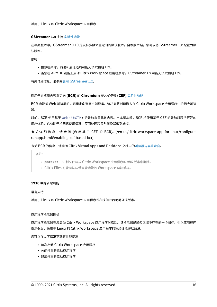# **GStreamer 1.x** 支持 实验性功能

在早期版本中,GStreamer 0.10 是支持多媒体重定向的默认版本。自本版本起,您可以将 GStreamer 1.x 配置为默 认版本。

限制:

- 播放视频时,前进和后退选项可能无法按预期工作。
- 当您在 ARMHF 设备上启动 Citrix Workspace 应用程序时,GStreamer 1.x 可能无法按预期工作。

有关详细信息,请参阅启用 GStreamer 1.x。

适用于浏览器内容重定向 **(BCR)** 的 **[Chrom](https://docs.citrix.com/zh-cn/citrix-workspace-app-for-linux/configure-xenapp.html#enabling-gstreamer-1x)ium** 嵌入式框架 **(CEF)** 实验性功能

BCR 功能将 Web 浏览器的内容重定向到客户端设备。该功能将创建嵌入在 Citrix Workspace 应用程序中的相应浏览 器。

以前,[BCR](https://docs.citrix.com/zh-cn/citrix-workspace-app-for-linux/whats-new.html#experimental-features) 使用基于 WebkitGTK+ 的叠加来呈现该内容。自本版本起,BCR 将使用基于 CEF 的叠加以获得更好的 用户体验。它有助于将网络使用情况、页面处理和图形渲染卸载到端点。

有关详细信息,请参阅 [启用基于 CEF 的 BCR]。(/en-us/citrix-workspace-app-for-linux/configurexenapp.html#enabling‑cef‑based‑bcr)

有关 BCR 的信息,请参阅 Citrix Virtual Apps and Desktops 文档中的浏览器内容重定向。

备注:

- **pacexec** 二进制文件将从 Citrix Workspace 应用程序的 x86 [版本中删除。](https://docs.citrix.com/zh-cn/citrix-virtual-apps-desktops/multimedia/browser-content-redirection.html)
- Citrix Files 可能无法与带智能功能的 Workspace 功能兼容。

### **1910** 中的新增功能

语言支持

适用于 Linux 的 Citrix Workspace 应用程序现在提供巴西葡萄牙语版本。

#### 应用程序指示器图标

应用程序指示器在您启动 Citrix Workspace 应用程序时启动。该指示器是通知区域中存在的一个图标。引入应用程序 指示器后,适用于 Linux 的 Citrix Workspace 应用程序的登录性能得以改进。

您可以在以下情况下观察性能提高:

- 首次启动 Citrix Workspace 应用程序
- 关闭并重新启动应用程序
- 退出并重新启动应用程序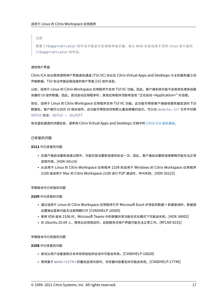注意:

需要 libappindicator 软件包才能显示应用程序指示器。请从 Web 安装适用于您的 Linux 发行版的 libappindicator 软件包。

# 透明用户界面

Citrix ICA 协议使用透明用户界面虚拟通道 [TUI VC] 协议在 Citrix Virtual Apps and Desktops 与主机服务器之间 传输数据。TUI 协议传输远程连接的用户界面 [UI] 组件消息。

以前,适用于 Linux 的 Citrix Workspace 应用程序不支持 TUI VC 功能。因此,客户端系统可能不会高效处理来自服 务器的 UI 组件数据。因此,尝试启动应用程序时,其他应用程序顶部将呈现 "正在启动 <Application>" 对话框。

现在,适用于 Linux 的 Citrix Workspace 应用程序支持 TUI VC 功能。此功能可帮助客户端接收服务器发送的 TUI 数据包,客户端可以访问 UI 相关组件。此功能可帮助您控制默认叠加屏幕的显示。可以在 module.ini 文件中切换 VDTUI 标志: VDTUI - On/Off

有关虚拟通道的详细信息,请参阅 Citrix Virtual Apps and Desktops 文档中的 Citrix ICA 虚拟通道。

# 已修复的问题

**2111** 中已修复的问题

- 在客户端自动重新连接过程中,可能仅尝试重新连接到会话一次。因此,客户端自动重新连接策略可能无法正常 发挥作用。[HDX‑34114]
- 从适用于 Linux 的 Citrix Workspace 应用程序 2109 到适用于 Windows 的 Citrix Workspace 应用程序 2109 或适用于 Mac 的 Citrix Workspace 2109 进行 P2P 通话时,呼叫失败。[HDX‑35223]

#### 早期版本中已修复的问题

# **2109** 中已修复的问题

- 通过适用于 Linux 的 Citrix Workspace 应用程序打开 Microsoft Excel 并导航到数据 > 新建查询时,数据源 设置弹出菜单可能无法按预期打开 [CVADHELP‑16509]
- 使用 VDA 版本 2106 时,Microsoft Teams 中的屏幕共享功能在优化模式下可能会失败。[HDX-34002]
- 在 Ubuntu 20.04 上,使用云应用商店时,自助服务式用户界面可能无法正常工作。[RFLNX-8155]

#### 早期版本中已修复的问题

#### **2108** 中已修复的问题

- 尝试从用户设备复制文本并将其粘贴到会话中可能会失败。[CVADHELP‑16828]
- 使用基于 WebkitGTK+ 的叠加呈现内容时,浏览器内容重定向可能会失败。[CVADHELP‑17748]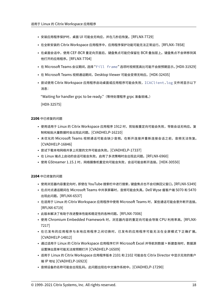- 安装应用程序保护时,桌面 UI 可能会无响应,并在几秒后恢复。 [RFLNX-7729]
- 在全新安装的 Citrix Workspace 应用程序中,应用程序保护功能可能无法正常运行。[RFLNX–7858]
- 在桌面会话中,使用 CEF-BCR 重定向页面后,键盘焦点可能仍保留在 BCR 叠加层上。键盘焦点不会转移到其 他打开的应用程序。[RFLNX‑7704]
- 在 Microsoft Teams 会议期间,选择 "Fill frame" 选项时视频宽高比可能不会按预期显示。[HDX‑31929]
- 在 Microsoft Teams 视频通话期间,Desktop Viewer 可能会变得无响应。[HDX-32435]
- 尝试使用 Citrix Workspace 应用程序启动桌面或应用程序可能会失败, ICAClient.log 文件将显示以下 消息:

"Waiting for handler grpc to be ready."(等待处理程序 grpc 准备就绪。)

[HDX‑32575]

# **2106** 中已修复的问题

- 使用适用于 Linux 的 Citrix Workspace 应用程序 1912 时,剪贴板重定向可能会失败,导致会话无响应。复 制和粘贴大量数据时会出现此问题。[CVADHELP‑16210]
- 未优化的 Microsoft Teams 视频通话可能会缺少音频。在断开连接并重新连接会话之前,音频无法恢复。 [CVADHELP‑16846]
- 尝试下载本地网络共享上托管的文件可能会失败。[CVADHELP‑17337]
- 在 Linux 端点上启动的会话可能会失败。启用了多流策略时会出现此问题。[RFLNX-6960]
- 使用 GStreamer 1.15.1 时,网络摄像机重定向可能会失败,会话可能会断开连接。[HDX-30550]

**2104** 中已修复的问题

- 使用浏览器内容重定向时,即使在 YouTube 搜索栏中进行搜索,键盘焦点也不会切换回父窗口。 [RFLNX-5349]
- 在点对点通话期间在 Microsoft Teams 中共享屏幕时,音频可能会失真。Dell Wyse 瘦客户端 5070 和 5470 出现此问题。[RFLNX‑6537]
- 在适用于 Linux 的 Citrix Workspace 应用程序中使用 Microsoft Teams 时,某些通话可能会意外断开连接。 [RFLNX‑6719]
- 此版本解决了有助于改进整体性能和稳定性的各种问题。[RFLNX‑7006]
- 使用 Chromium Embedded Framework 时, 浏览器内容的重定向可能会导致 CPU 利用率高。[RFLNX-7217]
- 在已发布的应用程序与本地应用程序之间切换时,已发布的应用程序可能无法在全屏模式下正确扩展。 [CVADHELP‑14812]
- 通过适用于 Linux 的 Citrix Workspace 应用程序打开 Microsoft Excel 并导航到数据 > 新建查询时,数据源 设置弹出菜单可能无法按预期打开 [CVADHELP‑16509]
- 适用于 Linux 的 Citrix Workspace 应用程序版本 2101 和 2102 可能会在 Citrix Director 中显示无效的客户 端 IP 地址 [CVADHELP‑16923]
- 音频设备的名称可能会出现乱码。此问题出现在中文操作系统中。[CVADHELP‑17290]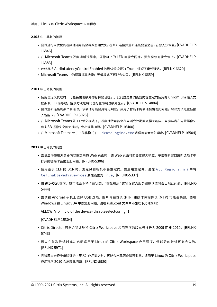# **2103** 中已修复的问题

- 尝试进行未优化的视频通话可能会导致音频丢失。在断开连接并重新连接会话之前,音频无法恢复。[CVADHELP‑ 16846]
- 在 Microsoft Teams 视频通话过程中,摄像机上的 LED 可能会闪烁,预览视频可能会停止。[CVADHELP-16383]
- 此修复将 AudioLatencyControlEnabled 的默认值设置为 True,缩短了音频延迟。[RFLNX-6620]
- Microsoft Teams 中的屏幕共享功能在无缝模式下可能会失败。[RFLNX‑6659]

# **2101** 中已修复的问题

- 使用自定义代理时,可能会出现额外的身份验证提示。此问题是由浏览器内容重定向使用的 Chromium 嵌入式 框架 (CEF) 而导致。解决方法是将代理配置为绕过额外提示。[CVADHELP‑14804]
- 尝试重新连接到某个会话时,该会话可能会变得无响应。启用了智能卡的会话会出现此问题。解决方法是重新插 入智能卡。[CVADHELP‑15028]
- 在 Microsoft Teams 处于已优化模式下,视频播放可能会在电话会议期间变得无响应。当参与者在内置摄像头 和 USB 摄像头之间切换时,会出现此问题。[CVADHELP‑16400]
- 在 Microsoft Teams 处于已优化模式下,HdxRtcEngine.exe 进程可能会意外退出。[CVADHELP‑16504]

# **2012** 中已修复的问题

- 尝试启动使用浏览器内容重定向的 Web 页面时,该 Web 页面可能会变得无响应。单击在新窗口或新选项卡中 打开的链接时会出现此问题。[RFLNX‑5306]
- 使用基于 CEF 的 BCR 时,麦克风和相机不会重定向。要启用重定向,请在 All\_Regions.ini 中将 CefEnableMediaDevices 属性设置为 True。[RFLNX‑5337]
- 按 **Alt+Ctrl** 键时,键可能会保持卡住状态。"键盘布局" 选项设置为服务器默认值时会出现此问题。[RFLNX‑ 5444]
- 尝试在 Android 手机上选择 USB 选项、图片传输协议 (PTP) 和媒体传输协议 (MTP) 可能会失败。要在 Windows 和 Linux VDA 中修复此问题,请在 usb.conf 文件中添加以下允许规则:

ALLOW: VID = (vid of the device) disableselectconfig=1

[CVADHELP‑15304]

- Citrix Director 可能会错误地将 Citrix Workspace 应用程序的版本号报告为 2009 而非 2010。[RFLNX‑ 5743]
- 可以在首次尝试时成功启动适用于 Linux 的 Citrix Workspace 应用程序, 但以后的尝试可能会失败。 [RFLNX‑5971]
- 尝试添加未经身份验证的(匿名)应用商店时,可能会出现两条错误消息。适用于 Linux 的 Citrix Workspace 应用程序 2010 会出现此问题。[RFLNX‑5980]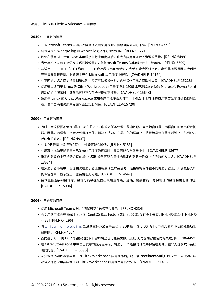# **2010** 中已修复的问题

- 在 Microsoft Teams 中运行视频通话或共享屏幕时,屏幕可能会闪烁不定。[RFLNX-4778]
- 尝试自定义 webrpc.log 和 webrtc.log 文件可能会失败。[RFLNX‑5221]
- 即使在使用 storebrowse 实用程序删除应用商店后,也会为应用商店计入资源的数量。[RFLNX‑5499]
- 当计算机上安装了德语或法语区域设置时,Microsoft Teams 优化可能无法正常运行。[RFLNX‑5599]
- 从适用于 Linux 的 Citrix Workspace 应用程序启动会话时,会话可能会闪烁不定。出现此问题是因为会话断 开连接并重新连接。此问题主要在 Microsoft 应用程序中出现。[CVADHELP‑14194]
- 在不同的会话之间执行复制和粘贴内容等剪贴板操作时,这些操作可能会间歇性失败。[CVADHELP‑15228]
- 使用通过适用于 Linux 的 Citrix Workspace 应用程序版本 1906 或更高版本启动的 Microsoft PowerPoint 启动幻灯片演示时,该演示可能不会在全屏模式下打开。[CVADHELP‑15648]
- 适用于 Linux 的 Citrix Workspace 应用程序可能不会为使用 HTML5 本地存储的应用商店显示身份验证对话 框。使用自助服务用户界面时会出现此问题。[CVADHELP‑15720]

**2009** 中已修复的问题

- 有时,会议视图不会在 Microsoft Teams 中的多任务处理过程中还原。当本地窗口叠加远程窗口时会出现此问 题。因此,远程窗口不会收到鼠标事件。解决方法为,在最小化的屏幕上,将鼠标悬停在数字时钟上,然后双击 呼叫者的姓名。[RFLNX‑4937]
- 在 UDP 连接上运行的会话中,性能可能会降低。[RFLNX‑5135]
- 在屏幕上拖动无缝第三方已发布应用程序的窗口时,窗口可能会自动最小化。[CVADHELP-13677]
- 重定向到设备上运行的会话的单个 USB 设备可能会意外地重定向到同一设备上运行的传入会话。[CVADHELP‑ 13684]
- 在多显示器环境中,当您尝试在显示器上重新启动全屏会话时,连接栏将保持在不同的显示器上。即使鼠标光标 仍保留在同一显示器上,也会出现此问题。[CVADHELP‑14642]
- 尝试重新连接到会话时,会话可能会在桌面出现后立即断开连接。需要智能卡身份验证的会话会出现此问题。 [CVADHELP‑15036]

**2006** 中已修复的问题

- 使用 Microsoft Teams 时,"测试通话" 选项不会显示。[RFLNX-4234]
- 会话启动可能会在 Red Hat 8.2、CentOS 8.x、Fedora 29、30 和 31 发行版上失败。[RFLNX‑3114] [RFLNX‑ 4438] [RFLNX‑4296]
- 将 wfica\_for\_plugins 二进制文件添加回平台优化 SDK 后, 在 LIBS\_GTK 中引入的不必要的依赖项现 已删除。[RFLNX‑4604]
- 面向基于 CEF 的 BCR 的服务器提取和客户端呈现可能会失败。因此,浏览器内容重定向将失败。[RFLNX‑4459]
- 在 Citrix StoreFront 中单击已发布的应用程序后,将显示一个连接对话框并保留在此处。在非无缝模式下会出 现此问题。[CVADHELP‑13896]
- 选择激活选项以激活桌面上的 Citrix Workspace 应用程序后,将下载 **receiverconfig.cr** 文件。尝试通过启 动该文件将应用商店添加到 Citrix Workspace 应用程序可能会失败。[CVADHELP‑14389]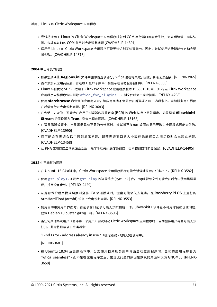- 尝试将适用于 Linux 的 Citrix Workspace 应用程序映射到 COM 串行端口可能会失败,这表明该端口无法访 问。未填充以前的 COM 条目时会出现此问题 [CVADHELP‑14391]
- 适用于 Linux 的 Citrix Workspace 应用程序可能无法识别某些智能卡。因此,尝试使用这些智能卡启动会话 将失败。[CVADHELP-14878]

# **2004** 中已修复的问题

- 如果您从 **All\_Regions.ini** 文件中删除首选项部分,wfica 进程将失败。因此,会话无法连接。[RFLNX‑3965]
- 首次添加云应用商店后,首选项 > 帐户子菜单不会显示在自助服务窗口中。[RFLNX‑3605]
- Linux 平台优化 SDK 不适用于 Citrix Workspace 应用程序版本 1908、1910 和 1912。从 Citrix Workspace 应用程序安装程序包中删除 wfica\_for\_plugins 二进制文件时会出现此问题。[RFLNX‑4298]
- 使用 storebrowse 命令添加应用商店时,该应用商店不会显示在首选项 > 帐户选项卡上。自助服务用户界面 在后端运行时会出现此问题。[RFLNX‑3683]
- 在会话中,wfica 可能会在启用了浏览器内容重定向 (BCR) 的 Web 站点上意外退出。如果您将 AllowMulti-**Stream** 的值设置为 True, 则会出现此问题。[CVADHELP-13168]
- 在双显示器设置中,当显示器具有不同的分辨率时,尝试将已发布的桌面的显示更改为全屏模式可能会失败。 [CVADHELP‑13990]
- 您可能会在无缝会话中遇到显示问题。调整无缝窗口的大小或在无缝窗口之间切换时会出现此问题。 [CVADHELP‑13458]
- 从 PNA 应用商店启动桌面会话后,除非手动关闭进度条窗口,否则该窗口可能会保留。[CVADHELP-14405]

# **1912** 中已修复的问题

- 在 Ubuntu16.04x64 中,Citrix Workspace 应用程序图标可能会错误地显示在任务栏上。[RFLNX-3582]
- 使用 gst-play1.0 更改 gst-play 的符号链接 [symlink] 后,.mp4 视频文件可能会在后台中使用黑屏呈 现,并且没有音频。[RFLNX‑2429]
- 从屏幕保护程序模式切换到全屏 ICA 会话模式时,键盘可能会失去焦点。在 Raspberry Pi OS 上运行的 ArmHardFloat (armhf) 设备上会出现此问题。[RFLNX‑3553]
- 使用自助服务用户界面时,首选项窗口选项可能无法按预期工作。libwebkit1 软件包不可用时会出现此问题, 就像 Debian 10 buster 客户端一样。[RFLNX‑3596]
- 当任何其他系统用户(而非第一个用户)尝试启动 Citrix Workspace 应用程序时,自助服务用户界面可能无法 打开。此时将显示以下错误消息:

"Bind Error ‑ address already in use."(绑定错误 ‑ 地址已在使用中。)

[RFLNX‑3601]

• 在 Ubuntu 18.04 及更高版本中,当您使用自助服务用户界面启动应用程序时,启动的应用程序名为 "wfica\_seamless" - 而不是在应用程序之后。出现此问题的原因是默认的桌面环境为 GNOME。[RFLNX-3650]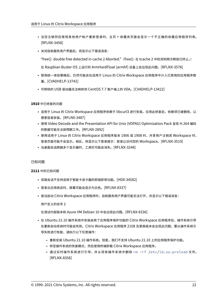- 当您注销然后使用其他用户帐户重新登录时,主页 > 收藏夹页面会显示一个不正确的收藏应用程序列表。 [RFLNX‑3458]
- 关闭自助服务用户界面后,将显示以下错误消息:

"free(): double free detected in cache 2 Aborted."(free(): 在 tcache 2 中检测到两次释放已终止。)

在 Raspbian Buster OS 上运行的 ArmHardFloat (armhf) 设备上会出现此问题。[RFLNX‑3578]

- 禁用统一体验策略后,仍然可能会在适用于 Linux 的 Citrix Workspace 应用程序中计入已禁用的应用程序数 量。[CVADHELP‑13742]
- 可移除的 USB 驱动器无法映射到 CentOS 7.7 客户端上的 VDA。[CVADHELP‑13422]

# **1910** 中已修复的问题

- 适用于 Linux 的 Citrix Workspace 应用程序依赖于 libcurl3 进行安装。应用此修复后,依赖项已被删除,以 便更容易安装。[RFLNX‑3487]
- 使用 Video Decode and the Presentation API for Unix (VDPAU) Optimization Pack 呈现 H.264 编码 的数据可能无法按预期工作。[RFLNX‑2892]
- 使用适用于 Linux 的 Citrix Workspace 应用程序版本 1906 或 1908 时,共享用户注销其 Workspace 时, 登录页面可能不会显示。相反,将显示以下登录提示:登录以访问您的 Workspace。[RFLNX-3519]
- 当桌面会话跨越多个显示器时,工具栏可能会消失。[RFLNX‑3248]

# 已知问题

# **2111** 中的已知问题

- 双跳会话不支持适用于智能卡读卡器的即插即用功能。[HDX‑34582]
- 登录云应用商店时,屏幕可能会显示为白色。[RFLNX‑8337]
- 尝试启动 Citrix Workspace 应用程序时,自助服务用户界面可能无法打开,并显示以下错误消息:

用户定义的信号 2

在调试内部版本和 Azure VM Debian 10 中会出现此问题。[RFLNX‑8336]

- 在 Ubuntu 21.10 操作系统中安装启用了应用程序保护功能的 Citrix Workspace 应用程序后,操作系统引导 在重新启动系统时可能会失败。Citrix Workspace 应用程序 2108 及更高版本会出现此问题。要从操作系统引 导失败进行恢复,请执行以下任意操作:
	- **–** 重新安装 Ubuntu 21.10 操作系统。但是,我们不支持 Ubuntu 21.10 上的应用程序保护功能。
	- **–** 转至操作系统的恢复模式,然后使用终端卸载 Citrix Workspace 应用程序。
	- **–** 通过实时操作系统进行引导,并从现有操作系统中删除 rm -rf /etc/ld.so.preload 文件。 [RFLNX‑8358]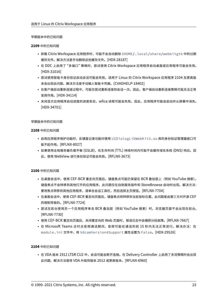# 早期版本中的已知问题

# **2109** 中的已知问题

- 卸载 Citrix Workspace 应用程序时,可能不会自动删除 \$HOME/.local/share/webkitgtk 中的过期 缓存文件。解决方法是手动删除这些缓存文件。[HDX‑28187]
- 在 DDC 上启用了 "多端口" 策略时,尝试使用 Citrix Workspace 应用程序启动桌面或应用程序可能会失败。 [HDX‑31016]
- 尝试使用智能卡身份验证启动会话可能会失败。适用于 Linux 的 Citrix Workspace 应用程序 2104 及更高版 本会出现此问题。解决方法是手动输入智能卡凭据。[CVADHELP‑18402]
- 在客户端自动重新连接过程中,可能仅尝试重新连接到会话一次。因此,客户端自动重新连接策略可能无法正常 发挥作用。[HDX‑34114]
- 关闭显示应用程序启动进度的进度条后,wfica 进程可能会失败。因此,应用程序可能会启动并从屏幕中消失。 [HDX‑34701]

# 早期版本中的已知问题

# **2108** 中的已知问题

- 启用应用程序保护功能时,反键盘记录功能对使用 UIDialogLibWebKit3.so 库的身份验证管理器接口可 能不起作用。[RFLNX‑8027]
- 如果使用全局服务器负载平衡 (GSLB),在生存时间 (TTL) 持续时间内可能不会缓存域名系统 (DNS) 响应。因 此,使用 WebView 进行身份验证可能会失败。[RFLNX‑3673]

**2106** 中的已知问题

- 在桌面会话中,使用 CEF‑BCR 重定向页面后,键盘焦点可能仍保留在 BCR 叠加层上(例如 YouTube 搜索)。 键盘焦点不会转移到其他打开的应用程序。此问题仅在自助服务插件和 StoreBrowse 启动时出现。解决方法: 要将焦点转移到其他应用程序,请单击会话工具栏,然后选择主页按钮。[RFLNX‑7704]
- 在桌面会话中,使用 CEF‑BCR 重定向页面后,键盘焦点将转移到当前鼠标位置。此问题是由第三方对开源 CEF 的限制导致的。[RFLNX‑7724]
- 尝试在前台使用另一个应用程序单击 BCR 叠加层(例如 YouTube 搜索)时,浏览器页面不会出现在前台。 [RFLNX‑7730]
- 使用 CEF-BCR 重定向页面后, 关闭重定向的 Web 页面时, 错误日志中会捕获分段故障。[RFLNX-7667]
- 在 Microsoft Teams 点对点音频通话期间,音频可能在通话的前 15 秒内无法正常进行。解决办法:在 module.ini 文件中,将 VdcamVersion4Support 属性设置为 False。[HDX‑29526]

# **2104** 中的已知问题

• 在 VDA 版本 1912 LTSR CU2 中,会话可能会断开连接。在 Delivery Controller 上启用了多流策略时会出现 此问题。解决方法是将 VDA 升级到版本 2012 或更高版本。[RFLNX‑6960]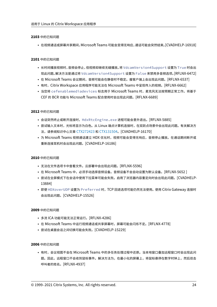# **2103** 中的已知问题

• 在视频通话或屏幕共享期间,Microsoft Teams 可能会变得无响应,通话可能会突然结束。[CVADHELP‑16918]

# **2101** 中的已知问题

- 长时间播放视频时,音频会停止,但视频却继续无缝播放。将 VdcamVersion4Support 设置为 True 时会出 现此问题。解决方法是通过将 VdcamVersion4Support 设置为 False 来禁用多音频选项。[RFLNX‑6472]
- 在 Microsoft Teams 会议期间,音频可能会在静音时不稳定。瘦客户端上会出现此问题。[RFLNX‑6537]
- 有时,Citrix Workspace 应用程序可能无法在 Microsoft Teams 中呈现传入的视频。[RFLNX‑6662]
- 当您将 cefenablemediadevices 标志用于 Microsoft Teams 时,麦克风无法按预期正常工作。将基于 CEF 的 BCR 功能与 Microsoft Teams 配合使用时会出现此问题。[RFLNX‑6689]

# **2012** 中的已知问题

- 会话突然终止或断开连接时,HdxRtcEngine.exe 进程可能会意外退出。[RFLNX-5885]
- 尝试输入文本时,光标将显示为白色。从 Linux 端点计算机连接时,在双跃点场景中会出现此问题。有关解决方 法,请参阅知识中心文章 CTX272423 和 CTX131504。[CVADHELP-16170]
- 为 Microsoft Teams 视频通话建立 HDX 优化时,视频可能会变得无响应,音频停止播放。在通话期间断开或 重新连接耳机时会出现此问题。[CVADHELP‑16186]

# **2010** 中的已知问题

- 无法在文件选项卡中查看文件。云部署中会出现此问题。[RFLNX‑5596]
- 在 Microsoft Teams 中,必须手动选择音频设备。音频设备不会自动设置为默认设备。[RFLNX-5652 ]
- 尝试在全屏模式下在会话中使用下拉菜单可能会失败。启用了浏览器内容重定向时会出现此问题。[CVADHELP‑ 13884]
- 即使 HDXoverUDP 设置为 Preferred 时,TCP 回退选项可能仍然无法使用。使用 Citrix Gateway 连接时 会出现此问题。[CVADHELP‑15526]

#### **2009** 中的已知问题

- 多流 ICA 功能可能无法正常运行。[RFLNX‑4286]
- 在 Microsoft Teams 中运行视频通话或共享屏幕时,屏幕可能会闪烁不定。[RFLNX-4778]
- 尝试在桌面会话之间切换可能会失败。[CVADHELP‑15229]

# **2006** 中的已知问题

• 有时,会议视图不会在 Microsoft Teams 中的多任务处理过程中还原。当本地窗口叠加远程窗口时会出现此问 题。因此,远程窗口不会收到鼠标事件。解决方法为,在最小化的屏幕上,将鼠标悬停在数字时钟上,然后双击 呼叫者的姓名。[RFLNX‑4937]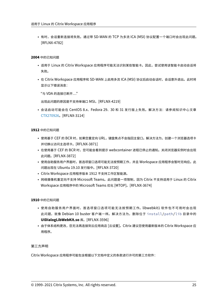• 有时,会话重新连接将失败。通过带 SD‑WAN 的 TCP 为多流 ICA (MSI) 协议配置一个端口时会出现此问题。 [RFLNX‑4782]

# **2004** 中的已知问题

- 适用于 Linux 的 Citrix Workspace 应用程序可能无法识别某些智能卡。因此,尝试使用该智能卡启动会话将 失败。
- 在 Citrix Workspace 应用程序和 SD‑WAN 上启用多流 ICA (MSI) 协议后启动会话时,会话意外退出。此时将 显示以下错误消息:

"与 VDA 的连接已断开…"

出现此问题的原因是不支持单端口 MSI。[RFLNX‑4219]

• 会话启动可能会在 CentOS 8.x、Fedora 29、30 和 31 发行版上失败。解决方法:请参阅知识中心文章 CTX270926。[RFLNX‑3114]

**1912** [中的已知问题](https://support.citrix.com/article/CTX270926)

- 使用基于 CEF 的 BCR 时,如果您重定向 URL,键盘焦点不会指回主窗口。解决方法为,创建一个浏览器选项卡 并切换以访问主选项卡。[RFLNX‑3871]
- 在使用基于 CEF 的 BCR 时,您可能会看到提示 webcontainer 进程已停止的通知。关闭浏览器实例时会出现 此问题。[RFLNX‑3872]
- 使用自助服务用户界面时,首选项窗口选项可能无法按预期工作,并且 Workspace 应用程序会暂时无响应。此 问题出现在 Ubuntu 19.10 发行版中。[RFLNX‑3720]
- Citrix Workspace 应用程序版本 1912 不支持工作区智能源。
- 网络摄像机重定向不支持 Microsoft Teams。此问题是一项限制,因为 Citrix 不支持适用于 Linux 的 Citrix Workspace 应用程序中的 Microsoft Teams 优化 [MTOP]。[RFLNX‑3674]

**1910** 中的已知问题

- 使用自助服务用户界面时,首选项窗口选项可能无法按预期工作。libwebkit1 软件包不可用时会出现 此问题,就像 Debian 10 buster 客户端一样。解决方法为,删除位于 install/path/lib 目录中的 **UIDialogLibWebKit.so** 库。[RFLNX‑3596]
- 由于体系结构更改,您无法再连接到云应用商店 [云设置]。Citrix 建议您使用最新版本的 Citrix Workspace 应 用程序。

第三方声明

Citrix Workspace 应用程序可能包含根据以下文档中定义的条款进行许可的第三方软件: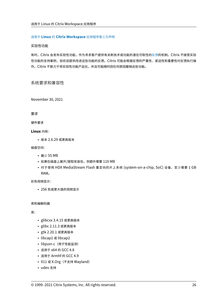# 适用于 **Linux** 的 **Citrix Workspace** 应用程序第三方声明

# 实验性功能

有时,Citrix [会发布实验性功能,作为寻求客户提供有关新技](https://docs.citrix.com/en-us/citrix-workspace-app-for-linux/downloads/third-party-notices-linux.pdf)术或功能的潜在可取性的反馈的机制。Citrix 不接受实验 性功能的支持案例,但欢迎提供改进这些功能的反馈。Citrix 可能会根据反馈的严重性、紧迫性和重要性对反馈执行操 作。Citrix 不致力于将实验性功能产品化,并且可能随时因任何原因撤销这些功能。

系统要求和兼容性

<span id="page-25-0"></span>November 30, 2021

要求

硬件要求

**Linux** 内核:

• 版本 2.6.29 或更高版本

磁盘空间:

- 最少 55 MB
- 如果在磁盘上展开/提取安装包,则额外需要 110 MB
- 对于使用 HDX MediaStream Flash 重定向的片上系统 (system-on-a-chip, SoC) 设备,至少需要 1 GB RAM。

彩色视频显示:

• 256 色或更大值的视频显示

库和编解码器

库:

- glibcxx 3.4.15 或更高版本
- glibc 2.11.3 或更高版本
- gtk 2.20.1 或更高版本
- libcap1 或 libcap2
- libjson-c (用于性能监测)
- 适用于 x64 的 GCC 4.8
- 适用于 Armhf 的 GCC 4.9
- X11 或 X.Org (不支持 Wayland)
- udev 支持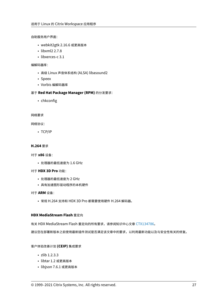自助服务用户界面:

- webkit2gtk 2.16.6 或更高版本
- libxml2 2.7.8
- libxerces-c 3.1

# 编解码器库:

- 高级 Linux 声音体系结构 (ALSA) libasound2
- Speex
- Vorbis 编解码器库

# 基于 **Red Hat Package Manager (RPM)** 的分发要求:

• chkconfig

网络要求

网络协议:

• TCP/IP

# **H.264** 要求

对于 **x86** 设备:

• 处理器的最低速度为 1.6 GHz

# 对于 **HDX 3D Pro** 功能:

- 处理器的最低速度为 2 GHz
- 具有加速图形驱动程序的本机硬件

对于 **ARM** 设备:

• 常规 H.264 支持和 HDX 3D Pro 都需要使用硬件 H.264 解码器。

# **HDX MediaStream Flash** 重定向

有关 HDX MediaStream Flash 重定向的所有要求,请参阅知识中心文章 CTX134786。

建议您在部署新版本之前使用最新插件测试是否满足该文章中的要求,以利用最新功能以及与安全性有关的修复。

# 客户体验改善计划 **(CEIP)** 集成要求

- zlib 1.2.3.3
- libtar 1.2 或更高版本
- libjson 7.6.1 或更高版本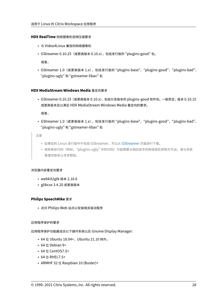# **HDX RealTime** 网络摄像机视频压缩要求

- 与 Video4Linux 兼容的网络摄像机
- GStreamer 0.10.25(或更高版本 0.10.x),包括发行版的 "plugins‑good" 包。

或者,

• GStreamer 1.0 (或更高版本 1.x), 包括发行版的 "plugins-base"、 "plugins-good"、 "plugins-bad"、 "plugins‑ugly" 和 "gstreamer‑libav" 包

# **HDX MediaStream Windows Media** 重定向要求

• GStreamer 0.10.25 (或更高版本 0.10.x), 包括分发版本的 plugins-good 软件包。一般而言, 版本 0.10.15 或更高版本足以满足 HDX MediaStream Windows Media 重定向的要求。

或者,

• GStreamer 1.0 (或更高版本 1.x), 包括发行版的 "plugins-base"、 "plugins-good"、 "plugins-bad"、 "plugins‑ugly" 和 "gstreamer‑libav" 包

注意

- 如果您的 Linux 发行版中不包括 GStreamer, 可以从 GStreamer 页面进行下载。
- 使用某些代码(例如,"plugins-ugly" 中的代码)可能需要从相应技术的制造商处获取许可证。请与系统 管理员联系以寻求帮助。

#### 浏览器内容重定向要求

- webkit2gtk 版本 2.16.6
- glibcxx 3.4.20 或更高版本

#### **Philips SpeechMike** 要求

• 访问 Philips Web 站点以安装相关驱动程序

#### 应用程序保护的要求

应用程序保护功能最适合以下操作系统以及 Gnome Display Manager:

- 64 位 Ubuntu 18.04+, Ubuntu 21.10 除外。
- 64 位 Debian 9+
- 64 位 CentOS7.5+
- 64 位 RHEL7.5+
- ARMHF 32 位 Raspbian 10 (Buster)+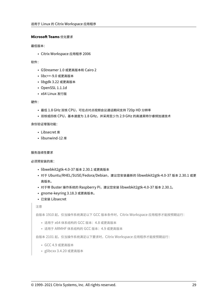# **Microsoft Teams** 优化要求

最低版本:

• Citrix Workspace 应用程序 2006

软件:

- GStreamer 1.0 或更高版本和 Cairo 2
- libc++‑9.0 或更高版本
- libgdk 3.22 或更高版本
- OpenSSL 1.1.1d
- x64 Linux 发行版

硬件:

- 最低 1.8 GHz 双核 CPU,可在点对点视频会议通话期间支持 720p HD 分辨率
- 双核或四核 CPU,基本速度为 1.8 GHz,并采用至少为 2.9 GHz 的高速英特尔睿频加速技术

身份验证增强功能:

- Libsecret 库
- libunwind-12 库

# 服务连续性要求

必须预安装的库:

- libwebkit2gtk‑4.0‑37 版本 2.30.1 或更高版本
- 对于 Ubuntu/RHEL/SUSE/Fedora/Debian, 建议您安装最新的 libwebkit2gtk-4.0-37 版本 2.30.1 或更 高版本。
- 对于带 Buster 操作系统的 Raspberry Pi, 建议您安装 libwebkit2gtk-4.0-37 版本 2.30.1。
- gnome‑keyring 3.18.3 或更高版本。
- 已安装 Libsecret

注意

自版本 1910 起,仅当操作系统满足以下 GCC 版本条件时,Citrix Workspace 应用程序才能按预期运行:

- 适用于 x64 体系结构的 GCC 版本: 4.8 或更高版本
- 适用于 ARMHF 体系结构的 GCC 版本:4.9 或更高版本

自版本 2101 起, 仅当操作系统满足以下要求时, Citrix Workspace 应用程序才能按预期运行:

- GCC 4.9 或更高版本
- glibcxx 3.4.20 或更高版本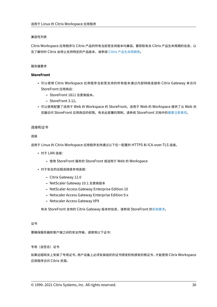# 兼容性列表

Citrix Workspace 应用程序与 Citrix 产品的所有当前受支持版本均兼容。要获取有关 Citrix 产品生命周期的信息,以 及了解何时 Citrix 会停止支持特定的产品版本,请参阅 Citrix 产品生命周期表。

# 服务器要求

# **StoreFront**

- 可以使用 Citrix Workspace 应用程序当前受支持的所有版本通过内部网络连接和 Citrix Gateway 来访问 StoreFront 应用商店:
	- **–** StoreFront 1811 及更高版本。
	- **–** StoreFront 3.12。
- 可以使用配置了适用于 Web 的 Workspace 的 StoreFront。适用于 Web 的 Workspace 提供了从 Web 浏 览器访问 StoreFront 应用商店的权限。有关此部署的限制,请参阅 StoreFront 文档中的重要注意事项。

# 连接和证书

连接

适用于 Linux 的 Citrix Workspace 应用程序支持通过以下任一配置的 HTTPS 和 ICA-over-TLS 连接。

- 对于 LAN 连接:
	- **–** 使用 StoreFront 服务的 StoreFront 或适用于 Web 的 Workspace
- 对于安全的远程连接或本地连接:
	- **–** Citrix Gateway 12.0
	- **–** NetScaler Gateway 10.1 及更高版本
	- **–** NetScaler Access Gateway Enterprise Edition 10
	- **–** Netscaler Access Gateway Enterprise Edition 9.x
	- **–** Netscaler Access Gateway VPX

有关 StoreFront 支持的 Citrix Gateway 版本的信息,请参阅 StoreFront 的系统要求。

# 证书

要确保服务器和客户端之间的安全传输,请使用以下证书:

专用(自签名)证书

如果远程网关上安装了专用证书,用户设备上必须安装组织的证书颁发机构颁发的根证书,才能使用 Citrix Workspace 应用程序访问 Citrix 资源。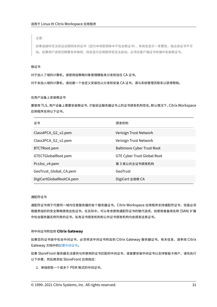注意:

如果连接时无法验证远程网关的证书(因为本地密钥库中不包含根证书),系统会显示一条警告,指出该证书不可 信。如果用户选择忽略警告并继续,则会显示应用程序但无法启动。必须在客户端证书存储中安装根证书。

#### 根证书

对于加入了域的计算机,请使用组策略对象管理模板来分发和信任 CA 证书。

对于未加入域的计算机,请创建一个自定义安装包以分发和安装 CA 证书。请与系统管理员联系以获得帮助。

在用户设备上安装根证书

要使用 TLS,用户设备上需要安装根证书,才能验证服务器证书上的证书颁发机构签名。默认情况下,Citrix Workspace 应用程序支持以下证书。

| 证书                       | 颁发机构                               |
|--------------------------|------------------------------------|
| Class4PCA_G2_v2.pem      | Verisign Trust Network             |
| Class3PCA_G2_v2.pem      | Verisign Trust Network             |
| BTCTRoot.pem             | <b>Baltimore Cyber Trust Root</b>  |
| GTECTGlobalRoot.pem      | <b>GTE Cyber Trust Global Root</b> |
| Pcs3ss_v4.pem            | 第 3 类公共主证书颁发机构                     |
| GeoTrust_Global_CA.pem   | GeoTrust                           |
| DigiCertGlobalRootCA.pem | DigiCert 全局根 CA                    |

#### 通配符证书

通配符证书用于代替同一域内任意服务器的各个服务器证书。Citrix Workspace 应用程序支持通配符证书,但是必须 根据贵组织的安全策略使用这些证书。在实际中,可以考虑使用通配符证书的替代选项,如使用者备用名称 (SAN) 扩展 中包含服务器名称列表的证书。私有证书颁发机构和公共证书颁发机构均会颁发这类证书。

# 将中间证书附加到 **Citrix Gateway**

如果您的证书链中包含中间证书,必须将该中间证书附加到 Citrix Gateway 服务器证书。有关信息,请参阅 Citrix Gateway 文档中的配置中间证书。

如果 StoreFront 服务器无法提供与所使用的证书匹配的中间证书,或者要安装中间证书以支持智能卡用户,请先执行 以下步骤,然后再添加 [StoreFron](https://docs.citrix.com/en-us/citrix-gateway/12-1/install/certificate-management/configure-intermediate-cert.html)t 应用商店:

1. 单独获取一个或多个 PEM 格式的中间证书。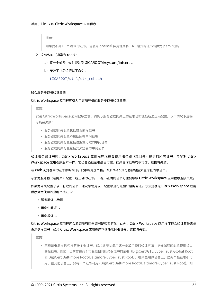提示:

如果找不到 PEM 格式的证书,请使用 openssl 实用程序将 CRT 格式的证书转换为.pem 文件。

- 2. 安装包时(通常为 root):
	- a) 将一个或多个文件复制到 \$ICAROOT/keystore/intcerts。
	- b) 安装了包后运行以下命令:

\$ICAROOT/util/ctx\_rehash

# 联合服务器证书验证策略

Citrix Workspace 应用程序引入了更加严格的服务器证书验证策略。

重要:

安装 Citrix Workspace 应用程序之前,请确认服务器或网关上的证书已按此处所述正确配置。以下情况下连接 可能会失败:

- 服务器或网关配置包括错误的根证书
- 服务器或网关配置不包括所有中间证书
- 服务器或网关配置包括过期或无效的中间证书
- 服务器或网关配置包括交叉签名的中间证书

验证服务器证书时,Citrix Workspace 应用程序现在会使用服务器(或网关)提供的所有证书。与早期 Citrix Workspace 应用程序版本一样,它也会验证证书是否可信。如果任何证书均不可信,连接将失败。

与 Web 浏览器中的证书策略相比,此策略更加严格。许多 Web 浏览器都包括大量信任的根证书。

必须为服务器(或网关)配置一组正确的证书。一组不正确的证书可能会导致 Citrix Workspace 应用程序连接失败。

如果为网关配置了以下有效的证书,建议您使用以下配置以进行更加严格的验证,方法是确定 Citrix Workspace 应用 程序究竟使用的是哪个根证书:

- 服务器证书示例
- 示例中间证书
- 示例根证书

Citrix Workspace 应用程序会验证所有这些证书是否都有效。此外,Citrix Workspace 应用程序还会验证其是否信 任示例根证书。如果 Citrix Workspace 应用程序不信任示例根证书,连接将失败。

重要:

• 某些证书颁发机构具有多个根证书。如果您需要使用这一更加严格的验证方法,请确保您的配置使用恰当 的根证书。例如,当前存在两个可验证相同服务器证书的证书(DigiCert/GTE CyberTrust Global Root 和 DigiCert Baltimore Root/Baltimore CyberTrust Root)。在某些用户设备上,这两个根证书都可 用。在其他设备上,只有一个证书可用 (DigiCert Baltimore Root/Baltimore CyberTrust Root)。如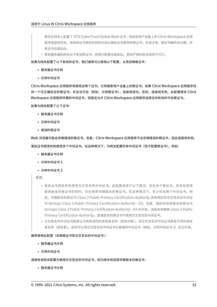果您在网关上配置了 GTE CyberTrust Global Root 证书,则这些用户设备上的 Citrix Workspace 应用 程序连接将失败。请参阅证书颁发机构的文档以确定必须使用的根证书。另请注意,根证书最终会过期,所 有证书也是如此。

• 某些服务器和网关从不发送根证书,即使已配置也是如此。更加严格的验证因而不可行。

如果为网关配置了以下有效的证书,我们通常可以使用以下配置,从而忽略根证书:

- 服务器证书示例
- 示例中间证书

Citrix Workspace 应用程序将使用这两个证书。它将搜索用户设备上的根证书。如果 Citrix Workspace 应用程序找 到一个可正确验证的根证书,并且也可信(例如,示例根证书),连接将成功。否则,连接将失败。此配置提供 Citrix Workspace 应用程序所需的中间证书,但是还允许 Citrix Workspace 应用程序选择任何有效的可信根证书。

如果为网关配置了以下证书:

- 服务器证书示例
- 示例中间证书
- 错误的根证书

Web 浏览器可能会忽略错误的根证书。但是,Citrix Workspace 应用程序不会忽略错误的根证书,因此连接将失败。 某些证书颁发机构使用多个中间证书。在这种情况下,为网关配置所有中间证书(但不配置根证书),例如:

- 服务器证书示例
- 示例中间证书 1
- 示例中间证书 2

重要:

- 某些证书颁发机构使用交叉签名的中间证书。此配置适用于以下情况:存在多个根证书,并且在使用 更高版本的根证书的同时,仍在使用早期版本的根证书。在这种情况下,至少存在两个中间证书。例 如,早期版本的根证书 *Class 3 Public Primary Certification Authority* 具有相应的交叉签名的中间证 书 Verisign Class 3 Public Primary Certification Authority - G5。但是, 相应的较高版本的根证书 *Verisign Class 3 Public Primary Certification Authority ‑ G5* 也可用,该版本将替换 *Class 3 Public Primary Certification Authority*。更高版本的根证书不使用交叉签名的中间证书。
- 交叉签名的中间证书和根证书具有相同的使用者名称(颁发对象)。但交叉签名的中间证书具有不同的颁发 者名称(颁发者)。这样可以将交叉签名的中间证书与普通的中间证书(例如,示例中间证书 2)区分开来。

# 推荐使用此配置(忽略根证书和交叉签名的中间证书):

- 服务器证书示例
- 示例中间证书

# 请避免将网关配置为使用交叉签名的中间证书,因为网关将选择早期版本的根证书:

• 服务器证书示例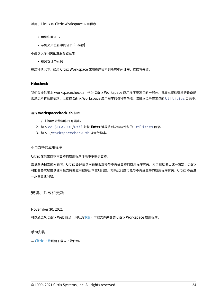- 示例中间证书
- 示例交叉签名中间证书 [不推荐]

不建议仅为网关配置服务器证书:

• 服务器证书示例

在这种情况下,如果 Citrix Workspace 应用程序找不到所有中间证书,连接将失败。

# **Hdxcheck**

我们会提供脚本 workspacecheck.sh 作为 Citrix Workspace 应用程序安装包的一部分。该脚本将检查您的设备是 否满足所有系统要求,以支持 Citrix Workspace 应用程序的各种有功能。该脚本位于安装包的 Utilities 目录中。

# 运行 **workspacecheck.sh** 脚本

- 1. 在 Linux 计算机中打开端点。
- 2. 键入 cd \$ICAROOT/util 并按 **Enter** 键导航到安装软件包的 Utilities 目录。
- 3. 键入 ./workspacecheck.sh 以运行脚本。

# 不再支持的应用程序

Citrix 在供应商不再支持的应用程序环境中不提供支持。

尝试解决报告的问题时,Citrix 会评估该问题是否直接与不再受支持的应用程序有关。为了帮助做出这一决定,Citrix 可能会要求您尝试使用受支持的应用程序版本重现问题。如果此问题可能与不再受支持的应用程序有关,Citrix 不会进 一步调查此问题。

安装、卸载和更新

<span id="page-33-0"></span>November 30, 2021

可以通过从 Citrix Web 站点 (网址为下载) 下载文件来安装 Citrix Workspace 应用程序。

# 手动安装

从 Citrix 下载页面下载以下软件包。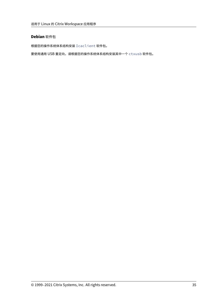# **Debian** 软件包

根据您的操作系统体系结构安装 Icaclient 软件包。

要使用通用 USB 重定向,请根据您的操作系统体系结构安装其中一个 ctxusb 软件包。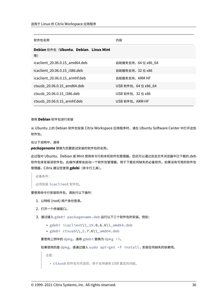| 软件包名称                                      | 内容                  |
|--------------------------------------------|---------------------|
| Debian 软件包 (Ubuntu、Debian、Linux Mint<br>等) |                     |
| icaclient 20.06.0.15 amd64.deb             | 自助服务支持,64 位 x86 _64 |
| icaclient 20.06.0.15 i386.deb              | 自助服务支持, 32 位 x86    |
| icaclient 20.06.0.15 armhf.deb             | 自助服务支持,ARM HF       |
| ctxusb 20.06.0.15 amd64.deb                | USB 软件包,64 位 x86 64 |
| ctxusb 20.06.0.15 i386.deb                 | USB 软件包, 32 位 x86   |
| ctxusb 20.06.0.15 armhf.deb                | USB 软件包, ARM HF     |

使用 **Debian** 软件包进行安装

从 Ubuntu 上的 Debian 软件包安装 Citrix Workspace 应用程序时,请在 Ubuntu Software Center 中打开这些 软件包。

在以下说明中,请将

*packagename* 替换为您要尝试安装的软件包的名称。

此过程对 Ubuntu、Debian 或 Mint 使用命令行和本机软件包管理器。您还可以通过双击文件浏览器中已下载的.deb 软件包来安装该软件包。此操作通常会启动一个软件包管理器,用于下载任何缺失的必备软件。如果没有可用的软件包 管理器,Citrix 建议您使用 **gdebi**(命令行工具)。

必备条件:

必须安装 icaclient 软件包。

要使用命令行安装软件包,请执行以下操作:

- 1. 以特权 (root) 用户身份登录。
- 2. 打开一个终端窗口。
- 3. 通过键入 gdebi packagename.deb 运行以下三个软件包的安装。例如:
	- gdebi icaclient\\\_19.0.6.6\\\_amd64.deb
	- gdebi  $ctxush\\2.7.6\\2amd64.deb$

要使用上例中的 dpkg,请将 gdebi 替换为 dpkg -i。

如果使用的是 dpkg,请通过键入 sudo apt-get -f install. 安装任何缺失的依赖项。

注意:

• ctxusb 软件包为可选项,用于支持通用 USB 重定向功能。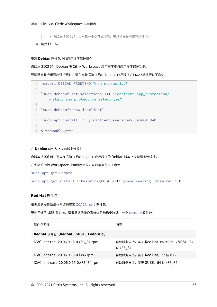• 自版本 2101 起,会出现一个交互式提示,要求您安装应用程序保护。

4. 接受 EULA。

## 安装 **Debian** 软件包中的应用程序保护组件

自版本 2102 起, Debian 版 Citrix Workspace 应用程序支持应用程序保护功能。

要静默安装应用程序保护组件,请在安装 Citrix Workspace 应用程序之前从终端运行以下命令:

```
1 `export DEBIAN_FRONTEND="noninteractive"`
2
3 `sudo debconf-set-selections <<< "icaclient app_protection/
      install_app_protection select yes"`
4
5 `sudo debconf-show icaclient`
6
7 `sudo apt install -f ./icaclient_<version>._amd64.deb`
8
9 <!--NeedCopy-->
```
#### 在 **Debian** 软件包上安装服务连续性

自版本 2106 起,可以在 Citrix Workspace 应用程序的 Debian 版本上安装服务连续性。

在安装 Citrix Workspace 应用程序之前,从终端运行以下命令:

sudo apt-get update

sudo apt-get install libwebkit2gtk-4.0-37 gnome-keyring libsecret-1-0

## **Red Hat** 软件包

根据您的操作系统体系结构安装 ICAClient 软件包。

要使用通用 USB 重定向,请根据您的操作系统体系结构安装其中一个 ctxusb 软件包。

| 软件包名称                                  | 内容                                                |
|----------------------------------------|---------------------------------------------------|
| Redhat 软件包 (Redhat、SUSE、Fedora 等)      |                                                   |
| ICAClient-rhel-20.06.0.15-0.x86_64.rpm | 自助服务支持, 基于 Red Hat (包括 Linux VDA), 64<br>位 x86 64 |
| ICAClient-rhel-20.06.0.15-0.i386.rpm   | 自助服务支持, 基于 Red Hat, 32 位 x86                      |
| ICAClient-suse-20.06.0.15-0.x86_64.rpm | 自助服务支持,基于 SUSE,64 位 x86_64                        |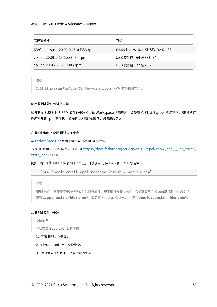| 软件包名称                                | 内容                      |
|--------------------------------------|-------------------------|
| ICAClient-suse-20.06.0.15-0.i386.rpm | 自助服务支持,基于 SUSE,32 位 x86 |
| ctxusb-20.06.0.15-1.x86_64.rpm       | USB 软件包, 64 位 x86_64    |
| ctxusb-20.06.0.15-1.i386.rpm         | USB 软件包,32 位 x86        |

注意:

*SuSE 11 SP3 Full Package (Self‑Service Support)* RPM 软件包已弃用。

#### 使用 **RPM** 软件包进行安装

如果要在 SUSE 上从 RPM 软件包安装 Citrix Workspace 应用程序,请使用 YaST 或 Zypper 实用程序。RPM 实用 程序将安装.rpm 软件包。如果缺少必需的依赖项,则将出现错误。

#### 在 **Red Hat** 上设置 **EPEL** 存储库

从 Fedora/Red Hat 页面下载恰当的源 RPM 软件包。

有关其使用方法的信息,请参阅 https://docs.fedoraproject.org/en-US/epel/#how\_can\_i\_use\_these ex[tra\\_packages](https://docs.fedoraproject.org/en-US/epel/#what_packages_and_versions_are_available_in_epel)。

例如, 在 Red Hat Enterprise 7.x 上, 可以使用以下命令安装 EPEL 存储库:

1 'yum localinstall epel-release-latest-7.noarch.rpm'

提示:

RPM 软件包管理器不安装任何缺失的必备软件。要下载并安装此软件,我们建议您在 OpenSUSE 上在命令行中 使用 **zypper install <file name>**,或者在 Fedora/Red Hat 上使用 **yum localinstall <filename>**。

#### 从 **RPM** 软件包安装

必备条件:

必须安装 icaclient 软件包。

- 1. 设置 EPEL 存储库。
- 2. 以特权 (root) 用户身份登录。
- 3. 通过键入运行以下三个软件包的安装。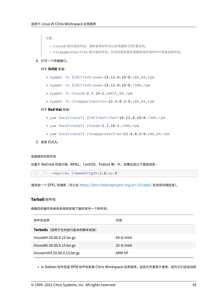注意:

- ctxusb 是可选软件包。请安装该软件包以支持通用 USB 重定向。
- ctxappprotection 是可选软件包。仅当您想安装应用程序保护组件时才安装该软件包。
- 4. 打开一个终端窗口。

#### 对于 **SUSE** 安装:

- zypper in ICAClient-suse-19.12.0.19-0.x86\_64.rpm
- zypper in ICAClient-suse-19.12.0.19-0.i386.rpm
- zypper in ctxusb-2.7.19-1.x86\\\_64.rpm
- zypper in ctxappprotection-21.4.0.2-0.x86\_64.rpm

#### 对于 **Red Hat** 安装:

- yum localinstall ICAClient-rhel-19.12.0.19-0.i386.rpm
- yum localinstall ctxusb-2.7.19-1.i386.rpm
- yum localinstall ctxappprotection-21.4.0.2-0.x86\_64.rpm
- 5. 接受 EULA。

#### 安装缺失的软件包

在基于 Red Hat 的发行版 (RHEL、CentOS、Fedora 等) 中, 如果出现以下错误消息:

1 " … requires libwebkitgtk-1.0.so.0"

请添加一个 EPEL 存储库(可以在 https://docs.fedoraproject.org/en‑US/epel/ 处找到详细信息)。

### **Tarball** 软件包

根据您的操作系统体系结构安装下面的其中一个软件包。

| 软件包名称                        | 内容         |
|------------------------------|------------|
| Tarballs (适用于任何发行版本的脚本安装)    |            |
| linuxx64-20.06.0.15.tar.gz   | 64 位 Intel |
| linuxx86-20.06.0.15.tar.gz   | 32位 Intel  |
| linuxarmhf-20.06.0.15.tar.gz | ARM HF     |

• 从 Debian 软件包或 RPM 软件包安装 Citrix Workspace 应用程序。这些文件更易于使用,因为它们会自动安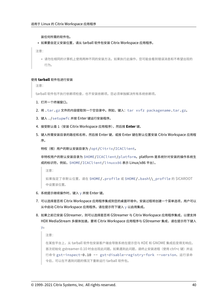装任何所需的软件包。

• 如果要自定义安装位置,请从 tarball 软件包安装 Citrix Workspace 应用程序。

注意:

• 请勿在相同的计算机上使用两种不同的安装方法。如果执行此操作,您可能会看到错误消息和不希望出现的 行为。

### 使用 **tarball** 软件包进行安装

注意:

tarball 软件包不执行依赖项检查,也不安装依赖项。您必须单独解决所有系统依赖项。

- 1. 打开一个终端窗口。
- 2. 将 .tar.gz 文件的内容提取到一个空目录中。例如,键入:tar xvfz packagename.tar.gz。
- 3. 键入 ./setupwfc 并按 Enter 键运行安装程序。
- 4. 接受默认值 1 (安装 Citrix Workspace 应用程序),然后按 Enter 键。
- 5. 键入所需安装目录的路径和名称,然后按 Enter 键,或按 Enter 键在默认位置安装 Citrix Workspace 应用程 序。

```
特权(根)用户的默认安装目录为 /opt/Citrix/ICAClient。
```
非特权用户的默认安装目录为 \$HOME/ICAClient/platform。platform 是系统针对安装的操作系统生 成的标识符,例如,\$HOME/ICAClient/linuxx86 表示 Linux/x86 平台)。

注意:

如果指定了非默认位置,请在 \$HOME/.profile 或 \$HOME/.bash\\\_profile 的 \$ICAROOT 中设置该位置。

- 6. 系统提示继续操作时,键入 y 并按 Enter 键。
- 7. 可以选择是否将 Citrix Workspace 应用程序集成到您的桌面环境中。安装过程将创建一个菜单选项,用户可以 从中启动 Citrix Workspace 应用程序。请在提示符下键入 y 以启用集成。
- 8. 如果之前已安装 GStreamer, 则可以选择是否将 GStreamer 与 Citrix Workspace 应用程序集成, 以便支持 HDX MediaStream 多媒体加速。要将 Citrix Workspace 应用程序与 GStreamer 集成,请在提示符下键入

y。

注意:

在某些平台上,从 tarball 软件包安装客户端会导致系统在提示您与 KDE 和 GNOME 集成后变得无响应。 首次初始化 gstreamer‑0.10 时会出现此问题。如果遇到此问题,请终止安装进程(使用 ctrl+c 键)并运 行命令 gst-inspect-0.10 -- gst-disable-registry-fork --version。运行该命 令后,可以在不遇到问题的情况下重新运行 tarball 软件包。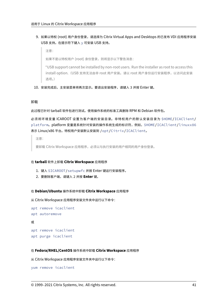- 9. 如果以特权 (root) 用户身份登录,请选择为 Citrix Virtual Apps and Desktops 的已发布 VDI 应用程序安装 USB 支持。在提示符下键入 y 可安装 USB 支持。
	- 注意:

如果不是以特权用户 (root) 身份登录, 则将显示以下警告消息:

"USB support cannot be installed by non‑root users. Run the installer as root to access this install option.(USB 支持无法由非 root 用户安装。请以 root 用户身份运行安装程序,以访问此安装 选项。)

10. 安装完成后,主安装菜单将再次显示。要退出安装程序,请键入 3 并按 Enter 键。

## 卸载

此过程已针对 tarball 软件包进行测试。使用操作系统的标准工具删除 RPM 和 Debian 软件包。

必须将环境变量 ICAROOT 设置为客户端的安装目录。非特权用户的默认安装目录为 \$HOME/ICAClient/ platform。platform 变量是系统针对安装的操作系统生成的标识符,例如,\$HOME/ICAClient/linuxx86 表示 Linux/x86 平台。特权用户安装默认安装到 /opt/Citrix/ICAClient。

注意:

要卸载 Citrix Workspace 应用程序,必须以与执行安装的用户相同的用户身份登录。

## 在 **tarball** 软件上卸载 **Citrix Workspace** 应用程序

- 1. 键入 \$ICAROOT/setupwfc 并按 Enter 键运行安装程序。
- 2. 要删除客户端,请键入 2 并按 **Enter** 键。

### 在 **Debian/Ubuntu** 操作系统中卸载 **Citrix Workspace** 应用程序

从 Citrix Workspace 应用程序安装文件夹中运行以下命令:

```
apt remove icaclient
apt autoremove
或
apt remove icaclient
apt purge icaclient
```
# 在 **Fedora/RHEL/CentOS** 操作系统中卸载 **Citrix Workspace** 应用程序

从 Citrix Workspace 应用程序安装文件夹中运行以下命令:

```
yum remove icaclient
```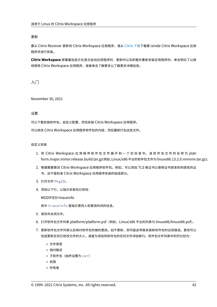# 更新

要从 Citrix Receiver 更新到 Citrix Workspace 应用程序,请从 Citrix 下载下载需 ixinde Citrix Workspace 应用 程序并进行安装。

**Citrix Workspace** 屏幕叠加显示在首次启动应用程序时、更新时以及卸载并重新安装应用程序时。单击明白了以继 续使用 Citrix Workspace 应用程序, 或者单击了解更多以了解更[多详细信息。](https://www.citrix.com/downloads/workspace-app/linux/workspace-app-for-linux-latest.html)

入门

November 30, 2021

设置

可以下载安装软件包,自定义配置,然后安装 Citrix Workspace 应用程序。

可以修改 Citrix Workspace 应用程序软件包的内容,然后重新打包这些文件。

### 自定义安装

- 1. 将 Citrix Workspace 应用程序软件包文件展开到一个空目录中。该软件包文件的名称为 platform.major.minor.release.build.tar.gz(例如,Linux/x86 平台的软件包文件为 linuxx86.13.2.0.nnnnnn.tar.gz)。
- 2. 根据需要更改 Citrix Workspace 应用程序软件包。例如,可以添加 TLS 根证书以使用证书颁发机构颁发的证 书,这不是标准 Citrix Workspace 应用程序安装的组成部分。
- 3. 打开文件 PkgID。
- 4. 添加以下行,以指示安装包已修改:

MODIFIED=traceinfo

其中 traceinfo 是指示更改人和更改时间的信息。

- 5. 保存并关闭文件。
- 6. 打开软件包文件列表 platform/platform.psf(例如,Linux/x86 平台的列表为 linuxx86/linuxx86.psf)。
- 7. 更新软件包文件列表以反映对软件包所做的更改。如不更新,则可能会导致安装新软件包时出现错误。更改可以 包括更新任何已修改文件的大小,或者为添加到软件包的任何文件添加新行。软件包文件列表中的列分别为:
	- 文件类型
	- 相对路径
	- 子软件包(始终设置为 cor)
	- 权限
	- 所有者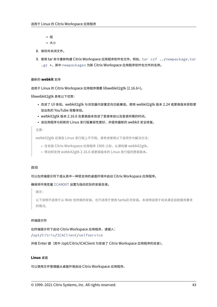- 组
- 大小
- 8. 保存并关闭文件。
- 9. 使用 tar 命令重新构建 Citrix Workspace 应用程序软件包文件。例如,tar czf ../newpackage.tar .gz \*, 其中 newpackagez 为新 Citrix Workspace 应用程序软件包文件的名称。

# 最新的 **webkit** 支持

适用于 Linux 的 Citrix Workspace 应用程序需要 libwebkit2gtk (2.16.6+)。

libwebkit2gtk 具有以下优势:

- 改进了 UI 体验。webkit2gtk 与浏览器内容重定向功能兼容。使用 webkit2gtk 版本 2.24 或更高版本获取更 加出色的 YouTube 观看体验。
- webkit2gtk 版本 2.16.6 及更高版本改进了登录体验以及登录所需的时间。
- 该应用程序与较新的 Linux 发行版兼容性更好,并提供最新的 webkit 安全修复。

#### 注意:

webkit2gtk 在某些 Linux 发行版上不可用。请考虑使用以下选项作为解决方法:

- 在安装 Citrix Workspace 应用程序 1906 之前,从源构建 webkit2gtk。
- 移动到支持 webkit2gtk 2.16.6 或更高版本的 Linux 发行版的更高版本。

# 启动

可以在终端提示符下或从其中一种受支持的桌面环境中启动 Citrix Workspace 应用程序。

### 确保将环境变量 ICAROOT 设置为指向实际的安装目录。

提示:

以下说明不适用于从 Web 包所做的安装,也不适用于使用 tarball 的安装。本说明适用于尚未满足自助服务要求 的情况。

### 终端提示符

在终端提示符下启动 Citrix Workspace 应用程序,请键入: /opt/Citrix/ICAClient/selfservice

并按 Enter 键(其中 /opt/Citrix/ICAClient 为安装了 Citrix Workspace 应用程序的目录)。

# **Linux** 桌面

可以使用文件管理器从桌面环境启动 Citrix Workspace 应用程序。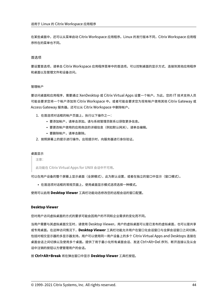在某些桌面中,还可以从菜单启动 Citrix Workspace 应用程序。Linux 的发行版本不同, Citrix Workspace 应用程 序所在的菜单也不同。

#### 首选项

要设置首选项,请单击 Citrix Workspace 应用程序菜单中的首选项。可以控制桌面的显示方式、连接到其他应用程序 和桌面以及管理文件和设备访问。

#### 管理帐户

要访问桌面和应用程序,需要通过 XenDesktop 或 Citrix Virtual Apps 设置一个帐户。为此,您的 IT 技术支持人员 可能会要求您将一个帐户添加到 Citrix Workspace 中。或者可能会要求您为现有帐户使用其他 Citrix Gateway 或 Access Gateway 服务器。还可以从 Citrix Workspace 中删除帐户。

- 1. 在首选项对话框的帐户页面上,执行以下操作之一:
	- 要添加帐户,请单击添加。请与系统管理员联系以获取更多信息。
	- 要更改帐户使用的应用商店的详细信息(例如默认网关),请单击编辑。
	- 要删除帐户,请单击删除。
- 2. 按照屏幕上的提示进行操作。出现提示时,向服务器进行身份验证。

#### 桌面显示

注意:

此功能在 Citrix Virtual Apps for UNIX 会话中不可用。

可以在用户设备的整个屏幕上显示桌面(全屏模式),此为默认设置,或者在独立的窗口中显示(窗口模式)。

• 在首选项对话框的常规页面上,使用桌面显示模式选项选择一种模式。

使用可以启用 **Desktop Viewer** 工具栏功能动态修改您的远程会话的窗口配置。

### **Desktop Viewer**

您对用户访问虚拟桌面的方式的要求可能会因用户的不同和企业需求的变化而不同。

当用户需要与其虚拟桌面交互时,请使用 Desktop Viewer。用户的虚拟桌面可以是已发布的虚拟桌面,也可以是共享 或专用桌面。在这种访问情况下,**Desktop Viewer** 工具栏功能允许用户在窗口化会话窗口与全屏会话窗口之间切换, 包括对相交显示器的多显示器支持。用户可以使用同一用户设备上的多个 Citrix Virtual Apps and Desktops 连接在 桌面会话之间切换以及使用多个桌面。提供了用于最小化所有桌面会话、发送 Ctrl+Alt+Del 序列、断开连接以及从会 话中注销的按钮以方便管理用户的会话。

按 **Ctrl+Alt+Break** 将在弹出窗口中显示 **Desktop Viewer** 工具栏按钮。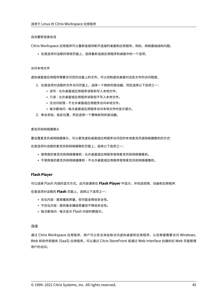### 自动重新连接会话

Citrix Workspace 应用程序可以重新连接到断开连接的桌面和应用程序。例如,网络基础结构问题。

• 在首选项对话框的常规页面上,选择重新连接应用程序和桌面中的一个选项。

#### 访问本地文件

虚拟桌面或应用程序需要访问您的设备上的文件。可以控制虚拟桌面对这些文件的访问程度。

- 1. 在首选项对话框的文件访问页面上,选择一个映射的驱动器,然后选择以下选项之一:
	- 读写 允许桌面或应用程序读取和写入本地文件。
	- 只读 ‑ 允许桌面或应用程序读取但不写入本地文件。
	- 无访问权限 ‑ 不允许桌面或应用程序访问本地文件。
	- 每次都询问 每次桌面或应用程序访问本地文件时显示提示。
- 2. 单击添加,指定位置,然后选择一个要映射到的驱动器。

#### 麦克风和网络摄像头

要设置麦克风或网络摄像头,可以更改虚拟桌面或应用程序访问您的本地麦克风或网络摄像机的方式: 在首选项对话框的麦克风和网络摄像机页面上,选择以下选项之一:

- 使用我的麦克风和网络摄像机 允许桌面或应用程序使用麦克风和网络摄像机。
- 不使用我的麦克风和网络摄像机 不允许桌面或应用程序使用麦克风和网络摄像机。

### **Flash Player**

可以选择 Flash 内容的显示方式。此内容通常在 **Flash Player** 中显示,并包括视频、动画和应用程序: 在首选项对话框的 **Flash** 页面上,选择以下选项之一:

- 优化内容 提高播放质量,但可能会降低安全性。
- 不优化内容 提供基本播放质量但不降低安全性。
- 每次都询问 ‑ 每次显示 Flash 内容时都提示。

#### 连接

通过 Citrix Workspace 应用程序,用户可以安全地自助访问虚拟桌面和应用程序,以及根据需要访问 Windows、 Web 和软件即服务 (SaaS) 应用程序。可以通过 Citrix StoreFront 或通过 Web Interface 创建的旧 Web 页面管理 用户的访问。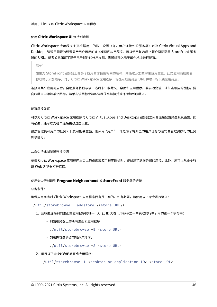### 使用 **Citrix Workspace UI** 连接到资源

Citrix Workspace 应用程序主页根据用户的帐户设置(即,用户连接到的服务器)以及 Citrix Virtual Apps and Desktops 管理员配置的设置显示用户可用的虚拟桌面和应用程序。可以使用首选项 > 帐户页面配置 StoreFront 服务 器的 URL,或者如果配置了基于电子邮件的帐户发现,则通过输入电子邮件地址进行配置。

提示:

如果为 StoreFront 服务器上的多个应用商店使用相同的名称,则通过添加数字来避免重复。此类应用商店的名 称取决于添加顺序。对于 Citrix Workspace 应用程序,将显示应用商店 URL 并唯一标识该应用商店。

连接到某个应用商店后,自助服务将显示以下选项卡:收藏夹、桌面和应用程序。要启动会话,请单击相应的图标。要 向收藏夹中添加某个图标,请单击该图标旁边的详细信息链接并选择添加到收藏夹。

### 配置连接设置

可以为 Citrix Workspace 应用程序与 Citrix Virtual Apps and Desktops 服务器之间的连接配置某些默认设置。如 有必要,还可以为各个连接更改这些设置。

虽然管理员和用户的任务和职责可能会重叠,但采用 "用户" 一词是为了将典型的用户任务与通常由管理员执行的任务 加以区分。

#### 从命令行或浏览器连接资源

单击 Citrix Workspace 应用程序主页上的桌面或应用程序图标时,即创建了到服务器的连接。此外,还可以从命令行 或 Web 浏览器打开连接。

### 使用命令行创建到 **Program Neighborhood** 或 **StoreFront** 服务器的连接

必备条件:

确保应用商店对 Citrix Workspace 应用程序而言是已知的。如有必要,请使用以下命令进行添加:

### ./util/storebrowse --addstore \<store URL\>

- 1. 获取要连接到的桌面或应用程序的唯一 ID。此 ID 为在以下命令之一中获取的行中引用的第一个字符串:
	- 列出服务器上的所有桌面和应用程序:

./util/storebrowse -E <store URL>

• 列出已订阅的桌面和应用程序:

./util/storebrowse -S <store URL>

2. 运行以下命令以启动桌面或应用程序:

./util/storebrowse -L <desktop or application ID> <store URL>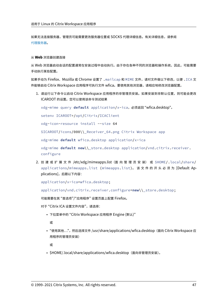如果无法连接服务器,管理员可能需要更改服务器位置或 SOCKS 代理详细信息。有关详细信息,请参阅 代理服务器。

### 从 **[Web](https://docs.citrix.com/zh-cn/citrix-workspace-app-for-linux/secure.html#proxy-server)** 浏览器创建连接

从 Web 浏览器启动会话的配置通常在安装过程中自动执行。由于存在各种不同的浏览器和操作系统,因此,可能需要 手动执行某些配置。

如果手动为 Firefox、Mozilla 或 Chrome 设置了 .mailcap 和 MIME 文件,请对文件做以下修改,以便 .ICA 文 件能够启动 Citrix Workspace 应用程序可执行文件 wfica。要使用其他浏览器,请相应地修改浏览器配置。

1. 请运行以下命令以启动 Citrix Workspace 应用程序的非管理员安装。如果安装到非默认位置,则可能会更改 ICAROOT 的设置。您可以使用该命令测试结果

xdg-mime query **default** application/x-ica,必须返回 "wfica.desktop"。

setenv ICAROOT=/opt/Citrix/ICAClient

xdg-icon-resource install --size 64

\$ICAROOT/icons/000\\\_Receiver\_64.png Citrix Workspace app

xdg-mime **default** wfica.desktop application/x-ica

xdg-mime **default new**\\\_store.desktop application/vnd.citrix.receiver. configure

2. 创 建 或 扩 展 文 件 /etc/xdg/mimeapps.list (面 向 管 理 员 安 装) 或 \$HOME/.local/share/ applications/mimeapps.list (mimeapps.list)。 该文件的开头必须为 [Default Applications],后跟以下内容:

application/x-ica=wfica.desktop;

```
application/vnd.citrix.receiver.configure=new\\_store.desktop;
```
可能需要在其 "首选项"/"应用程序" 设置页面上配置 Firefox。

对于"Citrix ICA 设置文件内容",请选择:

• 下拉菜单中的 "Citrix Workspace 应用程序 Engine (默认)"

或

• "使用其他...",然后选择文件 /usr/share/applications/wfica.desktop (面向 Citrix Workspace 应 用程序的管理员安装)

或

• \$HOME/.local/share/applications/wfica.desktop(面向非管理员安装)。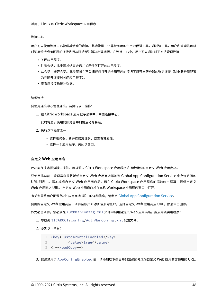#### 连接中心

用户可以使用连接中心管理其活动的连接。此功能是一个非常有用的生产力促进工具,通过该工具,用户和管理员可以 对速度缓慢或有问题的连接进行故障诊断并解决出现问题。在连接中心中,用户可以通过以下方法管理连接:

- 关闭应用程序。
- 注销会话。此步骤将结束会话并关闭任何打开的应用程序。
- 从会话中断开会话。此步骤将在不关闭任何打开的应用程序的情况下断开与服务器的选定连接(除非服务器配置 为在断开连接时关闭应用程序)。
- 查看连接传输统计数据。

#### 管理连接

要使用连接中心管理连接,请执行以下操作:

1. 在 Citrix Workspace 应用程序菜单中,单击连接中心。

此时将显示使用的服务器并列出活动的会话。

- 2. 执行以下操作之一:
	- 选择服务器、断开连接或注销,或查看其属性。
	- 选择一个应用程序,关闭该窗口。

### 自定义 **Web** 应用商店

此功能在技术预览版中提供。可以通过 Citrix Workspace 应用程序访问贵组织的自定义 Web 应用商店。

要使用此功能,管理员必须将域或自定义 Web 应用商店添加到 Global App Configuration Service 中允许访问的 URL 列表中。添加域或自定义 Web 应用商店后,请在 Citrix Workspace 应用程序的添加帐户屏幕中提供自定义 Web 应用商店 URL。自定义 Web 应用商店将在本机 Workspace 应用程序窗口中打开。

有关为最终用户配置 Web 应用商店 URL 的详细信息,请参阅 Global App Configuration Service。

要删除自定义 Web 应用商店,请转至帐户 > 添加或删除帐户,选择自定义 Web 应用商店 URL,然后单击删除。

作为必备条件,您必须在 AuthManConfig.xml 文件中启用自定义 Web [应用商店。要启用该实用](https://developer.cloud.com/citrixworkspace/server-integration/global-app-configuration-service/docs/getting-started)程序:

1. 导航到 \$ICAROOT/config/AuthManConfig.xml 配置文件。

2. 添加以下条目:

```
1 <key>CustomPortalEnabled</key>
2 <value>true</value>
3 <!--NeedCopy-->
```
3. 如果禁用了 AppConfigEnabled 值,请添加以下条目并列出必须考虑为自定义 Web 应用商店使用的 URL。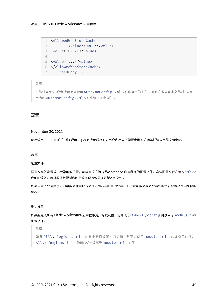```
1 <AllowedWebStoreCache>
2 <value><URL1></value>
3 <value><URL2></value>
4 ..
5 <value>....</value>
6 </AllowedWebStoreCache>
7 <!--NeedCopy-->
```
# 注意:

只能对自定义 Web 应用商店使用 AuthManConfig.xml 文件中列出的 URL。可以在要为自定义 Web 应用 商店的 AuthManConfig.xml 文件中添加多个 URL。

# 配置

## November 30, 2021

使用适用于 Linux 的 Citrix Workspace 应用程序时, 用户利用以下配置步骤可访问其托管应用程序和桌面。

# 设置

配置文件

要更改高级设置或不太常用的设置,可以修改 Citrix Workspace 应用程序的配置文件。这些配置文件在每次 wfica 启动时读取。可以根据希望所做的更改实现的效果来更新各种文件。

如果启用了会话共享,则可能会使用现有会话,而非新配置的会话。此设置可能会导致会话忽略您在配置文件中所做的 更改。

# 默认设置

如果要更改所有 Citrix Workspace 应用程序用户的默认值,请修改 \$ICAROOT/config 目录中的 module.ini 配置文件。

注意:

如果 All\\\_Regions.ini 中的某个条目设置为特定值,则不会使用 module.ini 中的该条目的值。 All\\\_Regions.ini 中的值的优先级高于 module.ini 中的值。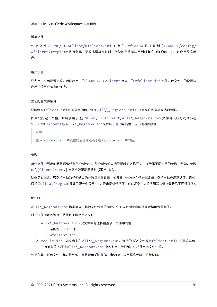#### 模板文件

如果文件 \$HOME/.ICAClient/wfclient.ini 不存在, wfica 将通过复制 \$ICAROOT/config/ wfclient.template 进行创建。更改此模板文件时,所做的更改将应用到所有 Citrix Workspace 应用程序用 户。

#### 用户设置

要为用户应用配置更改,请修改用户的 \$HOME/.ICAClient 目录中的 wfclient.ini 文件。此文件中的设置将 应用于该用户将来的连接。

#### 验证配置文件条目

要限制 wfclient.ini 中的条目的值,请在 All\\\_Regions.ini 中指定允许的选项或选项范围。

如果只指定一个值,则将使用该值。\$HOME/.ICAClient/All\\\_Regsions.ini 文件可以匹配或减小在 \$ICAROOT/config/All\\\_Regions.ini文件中设置的可能值,但不能消除限制。

注意:

在 wfclient.ini 中设置的值优先级高于在 module.ini 中的值。

#### 参数

每个文件中列出的参数都编组到各个部分中。每个部分都以括号括起的名称开头,指示属于同一组的参数;例如,参数 的 \[ClientDrive\] 与客户端驱动器映射 (CDM) 有关。

除非另有指定,否则将自动为任何缺失的参数指定默认值。如果某个参数存在但未指定值,则将自动应用默认值。例如, 假设 InitialProgram 参数后跟一个等号 (=),但未提供任何值。在此示例中,将应用默认值(登录后不运行程序)。

# 优先级

All\\\_Regions.ini 指定可以由其他文件设置的参数。它可以限制参数的值或者精确设置其值。

对于任何指定的连接,将按以下顺序签入文件:

- 1. All\\\_Regions.ini ‑ 此文件中的值将覆盖以下文件中的值:
	- 连接的 .ICA 文件
		- wfclient.ini
- 2. module.ini 如果尚未在 All\\\_Regions.ini、连接的.ICA 文件或 wfclient.ini 中设置这些值, 并且这些值不通过 All\\\_Regions.ini 中的条目进行限制,则将使用此文件中值。

如果在其中任何文件中都未找到值,则将使用 Citrix Workspace 应用程序代码中的默认值。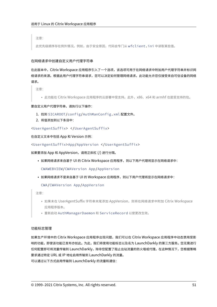注意:

此优先级顺序存在例外情况。例如,由于安全原因,代码会专门从 wfclient.ini 中读取某些值。

# 在网络请求中创建自定义用户代理字符串

在此版本中, Citrix Workspace 应用程序引入了一个选项,该选项可用于在网络请求中附加用户代理字符串并标识网 络请求的来源。根据此用户代理字符串请求,您可以决定如何管理网络请求。此功能允许您仅接受来自可信设备的网络 请求。

注意:

• 此功能在 Citrix Workspace 应用程序的云部署中受支持。此外,x86、x64 和 armhf 也是受支持的包。

## 要自定义用户代理字符串,请执行以下操作:

- 1. 找到 \$ICAROOT/config/AuthManConfig.xml 配置文件。
- 2. 将值添加到以下条目中:

<UserAgentSuffix> </UserAgentSuffix>

在自定义文本中包括 App 和 Version 示例:

<UserAgentSuffix>App/AppVersion </UserAgentSuffix>

如果要添加 App 和 AppVersion,请用正斜杠 (/) 进行分隔。

• 如果网络请求来自基于 UI 的 Citrix Workspace 应用程序, 则以下用户代理将显示在网络请求中:

CWAWEBVIEW/CWAVersion App/AppVersion

• 如果网络请求不是来自基于 UI 的 Workspace 应用程序,则以下用户代理将显示在网络请求中:

CWA/CWAVersion App/AppVersion

注意:

- 如果未在 UserAgentSuffix 字符串末尾添加 AppVersion,则将在网络请求中附加 Citrix Workspace 应用程序版本。
- 重新启动 AuthManagerDaemon 和 ServiceRecord 以使更改生效。

# 功能标志管理

如果生产环境中的 Citrix Workspace 应用程序出现问题,我们可以在 Citrix Workspace 应用程序中动态禁用受影 响的功能,即使该功能已发布亦如此。为此,我们将使用功能标志以及名为 LaunchDarkly 的第三方服务。您无需进行 任何配置即可将流量传输到 LaunchDarkly,除非您配置了阻止出站流量的防火墙或代理。在这种情况下,您根据策略 要求通过特定 URL 或 IP 地址启用传输到 LaunchDarkly 的流量。 可以通过以下方式启用传输到 LaunchDarkly 的流量和通信: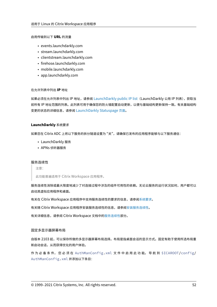#### 启用传输到以下 **URL** 的流量

- events.launchdarkly.com
- stream.launchdarkly.com
- clientstream.launchdarkly.com
- firehose.launchdarkly.com
- mobile.launchdarkly.com
- app.launchdarkly.com

#### 在允许列表中列出 **IP** 地址

如果必须在允许列表中列出 IP 地址,请参阅 LaunchDarkly public IP list (LaunchDarkly 公用 IP 列表),获取当 前所有 IP 地址范围的列表。此列表可用于确保您的防火墙配置自动更新,以便与基础结构更新保持一致。有关基础结构 变更的状态的详细信息,请参阅 LaunchDarkly Statuspage 页面。

#### **LaunchDarkly** 系统要求

如果您在 Citrix ADC 上将以下服务的拆分隧道设置为 "关",请确保已发布的应用程序能够与以下服务通信:

- LaunchDarkly 服务
- APNs 侦听器服务

#### 服务连续性

注意:

此功能普遍适用于 Citrix Workspace 应用程序。

服务连续性消除或最大限度地减少了对连接过程中涉及的组件可用性的依赖。无论云服务的运行状况如何,用户都可以 启动其虚拟应用程序和桌面。

有关在 Citrix Workspace 应用程序中支持服务连续性的要求的信息,请参阅系统要求。

有关随 Citrix Workspace 应用程序安装服务连续性的信息,请参阅安装服务连续性。

有关详细信息,请参阅 Citrix Workspace 文档中的服务连续性部分。

#### 固定多显示器屏幕布局

自版本 2103 起,可以保存所做的多显示器屏幕布局选择。布局是指桌面会话的显示方式。固定有助于使用所选布局重 新启动会话,从而获得优化的用户体验。

作 为 必 备 条 件, 您 必 须 在 AuthManConfig.xml 文 件 中 启 用 此 功 能。 导 航 到 \$ICAROOT/config/ AuthManConfig.xml 并添加以下条目: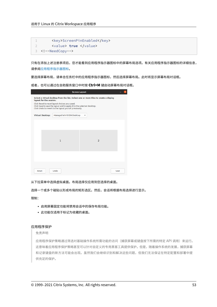1 <key>ScreenPinEnabled</key> 2 <value> **true** </value> 3 <!--NeedCopy-->

只有在添加上述注册表项后,您才能看到应用程序指示器图标中的屏幕布局选项。有关应用程序指示器图标的详细信息, 请参阅应用程序指示器图标。

要选择屏幕布局,请单击任务栏中的应用程序指示器图标,然后选择屏幕布局。此时将显示屏幕布局对话框。

或者[,也可以通过在自助服务](https://docs.citrix.com/zh-cn/citrix-workspace-app-for-linux/configure-xenapp.html#app-indicator-icon)窗口中时按 **Ctrl+M** 键启动屏幕布局对话框。

| <b>Screen Layout</b>                                                                                                                                                                                                                                                                                  |                           |                |      |
|-------------------------------------------------------------------------------------------------------------------------------------------------------------------------------------------------------------------------------------------------------------------------------------------------------|---------------------------|----------------|------|
| Select a virtual desktop from the list. Select one or more tiles to create a display<br>layout for the session.<br>Click Reset to reset layout choices you saved.<br>Click Save to save the layout and to apply it to the selected desktop.<br>Click Undo to revert to the layout you set previously. |                           |                |      |
| <b>Virtual Desktop:</b>                                                                                                                                                                                                                                                                               | Managed Win10 SIN Desktop | ▼              |      |
|                                                                                                                                                                                                                                                                                                       | $\mathbf{1}$              | $\overline{2}$ |      |
| Reset                                                                                                                                                                                                                                                                                                 | Undo                      |                | Save |

从下拉菜单中选择虚拟桌面。布局选择仅应用到您选择的桌面。

选择一个或多个磁贴以形成布局的矩形选区。然后,会话将根据布局选择进行显示。

限制:

- 启用屏幕固定功能将禁用会话中的保存布局功能。
- 此功能仅适用于标记为收藏的桌面。

## 应用程序保护

免责声明

应用程序保护策略通过筛选对基础操作系统所需功能的访问(捕获屏幕或键盘按下所需的特定 API 调用)来运行。 这意味着应用程序保护策略甚至可以针对自定义的专用黑客工具提供保护。但是,随着操作系统的发展,捕获屏幕 和记录键盘的新方法可能会出现。虽然我们会继续识别和解决这些问题,但我们无法保证在特定配置和部署中提 供充足的保护。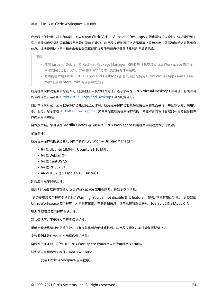应用程序保护是一项附加功能,可以在使用 Citrix Virtual Apps and Desktops 时提供增强的安全性。该功能限制了 客户端受键盘记录和屏幕捕获恶意软件影响的能力。应用程序保护可防止泄露屏幕上显示的用户凭据和敏感信息等机密 信息。该功能可防止用户和攻击者截取屏幕截图以及使用键盘记录器收集和利用敏感信息。

注意:

- 使用 tarball、Debian 和 Red Hat Package Manager (RPM) 软件包安装 Citrix Workspace 应用程 序时支持此功能。此外,x64 和 armhf 是唯一受支持的体系结构。
- 此功能在本地 Citrix Virtual Apps and Desktops 部署以及搭配使用 Citrix Virtual Apps and Desk‑ tops 服务和 StoreFront 的部署中受支持。

应用程序保护功能要求您在许可证服务器上安装附加许可证。还必须存在 Citrix Virtual Desktops 许可证。有关许可 的详细信息,请参阅 Citrix Virtual Apps and Desktops 中的配置部分。

自版本 2108 起,应用程序保护功能已完全起作用。应用程序保护功能支持应用程序和桌面会话,并且默认处于启用状 态。但是,您必须在 [AuthManConfig.xml](https://docs.citrix.com/zh-cn/citrix-virtual-apps-desktops.html) 文件中配置应用程序保护功能,才能对身份验证管理器和自助服务插件 界面启用该功能。

自本版本起,您可以在 Mozilla Firefox 运行期间从 Citrix Workspace 应用程序中启动受保护的资源。

必备条件:

应用程序保护功能最适合以下操作系统以及 Gnome Display Manager:

- 64 位 Ubuntu 18.04+, Ubuntu 21.10 除外。
- 64 位 Debian 9+
- 64 位 CentOS7.5+
- 64 位 RHEL7.5+
- ARMHF 32 位 Raspbian 10 (Buster)+

### 卸载应用程序保护组件:

使用 tarball 软件包安装 Citrix Workspace 应用程序时,将显示以下消息。

"是否要安装应用程序保护组件? Warning: You cannot disable this feature. (警告: 不能禁用此功能。) 必须卸载 Citrix Workspace 应用程序,才能将其禁用。有关详细信息,请与系统管理员联系。[default \$INSTALLER\_N]:"

输入 **Y** 以安装应用程序保护组件。

默认情况下,不安装应用程序保护组件。

重新启动计算机以使更改生效。只有在您重新启动计算机后,应用程序保护功能才能按预期运行。

安装 **RPM** 软件包中的应用程序保护组件:

自版本 2104 起, RPM 版 Citrix Workspace 应用程序支持应用程序保护功能。

要安装应用程序保护组件,请执行以下操作:

1. 安装 Citrix Workspace 应用程序。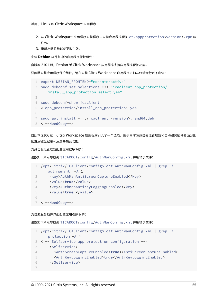- 2. 从 Citrix Workspace 应用程序安装程序中安装应用程序保护 ctxappprotection<version>.rpm 软 件包。
- 3. 重新启动系统以使更改生效。

安装 **Debian** 软件包中的应用程序保护组件:

自版本 2101 起, Debian 版 Citrix Workspace 应用程序支持应用程序保护功能。

要静默安装应用程序保护组件,请在安装 Citrix Workspace 应用程序之前从终端运行以下命令:

```
1 export DEBIAN_FRONTEND="noninteractive"
2 sudo debconf-set-selections <<< "icaclient app_protection/
      install_app_protection select yes"
3
4 sudo debconf-show icaclient
5 * app_protection/install_app_protection: yes
6
7 sudo apt install -f ./icaclient_<version>._amd64.deb
8 <!--NeedCopy-->
```
自版本 2106 起, Citrix Workspace 应用程序引入了一个选项,用于同时为身份验证管理器和自助服务插件界面分别 配置反键盘记录和反屏幕捕获功能。

为身份验证管理器配置应用程序保护:

请按如下所示导航到 \$ICAROOT/config/AuthManConfig.xml 并编辑该文件:

|               | 1 /opt/Citrix/ICAClient/config\$ cat AuthManConfig.xml   grep -i |
|---------------|------------------------------------------------------------------|
|               | authmananti -A 1                                                 |
|               | <key>AuthManAntiScreenCaptureEnabled</key>                       |
| $\mathcal{R}$ | <value>true</value>                                              |
|               | <key>AuthManAntiKeyLoggingEnabled</key>                          |
| 5             | <value>true </value>                                             |
| 6             |                                                                  |
|               | 7 NeedCopy                                                       |

为自助服务插件界面配置应用程序保护:

请按如下所示导航到 \$ICAROOT/config/AuthManConfig.xml 并编辑该文件:

```
1 /opt/Citrix/ICAClient/config$ cat AuthManConfig.xml | grep -i
     protection -A 4
2 <!-- Selfservice app protection configuration -->
3 <Selfservice>
4 <AntiScreenCaptureEnabled>true</AntiScreenCaptureEnabled>
5 <AntiKeyLoggingEnabled>true</AntiKeyLoggingEnabled>
6 </Selfservice>
7
```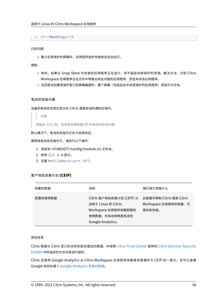8 <!--NeedCopy-->

已知问题:

• 最小化受保护的屏幕时,应用程序保护将继续在后台运行。

限制:

- 有时,如果从 Snap Store 中安装的应用程序正在运行,则不能启动受保护的资源。解决方法: 识别 Citrix Workspace 应用程序日志文件中导致出现此问题的应用程序,然后关闭该应用程序。
- 当您尝试创建受保护窗口的屏幕截图时,整个屏幕(包括后台中未受保护的应用程序)将显示为灰色。

#### 电池状态指示器

设备的电池状态现在显示在 Citrix 桌面会话的通知区域中。

注意:

自版本 2111 起,还将显示服务器 VD 的电池状态指示器。

默认情况下,电池状态指示灯处于启用状态。

要禁用电池状态指示灯,请执行以下操作:

- 1. 导航到 <ICAROOT>/config/module.ini 文件夹。
- 2. 转到 ICA 3.0 部分。
- 3. 设置 MobileReceiver= Off。

# 客户体验改善计划 **(CEIP)**

| 收集的数据   | 说明                                                                                                           | 我们用它来做什么                                                 |
|---------|--------------------------------------------------------------------------------------------------------------|----------------------------------------------------------|
| 配置和使用数据 | Citrix 客户体验改善计划 (CEIP) 从<br>适用于 Linux 的 Citrix<br>Workspace 应用程序收集配置和<br>使用数据,并自动将数据发送到<br>Google Analytics. | 此数据可帮助 Citrix 提高 Citrix<br>Workspace 应用程序的质量、可<br>靠性和性能。 |

### 其他信息

Citrix 根据与 Citrix 签订的合同条款处理您的数据,并按照 Citrix Trust Center 提供的 Citrix Services Security Exhibit 中所指定的方式对其进行保护。

Citrix 还使用 Google Analytics 从 Citrix Workspace 应[用程序收集某些数据](https://www.citrix.com/about/trust-center/privacy-compliance.html)作为 CEIP [的一部分。您可以查看](https://www.citrix.com/buy/licensing/citrix-services-security-exhibit.html) [Google](https://www.citrix.com/buy/licensing/citrix-services-security-exhibit.html) 如何处理为 Google Analytics 收集的数据。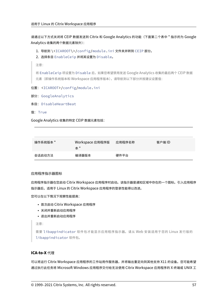请通过以下方式关闭将 CEIP 数据发送到 Citrix 和 Google Analytics 的功能(下面第二个表中 \* 指示的为 Google Analytics 收集的两个数据元素除外):

1. 导航到 \<ICAROOT\>/config/module.ini 文件夹并转到 CEIP 部分。

2. 选择条目 EnableCeip 并将其设置为 Disable。

注意:

将 EnableCeip 项设置为 Disable 后,如果您希望禁用发送 Google Analytics 收集的最后两个 CEIP 数据 元素(即操作系统版本和 Workspace 应用程序版本),请导航到以下部分并按建议设置值:

位置: <ICAROOT>/config/module.ini

- 部分: GoogleAnalytics
- 条目: DisableHeartBeat
- 值: True

Google Analytics 收集的特定 CEIP 数据元素包括:

| 操作系统版本 * | Workspace 应用程序版<br>本 * | 应用程序名称 | 客户端 ID |
|----------|------------------------|--------|--------|
| 会话启动方法   | 编译器版本                  | 硬件平台   |        |

### 应用程序指示器图标

应用程序指示器在您启动 Citrix Workspace 应用程序时启动。该指示器是通知区域中存在的一个图标。引入应用程序 指示器后,适用于 Linux 的 Citrix Workspace 应用程序的登录性能得以改进。

您可以在以下情况下观察性能提高:

- 首次启动 Citrix Workspace 应用程序
- 关闭并重新启动应用程序
- 退出并重新启动应用程序

注意:

需要 libappindicator 软件包才能显示应用程序指示器。请从 Web 安装适用于您的 Linux 发行版的 libappindicator 软件包。

# **ICA‑to‑X** 代理

可以将运行 Citrix Workspace 应用程序的工作站用作服务器,并将输出重定向到其他支持 X11 的设备。您可能希望 通过执行此任务将 Microsoft Windows 应用程序交付给无法使用 Citrix Workspace 应用程序的 X 终端或 UNIX 工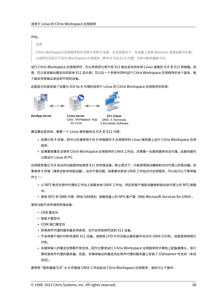### 作站。

注意:

Citrix Workspace 应用程序软件适用于多种 X 设备,在这些情况下,在设备上安装 Receiver 是首选解决方案。 以此种方式运行 Citrix Workspace 应用程序 (即作为 ICA-to-X 代理) 又称为服务器端 ICA。

运行 Citrix Workspace 应用程序时,可以将其视为用于将 X11 输出定向到本地 Linux 桌面的 ICA 至 X11 转换器。但 是,可以将该输出重定向到其他 X11 显示屏。可以在一个系统中同时运行 Citrix Workspace 应用程序的多个副本,每 个副本将其输出发送到不同的设备。

此图显示的是安装了设置为 ICA‑to‑X 代理的适用于 Linux 的 Citrix Workspace 应用程序的系统:







XenApp server

Linux server Citrix Workspace App for Linux

X11 Client UNIX, X Terminals, X Emulation Software

要设置此类系统,需要一个 Linux 服务器充当 ICA 至 X11 代理:

- 如果已有 X 终端,则可以在通常用于向 X 终端提供 X 应用程序的 Linux 服务器上运行 Citrix Workspace 应用 程序。
- 如果要部署无法使用 Citrix Workspace 应用程序的 UNIX 工作站,还需要一台服务器来充当代理。此服务器可 以是运行 Linux 的 PC

应用程序通过 ICA 协议的功能提供给使用 X11 的终端设备。默认情况下,只能使用驱动器映射访问代理上的驱动器。如 果使用 X 终端(通常没有本地驱动器),这并不是问题。如果要向其他 UNIX 工作站交付应用程序,可以执行以下两项操 作之一:

- 以 NFS 格式在用作代理的工作站上装载本地 UNIX 工作站,然后将客户端驱动器映射指向该代理上的 NFS 装载 点。
- 使用 NFS 到 SMB 代理 (例如 SAMBA)或服务器上的 NFS 客户端 (例如 Microsoft Services for UNIX)。

某些功能不会传递到终端设备:

- USB 重定向
- 智能卡重定向
- COM 端口重定向
- 即使用作代理的服务器支持音频,也不会将音频传送到 X11 设备。
- 不会将客户端打印机传递到 X11 设备。请使用 LPD 打印功能从服务器手动访问 UNIX 打印机,或者使用网络打 印机。
- 多媒体输入的重定向预期不受支持,因为它要求运行 Citrix Workspace 应用程序的计算机上配备摄像头,该计 算机是用作代理的服务器。但是,多媒体输出的重定向在用作代理的服务器上安装了 GStreamer 时支持(未经 测试)。

要使用 "服务器端 ICA" 从 X 终端或 UNIX 工作站启动 Citrix Workspace 应用程序,请执行以下操作: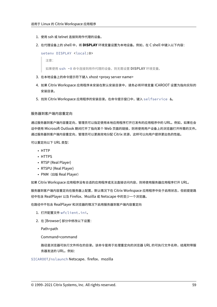- 1. 使用 ssh 或 telnet 连接到用作代理的设备。
- 2. 在代理设备上的 shell 中,将 **DISPLAY** 环境变量设置为本地设备。例如,在 C shell 中键入以下内容:

```
seteny DISPLAY <local:0>
```

```
注意:
```
如果使用 ssh -X 命令连接到用作代理的设备,则无需设置 **DISPLAY** 环境变量。

- 3. 在本地设备上的命令提示符下键入 xhost <proxy server name>
- 4. 如果 Citrix Workspace 应用程序未安装在默认安装目录中,请务必将环境变量 ICAROOT 设置为指向实际的 安装目录。
- 5. 找到 Citrix Workspace 应用程序的安装目录。在命令提示窗口中,键入 selfservice &。

## 服务器到客户端内容重定向

通过服务器到客户端内容重定向,管理员可以指定使用本地应用程序打开已发布的应用程序中的 URL。例如,如果在会 话中使用 Microsoft Outlook 期间打开了指向某个 Web 页面的链接,则将使用用户设备上的浏览器打开所需的文件。 通过服务器到客户端内容重定向,管理员可以更高效地分配 Citrix 资源,这样可以向用户提供更出色的性能。

可以重定向以下 URL 类型:

- HTTP
- HTTPS
- RTSP (Real Player)
- RTSPU (Real Player)
- PNM (旧版 Real Player)

如果 Citrix Workspace 应用程序没有合适的应用程序或无法直接访问内容,则将使用服务器应用程序打开 URL。

服务器到客户端内容重定向在服务器上配置,默认情况下在 Citrix Workspace 应用程序中处于启用状态,但前提是路 径中包含 RealPlayer 以及 Firefox、Mozilla 或 Netscape 中的至少一个浏览器。

在路径中不包含 RealPlayer 和浏览器的情况下启用服务器到客户端内容重定向

- 1. 打开配置文件 wfclient.ini。
- 2. 在 [Browser] 部分中修改以下设置:

Path=path

Command=command

路径是浏览器可执行文件所在的目录。该命令是用于处理重定向的浏览器 URL 的可执行文件名称,结尾附带服 务器发送的 URL。例如:

# \$ICAROOT/nslaunch Netscape、firefox、mozilla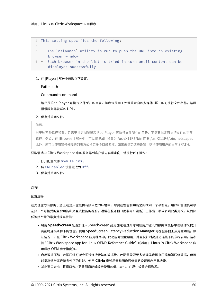```
1 This setting specifies the following:
```

```
3 - The `nslaunch` utility is run to push the URL into an existing
     browser window
```

```
4 - Each browser in the list is tried in turn until content can be
     displayed successfully
```
# 1. 在 [Player] 部分中修改以下设置:

Path=path

## Command=command

路径是 RealPlayer 可执行文件所在的目录。该命令是用于处理重定向的多媒体 URL 的可执行文件名称,结尾 附带服务器发送的 URL。

## 2. 保存并关闭文件。

注意:

2

对于这两种路径设置,只需要指定浏览器和 RealPlayer 可执行文件所在的目录,不需要指定可执行文件的完整 路径。例如,在 [Browser] 部分中,可以将 Path 设置为 /usr/X11R6/bin 而非 /usr/X11R6/bin/netscape。 此外,还可以使用冒号分隔的列表方式指定多个目录名称。如果未指定这些设置,则将使用用户的当前 \$PATH。

# 要取消选中 Citrix Workspace 中的服务器到客户端内容重定向,请执行以下操作:

- 1. 打开配置文件 module.ini。
- 2. 将 CREnabled 设置更改为 Off。
- 3. 保存并关闭文件。

### 连接

### 配置连接

在处理能力有限的设备上或是只能提供有限带宽的环境中,需要在性能和功能之间找到一个平衡点。用户和管理员可以 选择一个可接受的复杂功能和交互式性能的组合。通常在服务器(而非用户设备)上作出一项或多项此类更改,从而降 低连接所需的带宽并提高性能:

- 启用 **SpeedScreen** 延迟加速 ‑ SpeedScreen 延迟加速通过即时响应用户键入的数据或鼠标单击操作来提升 高延时连接条件下的性能。使用 SpeedScreen Latency Reduction Manager 可在服务器上启用此功能。默 认情况下,在 Citrix Workspace 应用程序中, 此功能对键盘禁用, 并且仅针对高延迟连接下的鼠标启用。请参 阅 "Citrix Workspace app for Linux OEM's Reference Guide"(《适用于 Linux 的 Citrix Workspace 应 用程序 OEM 参考指南》)。
- 启用数据压缩 数据压缩可减少通过连接传输的数据量。此配置需要更多处理器资源来压缩和解压缩数据,但可 以提高低带宽连接条件下的性能。使用 **Citrix** 音频质量和图像压缩策略设置可启用此功能。
- 减小窗口大小 将窗口大小更改到您能够轻松使用的最小大小。在场中设置会话选项。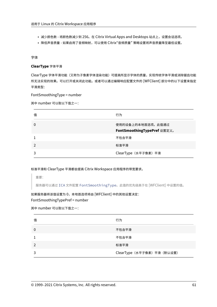- 减少颜色数 将颜色数减少到 256。在 Citrix Virtual Apps and Desktops 站点上, 设置会话选项。
- 降低声音质量 ‑ 如果启用了音频映射,可以使用 Citrix"音频质量" 策略设置将声音质量降至最低设置。

字体

# **ClearType** 字体平滑

ClearType 字体平滑功能(又称为子像素字体渲染功能)可提高所显示字体的质量,实现传统字体平滑或消除锯齿功能 所无法实现的效果。可以打开或关闭此功能。或者可以通过编辑响应配置文件的 [WFClient] 部分中的以下设置来指定 平滑类型:

FontSmoothingType = number

其中 number 可以取以下值之一:

| 值 | 行为                                               |
|---|--------------------------------------------------|
| 0 | 使用的设备上的本地首选项。此值通过<br>FontSmoothingTypePref 设置定义。 |
|   | 不包含平滑                                            |
|   | 标准平滑                                             |
|   | ClearType (水平子像素) 平滑                             |

标准平滑和 ClearType 平滑都会提高 Citrix Workspace 应用程序的带宽要求。

重要:

服务器可以通过 ICA 文件配置 FontSmoothingType。此值的优先级高于在 [WFClient] 中设置的值。

如果服务器将该值设置为 0,本地首选项将由 [WFClient] 中的其他设置决定: FontSmoothingTypePref = number

其中 number 可以取以下值之一:

| 值 | 行为                          |
|---|-----------------------------|
| 0 | 不包含平滑                       |
|   | 不包含平滑                       |
|   | 标准平滑                        |
|   | ClearType (水平子像素) 平滑 (默认设置) |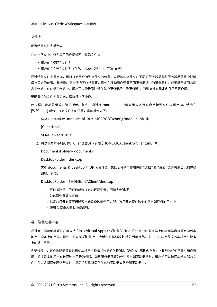文件夹

### 配置特殊文件夹重定向

在此上下文中,仅为每位用户提供两个特殊文件夹:

- 用户的 "桌面" 文件夹
- 用户的"文档"文件夹(在 Windows XP 中为"我的文档")

通过特殊文件夹重定向,可以指定用户特殊文件夹的位置,以便这些文件夹在不同的服务器类型和服务器场配置中能够 保持固定的位置。此功能在某些情况下非常重要,例如在移动用户登录不同服务器场中的服务器时。对于基于桌面的静 态工作站(在此类工作站中,用户可以登录到驻留在单个服务器场中的服务器),特殊文件夹重定向几乎不起作用。

要配置特殊文件夹重定向,请执行以下操作:

此过程由两部分组成,如下所示。首先,通过在 module.ini 中建立相应条目来启用特殊文件夹重定向,然后在 [WFClient] 部分中指定文件夹的位置,具体操作如下:

1. 将以下文本添加到 module.ini (例如 \$ICAROOT/config/module.ini) 中:

[ClientDrive]

SFRAllowed = True

2. 将以下文本添加到 [WFClient] 部分(例如 \$HOME/.ICAClient/wfclient.ini)中:

DocumentsFolder = documents

DesktopFolder = desktop

其中 documents 和 desktop 为 UNIX 文件名, 包括要分别用作用户的"文档"和"桌面"文件夹的目录的完整 路径。例如:

DesktopFolder = \$HOME/.ICAClient/desktop

- 可以将路径中的任何部分指定为环境变量,例如 \$HOME。
- 为这两个参数指定值。
- 指定的目录必须可通过客户端设备映射使用。即,该目录必须在映射的客户端设备的子树中。
- 使用 C 或更大的驱动器盘符。

### 客户端驱动器映射

通过客户端驱动器映射,可以将 Citrix Virtual Apps 或 Citrix Virtual Desktops 服务器上的驱动器盘符重定向到本 地用户设备上的目录。例如,可以将 Citrix 用户会话中的驱动器 H 映射到运行 Workspace 应用程序的本地用户设备 上的某个目录。

会话过程中,客户端驱动器映射可使本地用户设备(包括 CD‑ROM、DVD 或 USB 内存条)上装载的任何目录对用户可 用,前提是本地用户有访问这些目录的权限。如果服务器配置为允许客户端驱动器映射,用户将可以访问本地存储的文 件,在会话期间处理这些文件,然后将其重新保存在本地驱动器或服务器驱动器上。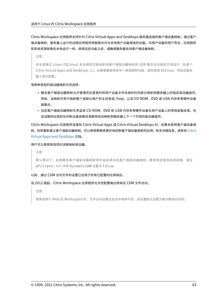Citrix Workspace 应用程序支持针对 Citrix Virtual Apps and Desktops 服务器连接的客户端设备映射。通过客户 端设备映射,服务器上运行的远程应用程序将能够访问与本地用户设备相连的设备。对用户设备的用户而言,应用程序 和系统资源就像在本地运行一样。使用这些功能之前,请确保服务器支持客户端设备映射。

注意:

安全增强式 Linux (SELinux) 安全模型可能会影响客户端驱动器映射和 USB 重定向功能的正常运行(在两个 Citrix Virtual Apps and Desktops 上)。如果需要使用其中一种或两种功能,请先禁用 SELinux, 然后在服务 器上进行配置。

### 有两种类型的驱动器映射可供选择:

- 静态客户端驱动器映射允许管理员在登录时将用户设备文件系统的任何部分映射到服务器上的指定驱动器盘符。 例如,该映射可用于映射整个或部分用户的主目录或 /tmp,以及 CD‑ROM、DVD 或 USB 内存条等硬件设备 装载点。
- 动态客户端驱动器映射负责监视 CD‑ROM、DVD 和 USB 内存条等硬件设备在用户设备上的常规装载目录。在 会话期间出现的任何新设备装载目录都将自动映射到服务器上下一个可用的驱动器盘符。

Citrix Workspace 应用程序连接到 Citrix Virtual Apps 或 Citrix Virtual Desktops 时,如果未禁用客户端设备映 射,则将重新建立客户端驱动器映射。可以使用策略来更好地控制客户端设备映射的应用。有关详细信息,请参阅 Citrix Virtual Apps and Desktops 文档。

## 用户可以使用首选项对话框映射驱动器。

[注意:](https://docs.citrix.com/zh-cn/citrix-virtual-apps-desktops.html)

默认情况下,启用静态客户端驱动器映射同时会启用动态客户端驱动器映射。要禁用后者但启用前者,请在 wfclient.ini 中将 DynamicCDM 设置为 False。

# 以前,通过 CDM 访问文件的设置已应用于所有已配置的应用商店。

# 自 2012 版起,Citrix Workspace 应用程序允许您配置每应用商店 CDM 文件访问。

注意:

使用适用于 Web 的 Workspace 时,文件访问设置在会话中保持不变。该设置默认设置为每次都询问选项。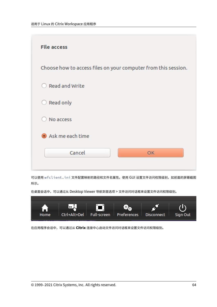

可以使用 wfclient.ini 文件配置映射的路径和文件名属性。使用 GUI 设置文件访问权限级别,如前面的屏幕截图 所示。

在桌面会话中,可以通过从 Desktop Viewer 导航到首选项 > 文件访问对话框来设置文件访问权限级别。



在应用程序会话中,可以通过从 **Citrix** 连接中心启动文件访问对话框来设置文件访问权限级别。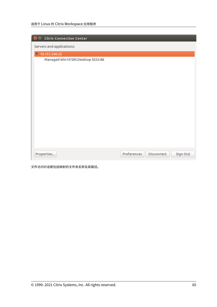| <b>Citrix Connection Center</b>    |             |            |          |
|------------------------------------|-------------|------------|----------|
| Servers and applications:          |             |            |          |
| $\sqrt{10.151.246.35}$             |             |            |          |
| Managed Win10 SIN Desktop \$552-86 |             |            |          |
|                                    |             |            |          |
| Properties                         | Preferences | Disconnect | Sign Out |

文件访问对话框包括映射的文件夹名称及其路径。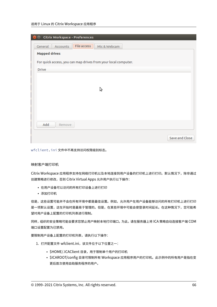## 适用于 Linux 的 Citrix Workspace 应用程序

| Citrix Workspace - Preferences                                 |                |
|----------------------------------------------------------------|----------------|
| File access<br>General<br>Accounts<br>Mic & Webcam             |                |
| <b>Mapped drives</b>                                           |                |
| For quick access, you can map drives from your local computer. |                |
| <b>Drive</b>                                                   |                |
|                                                                |                |
|                                                                |                |
| Ą                                                              |                |
|                                                                |                |
|                                                                |                |
|                                                                |                |
| Add<br>Remove                                                  |                |
|                                                                |                |
|                                                                | Save and Close |

wfclient.ini 文件中不再支持访问权限级别标志。

# 映射客户端打印机

Citrix Workspace 应用程序支持在网络打印机以及本地连接到用户设备的打印机上进行打印。默认情况下,除非通过 创建策略进行修改,否则 Citrix Virtual Apps 允许用户执行以下操作:

- 在用户设备可以访问的所有打印设备上进行打印
- 添加打印机

但是,这些设置可能并不会在所有环境中都是最佳设置。例如,允许用户在用户设备能够访问的所有打印机上进行打印 是一项默认设置,这在开始时是最易于管理的。但是,在某些环境中可能会使登录时间延长。在这种情况下,您可能希 望对用户设备上配置的打印机列表进行限制。

同样,组织的安全策略可能会要求您禁止用户映射本地打印端口。为此,请在服务器上将 ICA 策略自动连接客户端 COM 端口设置配置为已禁用。

要限制用户设备上配置的打印机列表,请执行以下操作:

- 1. 打开配置文件 wfclient.ini,该文件位于以下位置之一:
	- \$HOME/.ICAClient 目录,用于限制单个用户的打印机
	- \$ICAROOT/config 目录可限制所有 Workspace 应用程序用户的打印机。此示例中的所有用户是指在变 更后首次使用自助服务程序的用户。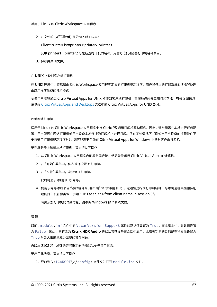2. 在文件的 [WFClient] 部分键入以下内容:

ClientPrinterList=printer1:printer2:printer3

其中 printer1、printer2 等是所选打印机的名称。用冒号 (:) 分隔各打印机名称条目。

3. 保存并关闭文件。

### 在 **UNIX** 上映射客户端打印机

在 UNIX 环境中,将忽略由 Citrix Workspace 应用程序定义的打印机驱动程序。用户设备上的打印系统必须能够处理 由应用程序生成的打印格式。

要使用户能够通过 Citrix Virtual Apps for UNIX 打印到客户端打印机,管理员必须先启用打印功能。有关详细信息, 请参阅 Citrix Virtual Apps and Desktops 文档中的 Citrix Virtual Apps for UNIX 部分。

### 映射本[地打印机](https://docs.citrix.com/zh-cn/citrix-virtual-apps-desktops.html)

适用于 Linux 的 Citrix Workspace 应用程序支持 Citrix PS 通用打印机驱动程序。因此,通常无需在本地进行任何配 置,用户即可在网络打印机或用户设备本地连接的打印机上进行打印。但在某些情况下(例如当用户设备的打印软件不 支持通用打印机驱动程序时),您可能需要手动在 Citrix Virtual Apps for Windows 上映射客户端打印机。

要在服务器上映射本地打印机,请执行以下操作:

- 1. 从 Citrix Workspace 应用程序启动服务器连接,然后登录运行 Citrix Virtual Apps 的计算机。
- 2. 在 "开始" 菜单中,依次选择设置 **>** 打印机。
- 3. 在 "文件" 菜单中,选择添加打印机。

此时将显示添加打印机向导。

4. 使用该向导添加来自 "客户端网络, 客户端" 域的网络打印机。这通常是标准打印机名称,与本机远程桌面服务创 建的打印机名称类似,例如 "HP LaserJet 4 from client name in session 3"。

有关添加打印机的详细信息,请参阅 Windows 操作系统文档。

### 音频

以前, module.ini 文件中的 VdcamVersion4Support 属性的默认值设置为 True。在本版本中,默认值设置 为 False。因此,只有名为 **Citrix HDX Audio** 的默认音频设备在会话中显示。此增强功能的目的是在将属性设置为 True 时最大限度地减少出现的音频问题。

自版本 2108 起,增强的音频重定向功能默认处于禁用状态。

### 要启用此功能,请执行以下操作:

1. 导航到 \<ICAROOT\>/config/ 文件夹并打开 module.ini 文件。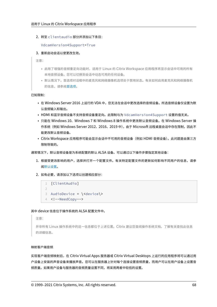2. 转至 clientaudio 部分并添加以下条目:

VdcamVersion4Support=True

3. 重新启动会话以使更改生效。

注意:

- 启用了增强的音频重定向功能时,适用于 Linux 的 Citrix Workspace 应用程序将显示会话中可用的所有 本地音频设备。您可以切换到会话中动态可用的任何设备。
- 默认情况下,首选项对话框中的麦克风和网络摄像机选项处于禁用状态。有关如何启用麦克风和网络摄像机 的信息,请参阅首选项。

已知限制:

- 在 Windows Ser[ver 20](https://docs.citrix.com/zh-cn/citrix-workspace-app-for-linux/get-started.html#preferences)16 上运行的 VDA 中,您无法在会话中更改选择的音频设备。所选音频设备仅设置为默 认音频输入和输出。
- HDMI 和蓝牙音频设备不支持音频设备重定向。此限制与为 VdcamVersion4Support 设置的值无关。
- 只能在 Windows 10、Windows 7 和 Windows 8 操作系统中更改默认音频设备。在 Windows Server 操 作系统 (例如 Windows Server 2012、2016、2019 中),由于 Microsoft 远程桌面会话中存在限制,因此不 能更改默认音频设备。
- Citrix Workspace 应用程序可能会显示会话中不可用的音频设备(例如 HDMI 音频设备)。此问题是由第三方 限制导致的。

通常情况下,默认音频设备是为系统配置的默认 ALSA 设备。可以通过以下操作步骤指定其他设备:

- 1. 根据受更改影响的用户,选择并打开一个配置文件。有关特定配置文件的更新如何影响不同用户的信息,请参 阅默认设置。
- 2. 如有必要,请添加以下选项以创建相应部分:

```
1 [ClientAudio]
\mathcal{L}3 AudioDevice = \<device\>
4 <!--NeedCopy-->
```
其中 device 信息位于操作系统的 ALSA 配置文件中。

```
注意:
```

```
并非所有 Linux 操作系统中的这一信息都位于上述位置。Citrix 建议您查阅操作系统文档,了解有关查找此信息
的详细信息。
```
### 映射客户端音频

实现客户端音频映射后,在 Citrix Virtual Apps 服务器或 Citrix Virtual Desktops 上运行的应用程序将可以通过用 户设备上安装的声音设备来播放声音。您可以在服务器上针对每个连接设置音频质量,而用户可以在用户设备上设置音 频质量。如果用户设备与服务器的音频质量设置不同,将采用两者中较低的设置。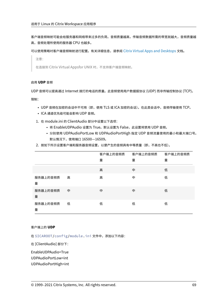客户端音频映射可能会给服务器和网络带来过多的负荷。音频质量越高,传输音频数据所需的带宽就越大,音频质量越 高,音频处理所使用的服务器 CPU 也越多。

可以使用策略对客户端音频映射进行配置。有关详细信息,请参阅 Citrix Virtual Apps and Desktops 文档。

注意:

在连接到 Citrix Virtual Appsfor UNIX 时,不支持客户端音[频映射。](https://docs.citrix.com/zh-cn/citrix-virtual-apps-desktops.html)

## 启用 **UDP** 音频

UDP 音频可以提高通过 Internet 拨打的电话的质量。此音频使用用户数据报协议 (UDP) 而非传输控制协议 (TCP)。 限制:

- UDP 音频在加密的会话中不可用(即,使用 TLS 或 ICA 加密的会话)。在此类会话中,音频传输使用 TCP。
- ICA 通道优先级可能会影响 UDP 音频。
- 1. 在 module.ini 的 ClientAudio 部分中设置以下选项:
	- 将 EnableUDPAudio 设置为 True。默认设置为 False,此设置将禁用 UDP 音频。
	- 分别使用 UDPAudioPortLow 和 UDPAudioPortHigh 指定 UDP 音频流量使用的最小和最大端口号。 默认情况下,使用端口 16500—16509。
- 2. 按如下所示设置客户端和服务器音频设置,以便产生的音频具有中等质量(即,不高也不低)。

|               |   | 客户端上的音频质 | 客户端上的音频质 | 客户端上的音频质 |
|---------------|---|----------|----------|----------|
|               |   | 量        | 量        | 量        |
|               |   | 高        | 中        | 低        |
| 服务器上的音频质<br>量 | 高 | 高        | 中        | 低        |
| 服务器上的音频质<br>量 | 中 | 中        | 中        | 低        |
| 服务器上的音频质<br>量 | 低 | 低        | 低        | 低        |

#### 客户端上的 **UDP**

在 \$ICAROOT/config/module.ini 文件中,添加以下内容:

在 [ClientAudio] 部分下:

EnableUDPAudio=True UDPAudioPortLow=int

UDPAudioPortHigh=int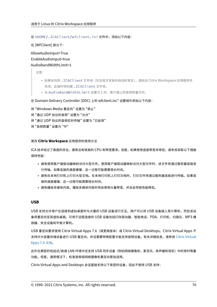在 \$HOME/.ICAClient/wfclient.ini 文件中,添加以下内容:

在 [WFClient] 部分下:

AllowAudioInput=True EnableAudioInput=true AudioBandWidthLimit=1

注意:

- 如果未找到 .ICAClient 文件夹(仅在首次安装并启动时发生),请启动 Citrix Workspace 应用程序并 关闭。此操作将创建 .ICAClient 文件夹。
- 当 AudioBandWidthLimit 设置为 1 时,客户端上的音频质量为中。

在 Domain Delivery Controller (DDC) 上的 wfclient.ini.\* 设置域中添加以下内容:

将 "Windows Media 重定向" 设置为 "禁止" 将 "通过 UDP 协议的音频" 设置为 "允许" 将 "通过 UDP 协议的音频实时传输" 设置为 "已启用" 将 "音频质量" 设置为 "中"

#### 更改 **Citrix Workspace** 应用程序的使用方法

ICA 技术经过了高度的优化,通常没有很高的 CPU 和带宽要求。但是,如果使用连接带宽非常低,请考虑采取以下措施 保持性能:

- 避免使用客户端驱动器映射访问大型文件。使用客户端驱动器映射访问大型文件时,该文件将通过服务器连接进 行传输。如果连接的速度缓慢,这一过程可能需要很长时间。
- 避免在本地打印机上打印大型文档。在本地打印机上打印文档时,打印文件将通过服务器连接进行传输。如果连 接的速度缓慢,这一过程可能需要很长时间。
- 避免播放多媒体内容。播放多媒体内容时将会使用大量带宽,并且会导致性能降低。

#### **USB**

USB 支持允许用户在连接到虚拟桌面时与大量的 USB 设备进行交互。用户可以将 USB 设备插入其计算机,然后该设 备将重定向至其虚拟桌面。可用于远程连接的 USB 设备包括闪存驱动器、智能电话、PDA、打印机、扫描仪、MP3 播 放器、安全设备和平板计算机。

USB 重定向要求使用 Citrix Virtual Apps 7.6 (或更高版本)或 Citrix Virtual Desktops。Citrix Virtual Apps 不 支持对大容量存储设备进行 USB 重定向,并且需要特殊配置才能支持音频设备。有关详细信息,请参阅 Citrix Virtual Apps 7.6 文档。

此外在典型的低延迟/高速 LAN 环境中还支持 USB 同步设备(例如网络摄像机、麦克风、扬声器和耳机[\)中的常时等量](https://docs.citrix.com/zh-cn/categories/legacy-archive/xenapp-and-xendesktop.html) 功能。但是,通常情况下,标准音频或网络摄像机重定向更加适用。

[Citrix Virtual](https://docs.citrix.com/zh-cn/categories/legacy-archive/xenapp-and-xendesktop.html) Apps and Desktops 会话直接支持以下类型的设备,因此不使用 USB 支持: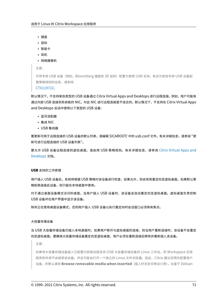- 键盘
- 鼠标
- 智能卡
- 耳机
- 网络摄像机

注意:

可将专用 USB 设备(例如, Bloomberg 键盘和 3D 鼠标)配置为使用 USB 支持。有关为其他专用 USB 设备配 置策略规则的信息,请参阅

CTX119722。

默认情况下,不支持某些类型的 USB 设备通过 Citrix Virtual Apps and Desktops 进行远程连接。例如,用户可能有 通过内部 USB 连接到系统板的 NIC。对此 NIC 进行远程连接是不适合的。默认情况下,不支持在 Citrix Virtual Apps an[d Desktops](http://support.citrix.com/article/ctx119722) 会话中使用以下类型的 USB 设备:

- 蓝牙适配器
- 集成 NIC
- USB 集线器

要更新可用于远程连接的 USB 设备的默认列表,请编辑 \$ICAROOT/ 中的 usb.conf 文件。有关详细信息,请参阅 "更 新可进行远程连接的 USB 设备列表"。

要允许 USB 设备远程连接到虚拟桌面,请启用 USB 策略规则。有关详细信息,请参阅 Citrix Virtual Apps and Desktops 文档。

#### **[USB](https://docs.citrix.com/zh-cn/citrix-virtual-apps-desktops.html)** 支持的工作原理

用户插入 USB 设备后,系统将根据 USB 策略对该设备进行检查,如果允许,则会将其重定向至虚拟桌面。如果默认策 略拒绝连接此设备,则只能在本地桌面中使用。

对于通过桌面设备模式访问的桌面,当用户插入 USB 设备时,该设备会自动重定向至虚拟桌面。虚拟桌面负责控制 USB 设备并在用户界面中显示该设备。

除非正在使用桌面设备模式,否则用户插入 USB 设备以执行重定向时会话窗口必须具有焦点。

### 大容量存储设备

当 USB 大容量存储设备仍插入本地桌面时,如果用户断开与虚拟桌面的连接,则当用户重新连接时,该设备不会重定 向至虚拟桌面。要确保大容量存储设备重定向至虚拟桌面,用户必须在重新连接后移除并重新插入该设备。

注意:

如果将大容量存储设备插入已配置为拒绝远程支持 USB 大容量存储设备的 Linux 工作站,则 Workspace 应用 程序软件将不会接受该设备。并且可能会打开一个独立的 Linux 文件浏览器。因此,Citrix 建议您预先配置用户 设备,并默认清除 **Browse removable media when inserted**(插入时浏览可移动介质)。在基于 Debian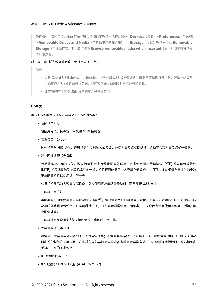的设备中,请使用 Debian 菜单栏通过选择以下选项来执行此操作:**Desktop**(桌面)**> Preferences**(首选项) **> Removable Drives and Media**(可移动驱动器和介质)。在 **Storage**(存储)选项卡上的 **Removable Storage**(可移动存储)下,取消选中 **Browse removable media when inserted**(插入时浏览可移动介 质)复选框。

对于客户端 USB 设备重定向,请注意以下几点。

注意:

- 如果 Client USB device redirection(客户端 USB 设备重定向)服务器策略已打开,则大容量存储设备 将始终作为 USB 设备进行定向,即使客户端驱动器映射已打开也是如此。
- 该应用程序不支持 USB 设备的复合设备重定向。

#### **USB** 类

默认 USB 策略规则允许连接以下 USB 设备类:

• 音频(类 01)

包括麦克风、扬声器、耳机和 MIDI 控制器。

• 物理接口(类 05)

这些设备与 HID 类似,但通常提供实时输入或反馈,包括力量反馈式操纵杆、运动平台和力量反馈式外骨骼。

• 静止图像处理(类 06)

包括数码相机和扫描仪。数码相机通常支持静止图像处理类,该类使用图片传输协议 (PTP) 或媒体传输协议 (MTP) 将图像传输到计算机或其他外设。相机还可能显示为大容量存储设备。并且可以通过相机自身提供的安装 菜单配置相机以使用其中任一类。

如果相机显示为大容量存储设备,则应使用客户端驱动器映射,而不需要 USB 支持。

• 打印机(类 07)

虽然某些打印机使用供应商特定协议(类 ff),但是大多数打印机通常仍包含在此类中。多功能打印机可能具有内 部集线器或是复合设备。在这两种情况下,打印元素通常使用打印机类,扫描或传真元素使用其他类,例如,静 止图像处理。

打印机通常在没有 USB 支持的情况下也可以正常工作。

• 大容量存储(类 08)

最常见的大容量存储设备是 USB 闪存驱动器;其他大容量存储设备包括 USB 外置硬盘驱动器、CD/DVD 驱动 器和 SD/MMC 卡读卡器。许多带有内部存储功能的设备也提供大容量存储接口,包括媒体播放器、数码相机和 手机。已知的子类包括:

- 01 受限的闪存设备
- 02 典型的 CD/DVD 设备 (ATAPI/MMC‑2)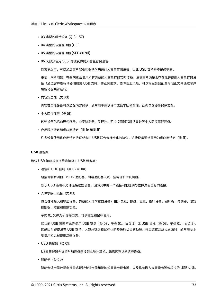- 03 典型的磁带设备 (QIC‑157)
- 04 典型的软盘驱动器 (UFI)
- 05 典型的软盘驱动器 (SFF‑8070i)
- 06 大部分使用 SCSI 的此变体的大容量存储设备

通常情况下,可以通过客户端驱动器映射来访问大容量存储设备,因此 USB 支持并不是必需的。

重要:众所周知,有些病毒会使用所有类型的大容量存储实时传播。请慎重考虑是否存在允许使用大容量存储设 备(通过客户端驱动器映射或 USB 支持)的业务要求。要降低此风险,可以将服务器配置为阻止文件通过客户 端驱动器映射运行。

• 内容安全性(类 0d)

内容安全性设备可以加强内容保护,通常用于保护许可或数字版权管理。此类包含硬件保护装置。

• 个人医疗保健(类 0f)

这些设备包括血压传感器、心率监测器、步程计、药片监测器和肺活量计等个人医疗保健设备。

• 应用程序特定和供应商特定(类 fe 和类 ff)

许多设备使用供应商特定协议或未由 USB 联合会标准化的协议,这些设备通常显示为供应商特定(类 ff)。

#### **USB** 设备类

默认 USB 策略规则拒绝连接以下 USB 设备类:

• 通信和 CDC 控制 (类 02 和 0a)

包括调制解调器、ISDN 适配器、网络适配器以及一些电话和传真机器。

默认 USB 策略不允许连接这些设备,因为其中的一个设备可能提供与虚拟桌面自身的连接。

• 人体学接口设备(类 03)

包含各种输入和输出设备。典型的人体学接口设备 (HID) 包括:键盘、鼠标、指针设备、图形板、传感器、游戏 控制器、按钮和控制功能。

子类 01 又称为引导接口类,可供键盘和鼠标使用。

默认的 USB 策略不允许使用 USB 键盘 (类 03, 子类 01, 协议 1)或 USB 鼠标 (类 03, 子类 01, 协议 2)。 这是因为即使没有 USB 支持,大部分键盘和鼠标也能够进行恰当的处理。并且连接到虚拟桌面时,通常需要本 地使用和远程使用这些设备。

• USB 集线器(类 09)

USB 集线器允许将附加设备连接到本地计算机。无需远程访问这些设备。

• 智能卡 (类 0b)

智能卡读卡器包括非接触式智能卡读卡器和接触式智能卡读卡器,以及具有嵌入式智能卡等效芯片的 USB 令牌。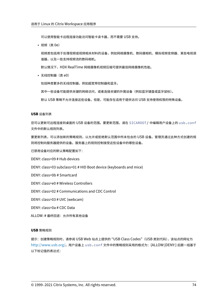可以使用智能卡远程连接功能访问智能卡读卡器,而不需要 USB 支持。

• 视频(类 0e)

视频类包括用于处理视频或视频相关材料的设备,例如网络摄像机、数码摄相机、模拟视频变频器、某些电视调 谐器,以及一些支持视频流的数码相机。

默认情况下,HDX RealTime 网络摄像机视频压缩可提供最佳网络摄像机性能。

• 无线控制器(类 e0)

包括种类繁多的无线控制器,例如超宽带控制器和蓝牙。

其中一些设备可能提供关键的网络访问,或者连接关键的外围设备(例如蓝牙键盘或蓝牙鼠标)。

默认 USB 策略不允许连接这些设备。但是,可能存在适用于提供访问 USB 支持使用权限的特殊设备。

**USB** 设备列表

您可以更新可远程连接到桌面的 USB 设备的范围。要更新范围,请在 \$ICAROOT/ 中编辑用户设备上的 usb.conf 文件中的默认规则列表。

要更新列表,可以添加新的策略规则,以允许或拒绝默认范围中所未包含的 USB 设备。管理员通过此种方式创建的规 则将控制向服务器提供的设备。服务器上的规则控制接受这些设备中的哪些设备。

已禁用设备对应的默认策略配置如下:

DENY: class=09 # Hub devices

DENY: class=03 subclass=01 # HID Boot device (keyboards and mice)

DENY: class=0b # Smartcard

DENY: class=e0 # Wireless Controllers

DENY: class=02 # Communications and CDC Control

DENY: class=03 # UVC (webcam)

DENY: class=0a # CDC Data

ALLOW: # 最终回退: 允许所有其他设备

#### **USB** 策略规则

提示:创建策略规则时,请参阅 USB Web 站点上提供的 "USB Class Codes"(USB 类别代码),该站点的网址为 http://www.usb.org/。用户设备上 usb.conf 文件中的策略规则采用的格式为:{ALLOW:|DENY:} 后跟一组基于 以下标记值的表达式: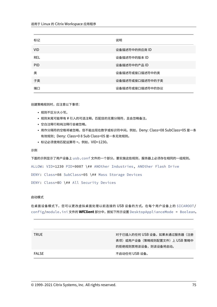| 标记         | 说明              |
|------------|-----------------|
| <b>VID</b> | 设备描述符中的供应商 ID   |
| REL        | 设备描述符中的版本 ID    |
| <b>PID</b> | 设备描述符中的产品ID     |
| 类          | 设备描述符或接口描述符中的类  |
| 子类         | 设备描述符或接口描述符中的子类 |
| 端口         | 设备描述符或接口描述符中的协议 |

创建策略规则时,应注意以下事项:

- 规则不区分大小写。
- 规则末尾可能带有 # 引入的可选注释。匹配目的无需分隔符,且会忽略备注。
- 空白注释行和纯注释行会被忽略。
- 用作分隔符的空格将被忽略,但不能出现在数字或标识符中间。例如,Deny: Class=08 SubClass=05 是一条 有效规则;Deny: Class=0 8 Sub Class=05 是一条无效规则。
- 标记必须使用匹配运算符 =。例如,VID=1230。

示例

下面的示例显示了用户设备上 usb.conf 文件的一个部分。要实施这些规则,服务器上必须存在相同的一组规则。

ALLOW: VID=1230 PID=0007 \## ANOther Industries, ANOther Flash Drive

DENY: Class=08 SubClass=05 \## Mass Storage Devices

DENY: Class=0D \## All Security Devices

### 启动模式

在桌面设备模式下,您可以更改虚拟桌面处理以前连接的 USB 设备的方式。在每个用户设备上的 \$ICAROOT/ config/module.ini 文件的 **WfClient** 部分中,按如下所示设置 DesktopApplianceMode = Boolean。

| <b>TRUE</b> | 对于已插入的任何 USB 设备,如果未通过服务器(注册<br>表项)或用户设备(策略规则配置文件)上 USB 策略中 |
|-------------|------------------------------------------------------------|
|             | 的拒绝规则禁用该设备,则该设备将启动。                                        |
| FALSE       | 不启动任何 USB 设备。                                              |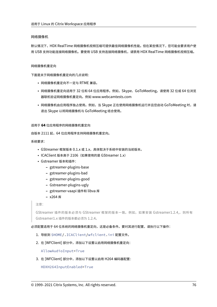# 网络摄像机

默认情况下,HDX RealTime 网络摄像机视频压缩可提供最佳网络摄像机性能。但在某些情况下,您可能会要求用户使 用 USB 支持功能连接网络摄像机。要使用 USB 支持连接网络摄像机,请禁用 HDX RealTime 网络摄像机视频压缩。

# 网络摄像机重定向

下面是关于网络摄像机重定向的几点说明:

- 网络摄像机重定向不一定与 RTME 兼容。
- 网络摄像机重定向适用于 32 位和 64 位应用程序。例如,Skype、GoToMeeting。请使用 32 位或 64 位浏览 器联机验证网络摄像机重定向。例如 www.webcamtests.com
- 网络摄像机由应用程序独占使用。例如,当 Skype 正在使用网络摄像机运行并且您启动 GoToMeeting 时,请 退出 Skype 以将网络摄像机与 GoToMeeting 结合使用。

### 适用于 **64** 位应用程序的网络摄像机重定向

自版本 2111 起,64 位应用程序支持网络摄像机重定向。

系统要求:

- GStreamer 框架版本  $0.1$ .x 或  $1.x$ , 具体取决于系统中安装的当前版本。
- ICAClient 版本高于 2106(如果使用的是 GStreamer 1.x)
- Gstreamer 版本和插件:
	- **–** gstreamer‑plugins‑base
	- **–** gstreamer‑plugins‑bad
	- **–** gstreamer‑plugins‑good
	- **–** Gstreamer‑plugins‑ugly
	- **–** gstreamer‑vaapi 插件和 libva 库
	- **–** x264 库

注意:

GStreamer 插件的版本必须与 GStreamer 框架的版本一致。例如, 如果安装 Gstreamer1.2.4,, 则所有 Gstreamer1.x 插件的版本都必须为 1.2.4。

必须配置适用于 64 位系统的网络摄像机重定向,这是必备条件。要对其进行配置,请执行以下操作:

- 1. 导航到 \$HOME/.ICAClient/wfclient.ini 配置文件。
- 2. 在 [WFClient] 部分中,添加以下设置以启用网络摄像机重定向:

AllowAudioInput=True

3. 在 [WFClient] 部分中,添加以下设置以启用 H264 编码器配置:

HDXH264InputEnabled=True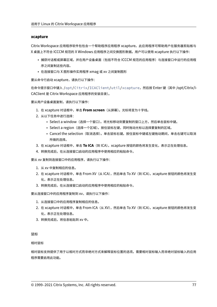# **xcapture**

Citrix Workspace 应用程序软件包包含一个帮助程序应用程序 xcapture。此应用程序可帮助用户在服务器剪贴板与 X 桌面上不符合 ICCCM 规范的 X Windows 应用程序之间交换图形数据。用户可以使用 xcapture 执行以下操作:

- 捕获对话框或屏幕区域,并在用户设备桌面(包括不符合 ICCCM 规范的应用程序)与连接窗口中运行的应用程 序之间复制这些内容。
- 在连接窗口与 X 图形操作实用程序 xmag 或 xv 之间复制图形

要从命令行启动 xcapture,请执行以下操作:

在命令提示窗口中键入 /opt/Citrix/ICAClient/util/xcapture,然后按 Enter 键(其中 /opt/Citrix/I‑ CAClient 是 Citrix Workspace 应用程序的安装目录)。

要从用户设备桌面复制,请执行以下操作:

- 1. 在 xcapture 对话框中,单击 **From screen**(从屏幕)。光标将变为十字线。
- 2. 从以下任务中进行选择:
	- Select a window(选择一个窗口)。将光标移动到要复制的窗口上方,然后单击鼠标中键。
	- Select a region (选择一个区域)。按住鼠标左键,同时拖动光标以选择要复制的区域。
	- Cancel the selection(取消选择)。单击鼠标右键。按住鼠标中键或左键拖动期间,单击右键可以取消 所做的选择。
- 3. 在 xcapture 对话框中,单击 To ICA (到 ICA)。xcapture 按钮的颜色将发生变化,表示正在处理信息。
- 4. 转换完成后,在从连接窗口启动的应用程序中使用相应的粘贴命令。

要从 xv 复制到连接窗口中的应用程序,请执行以下操作:

- 1. 从 xv 中复制相应的信息。
- 2. 在 xcapture 对话框中,单击 From XV(从 ICA),然后单击 To XV(到 ICA)。xcapture 按钮的颜色将发生变 化,表示正在处理信息。
- 3. 转换完成后, 在从连接窗口启动的应用程序中使用相应的粘贴命令。

要从连接窗口中的应用程序复制到 xv,请执行以下操作:

- 1. 从连接窗口中的应用程序复制相应的信息。
- 2. 在 xcapture 对话框中,单击 From ICA (从 XV),然后单击 To XV (到 ICA)。xcapture 按钮的颜色将发生变 化,表示正在处理信息。
- 3. 转换完成后,将信息粘贴到 xv 中。

# 鼠标

相对鼠标

相对鼠标支持提供了用于以相对方式而非绝对方式来解释鼠标位置的选项。需要相对鼠标输入而非绝对鼠标输入的应用 程序需要启用此功能。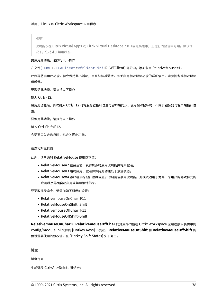注意:

此功能仅在 Citrix Virtual Apps 或 Citrix Virtual Desktops 7.8(或更高版本)上运行的会话中可用。默认情 况下,它将处于禁用状态。

要启用此功能,请执行以下操作:

在文件\$HOME/.ICAClient/wfclient.ini 的 [WFClient] 部分中,添加条目 RelativeMouse=1。

此步骤将启用此功能,但会保持其不活动,直至您将其激活。有关启用相对鼠标功能的详细信息,请参阅备选相对鼠标 值部分。

要激活此功能,请执行以下操作:

键入 Ctrl/F12。

启用此功能后,再次键入 Ctrl/F12 可将服务器指针位置与客户端同步。使用相对鼠标时,不同步服务器与客户端指针位 置。

要停用此功能,请执行以下操作:

键入 Ctrl‑Shift/F12。

会话窗口失去焦点时,也会关闭此功能。

备选相对鼠标值

此外,请考虑对 RelativeMouse 使用以下值:

- RelativeMouse=2 在会话窗口获得焦点时启用此功能并将其激活。
- RelativeMouse=3 始终启用、激活并保持此功能处于激活状态。
- RelativeMouse=4 客户端鼠标指针隐藏或显示时启用或禁用此功能。此模式适用于为第一个用户的游戏样式的 应用程序界面自动启用或禁用相对鼠标。

要更改键盘命令,请添加如下所示的设置:

- RelativemouseOnChar=F11
- RelativeMouseOnShift=Shift
- RelativemouseOffChar=F11
- RelativeMouseOffShift=Shift

**RelativemouseOnChar** 和 **RelativemouseOffChar** 的受支持的值在 Citrix Workspace 应用程序安装树中的 config/module.ini 文件的 [Hotkey Keys] 下列出。**RelativeMouseOnShift** 和 **RelativeMouseOffShift** 的 值设置要使用的修改键,在 [Hotkey Shift States] 头下列出。

键盘

键盘行为

生成远程 Ctrl+Alt+Delete 键组合: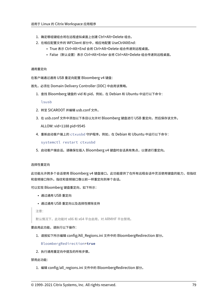- 1. 确定哪组键组合将在远程虚拟桌面上创建 Ctrl+Alt+Delete 组合。
- 2. 在相应配置文件的 WFClient 部分中,相应地配置 UseCtrlAltEnd:
	- True 表示 Ctrl+Alt+End 会将 Ctrl+Alt+Delete 组合传递到远程桌面。
	- False(默认设置)表示 Ctrl+Alt+Enter 会将 Ctrl+Alt+Delete 组合传递到远程桌面。

#### 通用重定向

在客户端通过通用 USB 重定向配置 Bloomberg v4 键盘:

首先,必须在 Domain Delivery Controller (DDC) 中启用该策略。

1. 查找 Bloomberg 键盘的 vid 和 pid。例如,在 Debian 和 Ubuntu 中运行以下命令:

lsusb

- 2. 转至 \$ICAROOT 并编辑 usb.conf 文件。
- 3. 在 usb.conf 文件中添加以下条目以允许对 Bloomberg 键盘进行 USB 重定向, 然后保存该文件。

ALLOW: vid=1188 pid=9545

4. 重新启动客户端上的 ctxusbd 守护程序。例如,在 Debian 和 Ubuntu 中运行以下命令:

systemctl restart ctxusbd

5. 启动客户端会话。请确保在插入 Bloomberg v4 键盘时会话具有焦点,以便进行重定向。

#### 选择性重定向

此功能允许跨多个会话使用 Bloomberg v4 键盘接口。此功能提供了在所有远程会话中灵活使用键盘的能力,但指纹 和音频接口除外。指纹和音频接口像以前一样重定向到单个会话。

可以实现 Bloomberg 键盘重定向,如下所示:

- 通过通用 USB 重定向
- 通过通用 USB 重定向以及选择性擦除支持

注意:

默认情况下, 此功能对 x86 和 x64 平台启用, 对 ARMHF 平台禁用。

### 要启用此功能,请执行以下操作:

1. 请按如下所示编辑 config/All\_Regions.ini 文件中的 BloombergRedirection 部分。

BloombergRedirection=**true**

2. 执行通用重定向中提及的所有步骤。

禁用此功能:

1. 编辑 config/all\_regions.ini 文件中的 BloombergRedirection 部分。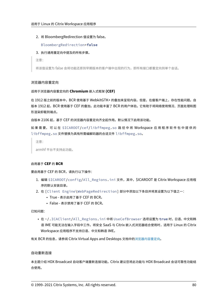2. 将 BloombergRedirection 值设置为 false。

BloombergRedirection=**false**

3. 执行通用重定向中提及的所有步骤。

注意:

将该值设置为 false 会将功能还原到早期版本的客户端中出现的行为,即所有接口都重定向到单个会话。

# 浏览器内容重定向

适用于浏览器内容重定向的 **Chromium** 嵌入式框架 **(CEF)**

在 1912 版之前的版本中,BCR 使用基于 WebkitGTK+ 的叠加来呈现内容。但是,在瘦客户端上,存在性能问题。自 版本 1912 起,BCR 使用基于 CEF 的叠加。此功能丰富了 BCR 的用户体验。它有助于将网络使用情况、页面处理和图 形渲染卸载到端点。

自版本 2106 起,基于 CEF 的浏览器内容重定向齐全起作用。默认情况下启用该功能。

如 果 需 要, 可 以 在 \$ICAROOT/cef/libffmpeg.so 路 径 中 将 Workspace 应 用 程 序 软 件 包 中 提 供 的 libffmpeg.so 文件替换为具有所需编解码器的合适文件 libffmpeg.so。

注意:

armhf 平台不支持此功能。

# 启用基于 **CEF** 的 **BCR**

要启用基于 CEF 的 BCR,请执行以下操作:

- 1. 编辑 \$ICAROOT/config/All\_Regions.ini 文件,其中,\$ICAROOT 是 Citrix Workspace 应用程 序的默认安装目录。
- 2. 在 [Client Engine\WebPageRedirection] 部分中添加以下条目并将其设置为以下值之一:
	- True ‑ 表示启用了基于 CEF 的 BCR。
	- False ‑ 表示禁用了基于 CEF 的 BCR。

已知问题:

• 在 ~/.ICAClient/All\_Regions.ini 中将 UseCefBrowser 选项设置为 **true** 时,日语、中文和韩 语 IME 可能无法在输入字段中工作。将安全 SaaS 与 Citrix 嵌入式浏览器结合使用时,适用于 Linux 的 Citrix Workspace 应用程序不支持日语、中文和韩语 IME。

有关 BCR 的信息,请参阅 Citrix Virtual Apps and Desktops 文档中的浏览器内容重定向。

## 自动重新连接

本主题介绍 HDX Broadcast 自动客户端重新连接功能。Citrix 建议您将此功能与 HDX Broadcast 会话可靠性功能结 合使用。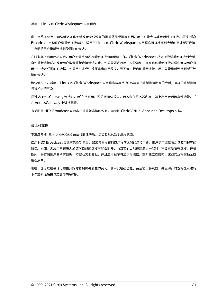由于网络不稳定、网络延迟变化无常或者无线设备的覆盖范围受限等原因,用户可能会从其会话断开连接。通过 HDX Broadcast 自动客户端重新连接功能,适用于 Linux 的 Citrix Workspace 应用程序可以检测到会话的意外断开连接, 并自动将用户重新连接到受影响的会话。

在服务器上启用此功能后,用户无需手动进行重新连接即可继续工作。Citrix Workspace 将多次尝试重新连接到会话, 直到重新连接成功或者用户取消重新连接尝试为止。如果需要进行用户身份验证,则在自动重新连接过程中会向用户显 示一个请求凭据的对话框。如果用户未经注销而退出应用程序,则不会进行自动重新连接。用户只能重新连接到断开连 接的会话。

默认情况下,适用于 Linux 的 Citrix Workspace 应用程序将等待 30 秒再尝试重新连接断开的会话,这样的重新连接 尝试将进行三次。

通过 AccessGateway 连接时,ACR 不可用。要防止网络丢失,请务必在服务器和客户端上启用会话可靠性功能,并 在 AccessGateway 上进行配置。

有关配置 HDX Broadcast 自动客户端重新连接的说明,请参阅 Citrix Virtual Apps and Desktops 文档。

### 会话可靠性

本主题介绍 HDX Broadcast 会话可靠性功能,该功能默认处于启用状态。

启用 HDX Broadcast 会话可靠性功能后,如果与已发布的应用程序之间的连接中断,用户仍可继续看到该应用程序的 窗口。例如,无线用户在进入通道时自己的连接可能会断开,而当它们出现在通道另一端时,将会重新获得连接。停机 期间,将存储用户的所有数据、按键及其他交互,并且应用程序将显示为冻结。重新建立连接时,这些交互将重播至应 用程序中。

现在,您可以在会话可靠性开始时看到屏幕发生的变化。利用此增强功能,会话窗口将灰显,并且倒计时器将显示进行 下次重新连接尝试之前的剩余时间。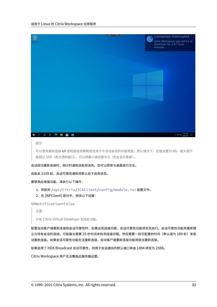

#### 提示

可以使用重新连接 **UI** 透明度级别策略更改用于不活动会话的灰度亮度。默认情况下,此值设置为 80。最大值不 能超过 100(表示透明窗口),可以将最小值设置为 0(完全显示黑屏)。

会话成功重新连接时,倒计时通知消息将消失。您可以照常与桌面进行交互。

自版本 2109 起,会话可靠性通知将默认处于启用状态。

要禁用此增强功能,请执行以下操作:

- 1. 导航到 /opt/Citrix/ICAClient/config/module.ini 配置文件。
- 2. 在 [WFClient] 部分中,修改以下设置:

SRNotification=False

注意:

只有 Citrix Virtual Desktops 支持此功能。

配置自动客户端重新连接和会话可靠性时,如果出现连接问题,会话可靠性功能将优先执行。会话可靠性功能将重新建 立与现有会话的连接。可能最长需要 25 秒时间来检测连接问题。然后需要一段可配置的时间(默认值为 180 秒)来尝 试重新连接。如果会话可靠性功能无法重新连接,自动客户端重新连接功能将尝试重新连接。

如果启用了 HDX Broadcast 会话可靠性,则用于会话通信的默认端口将由 1494 转变为 2598。

Citrix Workspace 用户无法覆盖此服务器设置。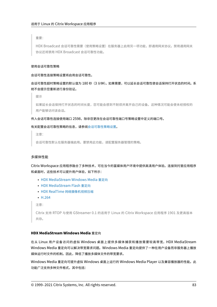重要:

HDX Broadcast 会话可靠性需要(使用策略设置)在服务器上启用另一项功能,即通用网关协议。禁用通用网关 协议还将禁用 HDX Broadcast 会话可靠性功能。

### 使用会话可靠性策略

会话可靠性连接策略设置将启用会话可靠性。

会话可靠性超时策略设置的默认值为 180 秒(3 分钟)。如果需要,可以延长会话可靠性使会话保持打开状态的时间。系 统不会提示您重新进行身份验证。

提示

如果延长会话保持打开状态的时间长度,您可能会感到不耐烦并离开自己的设备。这种情况可能会使未经授权的 用户能够访问该会话。

#### 传入会话可靠性连接使用端口 2598,除非您更改在会话可靠性端口号策略设置中定义的端口号。

#### 有关配置会话可靠性策略的信息,请参阅会话可靠性策略设置。

注意:

会话可靠性默认在服务器端启用。要[禁用此功能,请配置服](https://docs.citrix.com/zh-cn/citrix-virtual-apps-desktops/policies/reference/ica-policy-settings/session-reliability-policy-settings.html)务器管理的策略。

#### 多媒体性能

Citrix Workspace 应用程序融合了多种技术,可在当今的富媒体用户环境中提供高清用户体验。连接到托管应用程序 和桌面时,这些技术可以提升用户体验,如下所示:

- HDX MediaStream Windows Media 重定向
- HDX MediaStream Flash 重定向
- HDX RealTime 网络摄像机视频压缩
- [H.264](https://docs.citrix.com/zh-cn/citrix-workspace-app-for-linux/configure-xenapp.html#hdx-mediastream-windows-media-redirection)

注[意:](https://docs.citrix.com/zh-cn/citrix-workspace-app-for-linux/configure-xenapp.html#hdx-mediastream-flash-redirection)

```
Citrix 支持 RTOP 与使用 GStreamer 0.1 的适用于 Linux 的 Citrix Workspace 应用程序 1901 及更高版本
共存。
```
## **HDX MediaStream Windows Media** 重定向

在从 Linux 用户设备访问的虚拟 Windows 桌面上提供多媒体捕获和播放需要较高带宽,HDX MediaStream Windows Media 重定向可以解决带宽需求问题。Windows Media 重定向提供了一种在用户设备而非服务器上播放 媒体运行时文件的机制。因此,降低了播放多媒体文件的带宽要求。

Windows Media 重定向可提升虚拟 Windows 桌面上运行的 Windows Media Player 以及兼容播放器的性能。此 功能广泛支持多种文件格式,其中包括: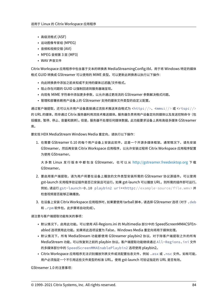- 高级流格式 (ASF)
- 运动图像专家组 (MPEG)
- 音频和视频交错 (AVI)
- MPEG 音频第 3 层 (MP3)
- WAV 声音文件

Citrix Workspace 应用程序中包含基于文本的转换表 MediaStreamingConfig.tbl,用于将 Windows 特定的媒体 格式 GUID 转换成 GStreamer 可以使用的 MIME 类型。可以更新此转换表以执行以下操作:

- 向此转换表中添加之前未知或不支持的媒体过滤器/文件格式。
- 阻止存在问题的 GUID 以强制回退到服务器端呈现。
- 向现有 MIME 字符串中添加更多参数,以允许通过更改流的 GStreamer 参数解决格式问题。
- 管理和部署依赖用户设备上的 GStreamer 支持的媒体文件类型的自定义配置。

通过客户端提取,还可以允许用户设备直接通过流技术推送来自格式为 <http://>、<mms://>或 <rtsp://> 的 URL 的媒体,而非通过 Citrix 服务器利用流技术推送媒体。服务器负责将用户设备定向到媒体以及发送控制命令(包 括播放、暂停、停止、音量和跳转)。但是,服务器不处理任何媒体数据。此功能要求设备上具有高级多媒体 GStreamer 库。

要实现 HDX MediaStream Windows Media 重定向,请执行以下操作:

1. 在需要 GStreamer 0.10 的每个用户设备上安装此软件,这是一个开源多媒体框架。通常情况下,请先安装 GStreamer,然后再安装 Citrix Workspace 应用程序,以允许安装过程将 Citrix Workspace 应用程序配置 为使用 GStreamer。

大 多 数 Linux 发 行 版 本 中 都 包 含 GStreamer。 也 可 以 从 http://gstreamer.freedesktop.org 下 载 GStreamer。

- 2. 要启用客户端提取,请为用户将要在设备上播放的文件类型安装所需的 GStreamer 协议源插件。可以使用 gst-launch 实用程序验证插件是否已安装且可运行。如果 gst-launch 可以播放 URL, 则所需的插件即可运行。 例如,请运行 gst-launch-0.10 playbin2 uri=<http://example-source/file.wmv> 并 检查视频是否能够正确播放。
- 3. 在设备上安装 Citrix Workspace 应用程序时,如果要使用 tarball 脚本,请选择 GStreamer 选项(对于 .deb 和 .rpm 软件包,此步骤将自动完成)。

请注意与客户端提取功能有关的事项:

- 默认情况下,启用此功能。可以使用 All-Regions.ini 的 Multimedia 部分中的 SpeedScreenMMACSFEnabled 选项禁用此功能。如果将此选项设置为 False,Windows Media 重定向将用于媒体处理。
- 默认情况下,所有 MediaStream 功能都使用 GStreamer playbin2 协议。对于除客户端提取之外的所有 MediaStream 功能,可以恢复到之前的 playbin 协议。客户端提取功能继续通过 All-Regions.ini 文件 的多媒体部分中的 SpeedScreenMMAEnablePlaybin2 选项使用 playbin2。
- Citrix Workspace 应用程序无法识别播放列表文件或流配置信息文件,例如 .as x 或 .nsc 文件。如有可能, 用户必须指定一个不引用这些文件类型的标准 URL。使用 gst‑launch 可验证指定的 URL 是否有效。

GStreamer 1.0 的注意事项: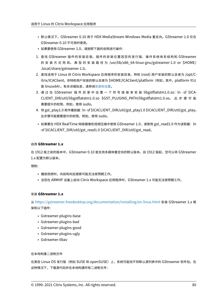- 默认情况下,GStreamer 0.10 用于 HDX MediaStream Windows Media 重定向。GStreamer 1.0 仅在 GStreamer 0.10 不可用时使用。
- 如果要使用 GStreamer 1.0,请按照下面的说明进行操作:
- 1. 查找 GStreamer 插件的安装目录。插件的安装位置因您的发行版、操作系统体系结构和 GStreamer 的 安 装 方 式 而 异。 典 型 的 安 装 路 径 为 /usr/lib/x86\_64‑linux‑gnu/gstreamer‑1.0 or \$HOME/ .local/share/gstreamer‑1.0。
- 2. 查找适用于 Linux 的 Citrix Workspace 应用程序的安装目录。特权 (root) 用户安装的默认目录为 /opt/C‑ itrix/ICAClient。非特权用户安装的默认目录为 \$HOME/ICAClient/platform (例如, 其中, platform 可以 是 linuxx64)。有关详细信息,请参阅安装和设置。
- 3. 通过在 GStreamer 插件目录中设置一个符号链接来安装 libgstflatstm1.0.so: ln -sf \$ICA-CLIENT\_DIR/util/libgstflatstm1.0.so \$GST\_PLUGINS\_PATH/libgstflatstm1.0.so。 此 步 骤 可 能 需要提升的权限,例如,使用 sudo。
- 4. 将 gst\_play1.0 用作播放器:ln ‑sf \$ICACLIENT\_DIR/util/gst\_play1.0 \$ICACLIENT\_DIR/util/gst\_play。 此步骤可能需要提升的权限,例如,使用 sudo。
- 如果要在 HDX RealTime 网络摄像机视频压缩中使用 GStreamer 1.0,请使用 gst\_read1.0 作为读取器: ln ‑sf \$ICACLIENT\_DIR/util/gst\_read1.0 \$ICACLIENT\_DIR/util/gst\_read。

# 启用 **GStreamer 1.x**

在 1912 版之前的版本中, GStreamer 0.10 是支持多媒体重定向的默认版本。自 1912 版起, 您可以将 GStreamer 1.x 配置为默认版本。

限制:

- 播放视频时,向前和向后搜索可能无法按预期工作。
- 当您在 ARMHF 设备上启动 Citrix Workspace 应用程序时,GStreamer 1.x 可能无法按预期工作。

# 安装 **GStreamer 1.x**

从 https://gstreamer.freedesktop.org/documentation/installing/on‑linux.html 安装 GStreamer 1.x 框 架和以下插件:

- Gstreamer-plugins-base
- Gstreamer-plugins-bad
- Gstreamer‑plugins‑good
- Gstreamer-plugins-ugly
- Gstreamer‑libav

在本地构建二进制文件

在某些 Linux OS 发行版(例如 SUSE 和 openSUSE)上,系统可能找不到默认源列表中的 GStreamer 软件包。在 这种情况下,下载源代码并在本地构建所有二进制文件: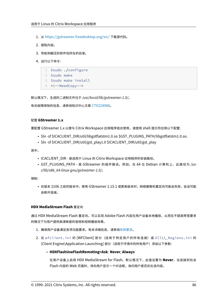- 1. 从 https://gstreamer.freedesktop.org/src/ 下载源代码。
- 2. 提取内容。
- 3. 导[航到解压的软件包所在的目录。](https://gstreamer.freedesktop.org/src/)
- 4. 运行以下命令:

```
1 $sudo ./configure
2 $sudo make
3 $sudo make install
4 <!--NeedCopy-->
```
默认情况下,生成的二进制文件位于 */usr/local/lib/gstreamer‑1.0/*。

有关故障排除的信息,请参阅知识中心文章 CTX224988。

# 配置 **GStreamer 1.x**

要配置 GStreamer 1.x 以便与 Citrix Wor[kspace](https://support.citrix.com/article/CTX224988) 应用程序结合使用,请使用 shell 提示符应用以下配置:

- \$ln ‑sf \$ICACLIENT\_DIR/util/libgstflatstm1.0.so \$GST\_PLUGINS\_PATH/libgstflatstm1.0.so.
- \$In-sf \$ICACLIENT\_DIR/util/gst\_play1.0 \$ICACLIENT\_DIR/util/gst\_play

其中,

- ICACLIENT\_DIR ‑ 是适用于 Linux 的 Citrix Workspace 应用程序的安装路径。
- GST\_PLUGINS\_PATH ‑ 是 GStreamer 的插件路径。例如,在 64 位 Debian 计算机上,此路径为 */us‑ r/lib/x86\_64‑linux‑gnu/gstreamer‑1.0/*。

限制:

• 在版本 2106 之前的版本中,使用 GStreamer 1.15.1 或更高版本时,网络摄像机重定向可能会失败,会话可能 会断开连接。

## **HDX MediaStream Flash** 重定向

通过 HDX MediaStream Flash 重定向,可以实现 Adobe Flash 内容在用户设备本地播放, 从而在不提高带宽要求 的情况下为用户提供高清晰度的音频和视频播放效果。

- 1. 确保用户设备满足各项功能要求。有关详细信息,请参阅系统要求。
- 2. 在 wfclient.ini 的 [WFClient] 部分(适用于特定用户的所有连接)或 All\\\_Regions.ini 的 [Client Engine\Application Launching] 部分(适用于环境中的所有用户)添加以下参数:

# • **HDXFlashUseFlashRemoting=Ask**: **Never**; **Always**

在用户设备上启用 HDX MediaStream for Flash。默认情况下,此值设置为 **Never**,当连接到包含 Flash 内容的 Web 页面时, 将向用户显示一个对话框, 询问用户是否优化该内容。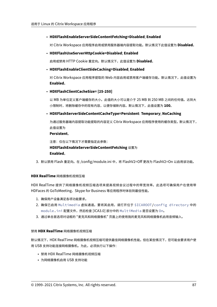# • **HDXFlashEnableServerSideContentFetching=Disabled**; **Enabled**

对 Citrix Workspace 应用程序启用或禁用服务器端内容提取功能。默认情况下此值设置为 **Disabled**。

# • **HDXFlashUseServerHttpCookie=Disabled**; **Enabled**

启用或禁用 HTTP Cookie 重定向。默认情况下,此值设置为 **Disabled**。

# • **HDXFlashEnableClientSideCaching=Disabled**; **Enabled**

对 Citrix Workspace 应用程序提取的 Web 内容启用或禁用客户端缓存功能。默认情况下,此值设置为 **Enabled**。

# • **HDXFlashClientCacheSize= [25‑250]**

以 MB 为单位定义客户端缓存的大小。此值的大小可以是介于 25 MB 到 250 MB 之间的任何值。达到大 小限制时,将删除缓存中的现有内容,以便存储新内容。默认情况下,此值设置为 **100**。

# • **HDXFlashServerSideContentCacheType=Persistent**: **Temporary**; **NoCaching**

为通过服务器端内容提取功能提取的内容定义 Citrix Workspace 应用程序使用的缓存类型。默认情况下, 此值设置为

# **Persistent**。

注意:仅在以下情况下才需要指定此参数: **HDXFlashEnableServerSideContentFetching** 设置为 **Enabled**。

3. 默认禁用 Flash 重定向。在 /config/module.ini 中,将 FlashV2=Off 更改为 FlashV2=On 以启用该功能。

# **HDX RealTime** 网络摄像机视频压缩

HDX RealTime 提供了网络摄像机视频压缩选项来提高视频会议过程中的带宽效率。此选项可确保用户在使用带 HDFaces 的 GoToMeeting、Skype for Business 等应用程序时体验到最佳性能。

- 1. 确保用户设备满足各项功能要求。
- 2. 确保已启用 Multimedia 虚拟通道。要将其启用,请打开位于 \$ICAROOT/config directory 中的 module.ini 配置文件,然后检查 [ICA3.0] 部分中的 MultiMedia 是否设置为 On。
- 3. 通过单击首选项对话框的 "麦克风和网络摄像机" 页面上的使用我的麦克风和网络摄像机启用音频输入。

### 禁用 **HDX RealTime** 网络摄像机视频压缩

默认情况下,HDX RealTime 网络摄像机视频压缩可提供最佳网络摄像机性能。但在某些情况下,您可能会要求用户使 用 USB 支持功能连接网络摄像机。为此,必须执行以下操作:

- 禁用 HDX RealTime 网络摄像机视频压缩
- 为网络摄像机启用 USB 支持功能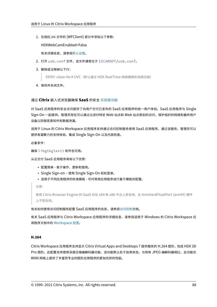1. 在相应.ini 文件的 [WFClient] 部分中添加以下参数:

HDXWebCamEnabled=False

有关详细信息,请参阅默认设置。

- 2. 打开 usb.conf 文件,该文件通常位于 \$ICAROOT/usb.conf。
- 3. 删除或注释掉以下行:

DENY: class=0e # UVC (默认通过 HDX RealTime 网络摄像机视频压缩)

4. 保存并关闭文件。

### 通过 **Citrix** 嵌入式浏览器确保 **SaaS** 的安全 实验版功能

对 SaaS 应用程序的安全访问提供了向用户交付已发布的 SaaS 应用程序的统一用户体验。SaaS 应用程序与 Single Sign-On 一起提供。管理员现在可以通过过滤对特定 [Web](https://docs.citrix.com/zh-cn/citrix-workspace-app-for-linux/whats-new.html#experimental-features) 站点和 Web 站点类别的访问,保护组织的网络和最终用户 设备以防御恶意软件和数据泄漏。

适用于 Linux 的 Citrix Workspace 应用程序支持通过访问控制服务使用 SaaS 应用程序。通过该服务,管理员可以 提供有凝聚力的支持体验、集成 Single Sign-On 以及内容检查。

必备条件:

确保 libgtkglext1 软件包可用。

从云交付 SaaS 应用程序具有以下优势:

- 配置简单 ‑ 易于操作、更新和使用。
- Single Sign‑on 使用 Single Sign‑On 轻松登录。
- 适用于不同应用程序的标准模板 可对常用应用程序进行基于模板的配置。

注意:

使用 Citrix Browser Engine 的 SaaS 仅在 x64 和 x86 平台上受支持,在 ArmHardFloatPort (armhf) 硬件 上不受支持。

有关如何使用访问控制服务配置 SaaS 应用程序的信息,请参阅访问控制文档。

有关 SaaS 应用程序与 Citrix Workspace 应用程序的详细信息,请参阅适用于 Windows 的 Citrix Workspace 应 用程序文档中的 Workspace 配置。

# **H.264**

Citrix Workspace 应用程序支持显示 Citrix Virtual Apps and Desktops 7 提供服务的 H.264 图形,包括 HDX 3D Pro 图形。此配置支持使用深度压缩编解码器功能,该功能默认处于启用状态。与现有 JPEG 编解码器相比,此功能在 WAN 网络上提供了丰富而专业的图形应用程序的更加优异的性能。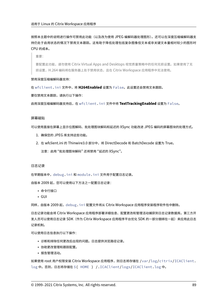按照本主题中的说明进行操作可禁用此功能(以及改为使用 JPEG 编解码器处理图形)。还可以在深度压缩编解码器支 持仍处于启用状态的情况下禁用文本跟踪。这有助于降低处理包括复杂图像但文本或非关键文本量相对较少的图形时 CPU 的成本。

重要:

要配置此功能,请勿使用 Citrix Virtual Apps and Desktops 视觉质量策略中的任何无损设置。如果使用了无 损设置,H.264 编码将在服务器上处于禁用状态,且在 Citrix Workspace 应用程序中无法使用。

#### 禁用深度压缩编解码器支持:

在 wfclient.ini 文件中,将 **H264Enabled** 设置为 False。此设置还会禁用文本跟踪。

要仅禁用文本跟踪,请执行以下操作:

启用深度压缩编解码器支持后,在 wfclient.ini 文件中将 **TextTrackingEnabled** 设置为 False。

### 屏幕磁贴

可以使用直接在屏幕上显示位图解码、批处理图块解码和延迟的 XSync 功能改进 JPEG 编码的屏幕图块的处理方式。

- 1. 确保您的 JPEG 库支持这些功能。
- 2. 在 wfclient.ini 的 Thinwire3.0 部分中,将 DirectDecode 和 BatchDecode 设置为 True。
	- 注意: 启用"批处理图块解码"还将禁用"延迟的 XSync"。

#### 日志记录

在早期版本中,debug.ini 和 module.ini 文件用于配置日志记录。

自版本 2009 起,您可以使用以下方法之一配置日志记录:

- 命令行接口
- GUI

同样,自版本 2009 起,debug.ini 配置文件将从 Citrix Workspace 应用程序安装程序软件包中删除。

日志记录功能会将 Citrix Workspace 应用程序部署详细信息、配置更改和管理活动捕获到日志记录数据库。第三方开 发人员可以使用日志记录 SDK (作为 Citrix Workspace 应用程序平台优化 SDK 的一部分捆绑在一起) 来应用此日志 记录机制。

可以使用日志信息执行以下操作:

- 诊断和排除任何更改后出现的问题。日志提供浏览路径记录。
- 协助更改管理和跟踪配置。
- 报告管理活动。

如果使用 root 用户权限安装 Citrix Workspace 应用程序,则日志将存储在 /var/log/citrix/ICAClient. log 中。否则,日志将存储在 \${ HOME } /.ICAClient/logs/ICAClient.log 中。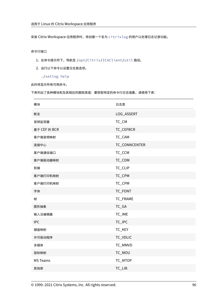安装 Citrix Workspace 应用程序时,将创建一个名为 citrixlog 的用户以处理日志记录功能。

# 命令行接口

- 1. 在命令提示符下,导航至 /opt/Citrix/ICAClient/util 路径。
- 2. 运行以下命令以设置日志首选项。

./setlog help

此时将显示所有可用命令。

下表列出了各种模块和及其相应的跟踪类值:要获取特定的命令行日志值集,请使用下表:

| 模块              | 日志类           |
|-----------------|---------------|
| 断言              | LOG_ASSERT    |
| 音频监视器           | TC_CM         |
| 基于 CEF 的 BCR    | TC_CEFBCR     |
| 客户端音频映射         | TC_CAM        |
| 连接中心            | TC_CONNCENTER |
| 客户端通信端口         | TC_CCM        |
| 客户端驱动器映射        | TC_CDM        |
| 剪辑              | TC_CLIP       |
| 客户端打印机映射        | TC_CPM        |
| 客户端打印机映射        | TC_CPM        |
| 字体              | TC_FONT       |
| 帧               | TC_FRAME      |
| 图形抽象            | $TC_GA$       |
| 输入法编辑器          | TC_IME        |
| <b>IPC</b>      | TC_IPC        |
| 键盘映射            | TC_KEY        |
| 许可驱动程序          | TC_VDLIC      |
| 多媒体             | TC_MMVD       |
| 鼠标映射            | TC_MOU        |
| <b>MS Teams</b> | TC_MTOP       |
| 其他库             | TC_LIB        |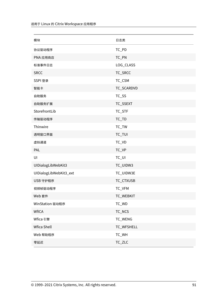| 模块                     | 日志类        |
|------------------------|------------|
| 协议驱动程序                 | TC_PD      |
| PNA 应用商店               | TC_PN      |
| 标准事件日志                 | LOG_CLASS  |
| <b>SRCC</b>            | TC_SRCC    |
| SSPI 登录                | TC_CSM     |
| 智能卡                    | TC_SCARDVD |
| 自助服务                   | TC_SS      |
| 自助服务扩展                 | TC_SSEXT   |
| StorefrontLib          | TC_STF     |
| 传输驱动程序                 | $TC_TD$    |
| Thinwire               | $TC_TW$    |
| 透明窗口界面                 | TC_TUI     |
| 虚拟通道                   | TC_VD      |
| PAL                    | TC_VP      |
| UI                     | $TC_U$     |
| UIDialogLibWebKit3     | TC_UIDW3   |
| UIDialogLibWebKit3_ext | TC_UIDW3E  |
| USB 守护程序               | TC_CTXUSB  |
| 视频帧驱动程序                | TC_VFM     |
| Web 套件                 | TC_WEBKIT  |
| WinStation 驱动程序        | TC_WD      |
| <b>WfICA</b>           | TC_NCS     |
| Wfica 引擎               | TC_WENG    |
| Wfica Shell            | TC_WFSHELL |
| Web 帮助程序               | TC_WH      |
| 零延迟                    | TC_ZLC     |
|                        |            |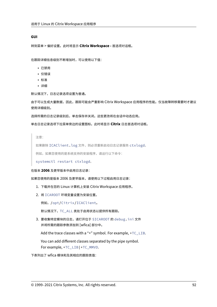### **GUI**

转到菜单 > 偏好设置。此时将显示 **Citrix Workspace ‑** 首选项对话框。

在跟踪详细信息级别不断增加时,可以使用以下值:

- 已禁用
- 仅错误
- 标准
- 详细

默认情况下,日志记录选项设置为普通。

由于可以生成大量数据,因此,跟踪可能会严重影响 Citrix Workspace 应用程序的性能。仅当故障转移需要时才建议 使用详细级别。

选择所需的日志记录级别后,单击保存并关闭。这些更改将在会话中动态应用。

单击日志记录选项下拉菜单旁边的设置图标。此时将显示 **Citrix** 日志首选项对话框。

注意:

如果删除 ICAClient.log 文件,则必须重新启动日志记录服务 ctxlogd。

例如,如果您使用的是系统支持的安装程序,请运行以下命令:

systemctl restart ctxlogd。

# 在版本 **2006** 及更早版本中启用日志记录:

如果您使用的是版本 2006 及更早版本,请使用以下过程启用日志记录:

- 1. 下载并在您的 Linux 计算机上安装 Citrix Workspace 应用程序。
- 2. 将 ICAROOT 环境变量设置为安装位置。

例如,/opt/Citrix/ICAClient。

默认情况下,TC\_ALL 类处于启用状态以提供所有跟踪。

3. 要收集特定模块的日志,请打开位于 \$ICAROOT 的 debug.ini 文件 并将所需的跟踪参数添加到 [wfica] 部分中。

Add the trace classes with a "+" symbol. For example, +TC\_LIB.

You can add different classes separated by the pipe symbol. For example, +TC\_LIB|+TC\_MMVD.

下表列出了 wfica 模块和及其相应的跟踪类值: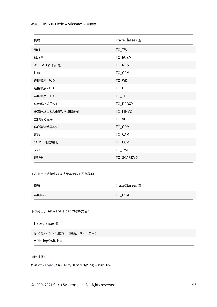| <b>TraceClasses</b> 值 |
|-----------------------|
| TC_TW                 |
| TC_EUEM               |
| TC_NCS                |
| TC_CPM                |
| TC_WD                 |
| TC_PD                 |
| $TC_TD$               |
| TC_PROXY              |
| TC_MMVD               |
| TC_VD                 |
| TC_CDM                |
| TC_CAM                |
| TC_CCM                |
| TC_TWI                |
| TC_SCARDVD            |
|                       |

下表列出了连接中心模块及其相应的跟踪类值:

| 模块   | TraceClasses 值 |  |
|------|----------------|--|
| 连接中心 | $TC_{\_}CSM$   |  |

下表列出了 setWebHelper 的跟踪类值:

| TraceClasses 值                  |
|---------------------------------|
| 将 logSwitch 设置为 1 (启用) 或 0 (禁用) |
| 示例:logSwitch = 1                |

# 故障排除:

如果 ctxlogd 变得无响应,则会在 syslog 中跟踪日志。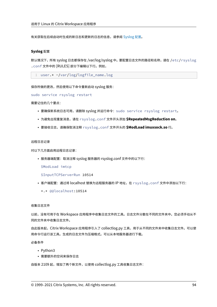有关获取在后续启动时生成的新日志和更新的日志的信息,请参阅 Syslog 配置。

#### **Syslog** 配置

默认情况下,所有 syslog 日志都保存在 /var/log/syslog 中。要配置日志文件的路径和名称,请在 /etc/rsyslog .conf 文件中的 [RULES] 部分下编辑以下行。例如,

1 user.\* -/var/log/logfile\_name.log

保存所做的更改,然后使用以下命令重新启动 syslog 服务:

sudo service rsyslog restart

需要记住的几个要点:

- 要确保新系统日志可用,请删除 syslog 并运行命令:sudo service rsyslog restart。
- 为避免出现重复消息,请在 rsyslog.conf 文件开头添加 **\$RepeatedMsgReduction on**。
- 要接收日志,请确保取消注释 rsyslog.conf 文件开头的 **\$ModLoad imuxsock.so** 行。

#### 远程日志记录

对以下几方面启用远程日志记录:

• 服务器端配置:取消注释 syslog 服务器的 rsyslog.conf 文件中的以下行:

\$ModLoad imtcp

\$InputTCPServerRun 10514

• 客户端配置: 通过将 localhost 替换为远程服务器的 IP 地址, 在 rsyslog.conf 文件中添加以下行:

\*.\* @@localhost:10514

收集日志文件

以前,没有可用于在 Workspace 应用程序中收集日志文件的工具。日志文件分散在不同的文件夹中。您必须手动从不 同的文件夹中收集日志文件。

自此版本起,Citrix Workspace 应用程序引入了 collectlog.py 工具,用于从不同的文件夹中收集日志文件。可以使 用命令行运行该工具。生成的日志文件为压缩格式。可以从本地服务器进行下载。

必备条件

- Python3
- 需要额外的空间来保存日志

自版本 2109 起,增加了两个新文件,以使用 collectlog.py 工具收集日志文件: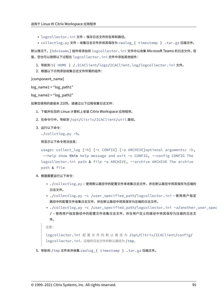- logcollector.ini 文件 保存日志文件的名称和路径。
- collectlog.py 文件 收集日志文件并将其保存为 cwalog\_{ timestamp } .tar.gz 压缩文件。

默认情况下,[hdxteams] 组件将添加到 logcollector.ini 文件中以收集 Microsoft Teams 的日志文件。但 是,您也可以按照以下过程在 logcollector.ini 文件中添加其他组件:

- 1. 导航到 \${ HOME } /.ICAClient/logs/ICAClient.log/logcollector.ini 文件。
- 2. 根据以下示例添加收集日志文件所需的组件:

[component\_name]

```
log\_name1 = "log\_path1"
```
 $log$  name2 = " $log$  path2"

如果您使用的是版本 2109,请通过以下过程收集日志文件:

- 1. 下载并在您的 Linux 计算机上安装 Citrix Workspace 应用程序。
- 2. 在命令行中,导航到 /opt/Citrix/ICAClient/util 路径。
- 3. 运行以下命令:

```
./collctlog.py -h。
```
将显示以下命令用法信息:

```
usage: collect_log [-h] [-c CONFIG] [-a ARCHIVE]optional arguments: -h,
 --help show this help message and exit -c CONFIG, --config CONFIG The
logcollector.ini path & file -a ARCHIVE, --archive ARCHIVE The archive
path & file
```
- 4. 根据需要运行以下命令:
	- ./collectlog.py 使用默认路径中的配置文件来收集日志文件,并在默认路径中将其保存为压缩的 日志文件。
	- ./collectlog.py -c /user\_specified\_path/logcollector.ini 使用用户指定 路径中的配置文件收集日志文件,并在默认路径中将其保存为压缩的日志文件。
	- ./collectlog.py -c /user\_specified\_path/logcollector.ini -a/another\_user\_spec / – 使用用户指定路径中的配置文件收集日志文件,并在用户定义的路径中将其保存为压缩的日志文 件。

```
注意:
```

```
logcollector.ini 配 置 文 件 的 默 认 路 径 为 /opt/Citrix/ICAClient/config/
logcollector.ini。压缩的日志文件的默认路径为 /tmp。
```
5. 导航到 /tmp 文件夹并收集 cwalog\_{ timestamp } .tar.gz 压缩文件。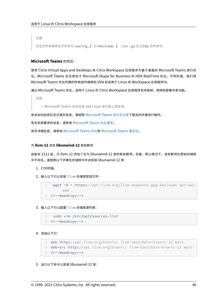注意:

日志文件将保存在文件名为 cwalog\_{ timestamp } .tar.gz 的 /tmp 文件夹中。

# **Microsoft Teams** 的优化

使用 Citrix Virtual Apps and Desktops 和 Citrix Workspace 应用程序为基于桌面的 Microsoft Teams 进行优 化。Microsoft Teams 优化类似于 Microsoft Skype for Business 的 HDX RealTime 优化。不同的是,我们将 Microsoft Teams 优化所需的所有组件捆绑到 VDA 和适用于 Linux 的 Workspace 应用程序中。

通过 Microsoft Teams 优化,适用于 Linux 的 Citrix Workspace 应用程序支持音频、视频和屏幕共享功能。

注意:

• Microsoft Teams 优化仅在 x64 Linux 发行版上受支持。

有关如何启用日志记录的信息,请按照 Microsoft Teams 的日志记录下提及的步骤进行操作。

有关系统要求的信息,请参阅 Microsoft Teams 优化要求。

有关详细信息,请参阅 Microsoft Teams 优化和 [Microsoft Teams](https://docs.citrix.com/zh-cn/citrix-workspace-app-for-linux/configure-xenapp.html#logging-for-microsoft-teams) 重定向。

## 为 **llvm‑12** 添加 **libu[nwind‑12](https://docs.citrix.com/zh-cn/citrix-virtual-apps-desktops/multimedia/opt-ms-teams.html)** 库依赖项

自版本 2111 起,为 llvm-12 添加了名为 libunwind-12 库的新依赖项。但是,默认情况下,该依赖项在原始存储库 中不存在。请按照以下步骤在存储库中手动安装 libunwind-12 库:

1. 打开终端。

2. 输入以下行以安装 llvm 存储库密钥文件:

```
1 wget -O - https://apt.llvm.org/llvm-snapshot.gpg.key|sudo apt-key
       add
2 <!--NeedCopy-->
```
3. 输入以下行以配置 llvm 存储库源列表:

```
1 sudo vim /etc/apt/sources.list
```
2 <!--NeedCopy-->

4. 添加以下行:

```
1 deb http://apt.llvm.org/bionic/ llvm-toolchain-bionic-12 main
```

```
2 deb-src http://apt.llvm.org/bionic/ llvm-toolchain-bionic-12 main
```

```
3 <!--NeedCopy-->
```
5. 运行以下命令以安装 libunwind-12 库: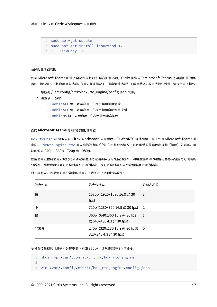```
1 sudo apt-get update
2 sudo apt-get install libunwind-12
3 <!--NeedCopy-->
```
### 音频配置增强功能

如果 Microsoft Teams 配置了自动增益控制和噪音抑制选项,Citrix 重定向的 Microsoft Teams 将遵循配置的值。 否则,默认情况下将启用这些选项。但是,默认情况下,回声消除选项处于禁用状态。要更改默认设置,请执行以下操作:

- 1. 导航到 /var/.config/citrix/hdx\_rtc\_engine/config.json 文件。
- 2. 设置以下选项:
	- EnableAEC 值 1 表示启用,0 表示禁用回声消除
	- EnableACC 值 1 表示启用,0 表示禁用自动增益控制
	- EnableNS 值 1 表示启用,0 表示禁用噪声抑制

# 面向 **Microsoft Teams** 的编码器性能估算器

HdxRtcEngine 是嵌入在 Citrix Workspace 应用程序中的 WebRTC 媒体引擎,用于处理 Microsoft Teams 重 定向。HdxRtcEngine.exe 可以预估端点的 CPU 在不超载的情况下可以承受的最佳传出视频(编码)分辨率。可 能的值为 240p、360p、720p 和 1080p。

性能估算过程将使用宏块代码来确定可通过特定端点实现的最佳分辨率。调用设置期间的编解码器协商包括尽可能高的 分辨率。编解码器协商可以是对等方之间的协商,也可以是对等方与会议服务器之间的协商。

| 端点性能 | 最大分辨率                                                   | 注册表项值 |
|------|---------------------------------------------------------|-------|
| 快    | 1080p (1920x1080 16:9 @ 30<br>fps)                      | 3     |
| 中    | 720p (1280x720 16:9 @ 30 fps) 2                         |       |
| 慢    | 360p (640x360 16:9 @ 30 fps<br>或 640x480 4:3 @ 30 fps)  | -1    |
| 非常慢  | 240p (320x180 16:9 @ 30 fp 或 0<br>320x240 4:3 @ 30 fps) |       |

对于具有自己的最大可用分辨率的端点,下表列出了四种性能类别:

要设置传输视频(编码)分辨率值(例如 360p),请从终端运行以下命令:

```
1 mkdir -p /var/.config/citrix/hdx_rtc_engine
2
3 vim /var/.config/citrix/hdx_rtc_engine/config.json
```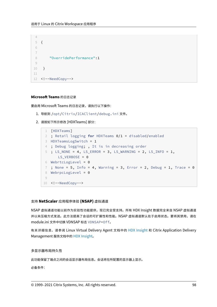```
5 {
6
7
8 "OverridePerformance":1
9
10 }
11
12 <!--NeedCopy-->
```
## **Microsoft Teams** 的日志记录

 $\Delta$ 

要启用 Microsoft Teams 的日志记录,请执行以下操作:

- 1. 导航到 /opt/Citrix/ICAClient/debug.ini 文件。
- 2. 请按如下所示修改 [HDXTeams] 部分:

```
1 [HDXTeams]
2 ; Retail logging for HDXTeams 0/1 = disabled/enabled
3 HDXTeamsLogSwitch = 1
4 ; Debug logging; , It is in decreasing order
5 ; LS_NONE = 4, LS_ERROR = 3, LS_WARNING = 2, LS_INFO = 1,
      LS_VERBOSE = 06 WebrtcLogLevel = 0
7 ; None = 5, Info = 4, Warning = 3, Error = 2, Debug = 1, Trace = 0
8 WebrpcLogLevel = 0
Q10 <!--NeedCopy-->
```
# 支持 **NetScaler** 应用程序体验 **(NSAP)** 虚拟通道

NSAP 虚拟通道功能以前作为实验性功能提供,现已完全受支持。所有 HDX Insight 数据完全来自 NSAP 虚拟通道 并以未压缩方式发送。此方法提高了会话的可扩展性和性能。NSAP 虚拟通道默认处于启用状态。要将其禁用,请在 module.ini 文件中切换 VDNSAP 标志 VDNSAP=Off。

有关详细信息,请参阅 Linux Virtual Delivery Agent 文档中的 HDX Insight 和 Citrix Application Delivery Management 服务文档中的 HDX Insight。

# 多显示器布局持久性

此功能保留了端点之间的会话显示器布局信息。会话将在所配置的显示器上显示。

必备条件: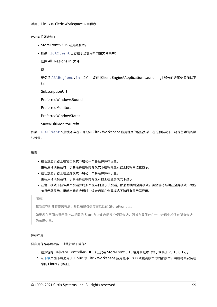此功能的要求如下:

- StoreFront v3.15 或更高版本。
- 如果 .ICAClient 已存在于当前用户的主文件夹中:

删除 All\_Regions.ini 文件

或

要保留 AllRegions.ini 文件,请在 [Client Engine\Application Launching] 部分的结尾处添加以下 行:

SubscriptionUrl=

PreferredWindowsBounds=

PreferredMonitors=

PreferredWindowState=

SaveMultiMonitorPref=

如果 .ICAClient 文件夹不存在,则指示 Citrix Workspace 应用程序的全新安装。在这种情况下,将保留功能的默 认设置。

# 用例

- 在任意显示器上在窗口模式下启动一个会话并保存设置。 重新启动该会话时,该会话将在相同的模式下在相同显示器上的相同位置显示。
- 在任意显示器上在全屏模式下启动一个会话并保存设置。 重新启动该会话时,该会话将在相同的显示器上在全屏模式下显示。
- 在窗口模式下拉伸某个会话并跨多个显示器显示该会话,然后切换到全屏模式。该会话将继续在全屏模式下跨所 有显示器显示。重新启动该会话时,该会话将在全屏模式下跨所有显示器显示。

注意:

每次保存时都将覆盖布局,并且布局仅保存在活动的 StoreFront 上。

如果您在不同的显示器上从相同的 StoreFront 启动多个桌面会话,则将布局保存在一个会话中将保存所有会话 的布局信息。

#### 保存布局

#### 要启用保存布局功能,请执行以下操作:

- 1. 在兼容的 Delivery Controller (DDC) 上安装 StoreFront 3.15 或更高版本(等于或高于 v3.15.0.12)。
- 2. 从下载页面下载适用于 Linux 的 Citrix Workspace 应用程序 1808 或更高版本的内部版本,然后将其安装在 您的 Linux 计算机上。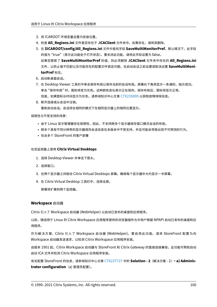- 3. 将 ICAROOT 环境变量设置为安装位置。
- 4. 检查 **All\_Regions.ini** 文件是否存在于 **.ICAClient** 文件夹中。如果存在,请将其删除。
- 5. 在 **\$ICAROOT/config/All\_Regions.ini** 文件中查找字段 **SaveMultiMonitorPref**。默认情况下,此字段 的值为 "true"(表示此功能处于打开状态)。要关闭此功能,请将此字段设置为 false。 如果您更新了 **SaveMultiMonitorPref** 的值,则必须删除 **.ICAClient** 文件夹中存在的 **All\_Regions.ini** 文件,以防止值不匹配以及可能存在的配置文件锁定问题。在启动会话之前设置或取消设置 **SaveMultiMoni‑ torPref** 标志。
- 6. 启动新桌面会话。
- 7. 在 Desktop Viewer 工具栏中单击保存布局以保存当前的会话布局。屏幕右下角将显示一条通知,指示成功。 单击 "保存布局" 时,图标将变为灰色。这种颜色变化表示正在保存。保存布局后,图标将显示正常。 但是,如果图标长时间显示为灰色,请参阅知识中心文章 CTX235895 以获取故障排除信息。
- 8. 断开连接或从会话中注销。

重新启动会话。会话将在相同的模式下在相同显示器上的相同位置显示。

#### 局限性与不受支持的场景:

- 由于 Linux 显示管理器存在局限性,因此,不支持跨多个显示器保存窗口模式会话的布局。
- 跨多个具有不同分辨率的显示器保存会话信息在本版本中不受支持,并且可能会导致出现不可预测的行为。
- 包含多个 StoreFront 的客户部署

### 在双监视器上使用 **Citrix Virtual Desktops**

- 1. 选择 Desktop Viewer 并单击下箭头。
- 2. 选择窗口。
- 3. 在两个显示器之间拖动 Citrix Virtual Desktops 屏幕。确保每个显示器中大约显示一半屏幕。
- 4. 在 Citrix Virtual Desktop 工具栏中,选择全屏。

屏幕将扩展到两个监视器。

## **Workspace** 启动器

Citrix 引入了 Workspace 启动器 (WebHelper) 以启动已发布的桌面和应用程序。

以前,随适用于 Linux 的 Citrix Workspace 应用程序提供的浏览器插件允许用户根据 NPAPI 启动已发布的桌面和应 用程序。

作为解决方案,Citrix 引入了 Workspace 启动器 (WebHelper)。要启用此功能,请将 StoreFront 配置为向 Workspace 启动器发送请求,以检测 Citrix Workspace 应用程序安装。

自版本 1901 起,Citrix Workspace 启动器与 StoreFront 和 Citrix Gateway 的直接连接兼容。此功能可帮助自动 启动 ICA 文件并检测 Citrix Workspace 应用程序安装。

有关配置 StoreFront 的信息,请参阅知识中心文章 CTX237727 中的 **Solution ‑ 2**(解决方案 ‑ 2)> **a) Adminis‑ trator configuration**(a) 管理员配置)。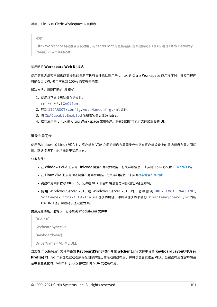注意:

Citrix Workspace 启动器当前仅适用于与 StoreFront 的直接连接。在其他情况下(例如,通过 Citrix Gateway 的连接)不支持该启动器。

## 禁用新的 **Workspace Web UI** 模式

使用第三方瘦客户端供应商提供的自助可执行文件启动适用于 Linux 的 Citrix Workspace 应用程序时,该应用程序 可能会因 CPU 使用率达到 100% 而变得无响应。

解决方法:切换回旧的 UI 模式:

1. 使用以下命令删除缓存的文件:

rm -r ~/.ICAClient

- 2. 转到 \$ICAROOT/config/AuthManconfig.xml 文件。
- 3. 将 CWACapableEnabled 注册表项值更改为 false。
- 4. 启动适用于 Linux 的 Citrix Workspace 应用程序。将看到自助可执行文件加载旧的 UI。

#### 键盘布局同步

使用 Windows 或 Linux VDA 时,客户端与 VDA 之间的键盘布局同步允许您在客户端设备上的首选键盘布局之间切 换。默认情况下,此功能处于禁用状态。

必备条件:

- 在 Windows VDA 上启用 Unicode 键盘布局映射功能。有关详细信息,请参阅知识中心文章 CTX226335。
- 在 Linux VDA 上启用动态键盘布局同步功能。有关详细信息,请参阅动态键盘布局同步
- 键盘布局同步依赖 XKB lib, 允许在 VDA 和客户端设备之间自动同步键盘布局。
- 使用 Windows Server 2016 或 Windows Server 2019 时,请导航到 HKEY\_LOCAL\_MACHINE\ Software\Citrix\ICA\IcaIme 注册表路径,添加带注册表项名称 DisableKeyboardSync 的新 DWORD 值,然后将该值设置为 0。

要启用此功能,请将以下行添加到 module.ini 文件中:

```
[ICA 3.0]
KeyboardSync=On
[KeyboardSync]
DriverName = VDIME.DLL
```
当您在 module.ini 文件中设置 **KeyboardSync=On** 并在 **wfclient.ini** 文件中设置 **KeyboardLayout=(User Profile)** 时,vdime 虚拟驱动程序将检测客户端上的活动键盘布局,并将该信息发送至 VDA。当键盘布局在客户端会 话中发生变化时,vdime 可以识别并立即向 VDA 发送新布局。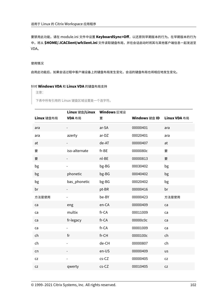要禁用此功能,请在 module.ini 文件中设置 **KeyboardSync=Off**,以还原到早期版本的行为。在早期版本的行为 中,将从 **\$HOME/.ICAClient/wfclient.ini** 文件读取键盘布局,并在会话启动时将其与其他客户端信息一起发送至 VDA。

# 使用情况

启用此功能后,如果会话过程中客户端设备上的键盘布局发生变化,会话的键盘布局也将相应地发生变化。

# 针对 **Windows VDA** 和 **Linux VDA** 的键盘布局支持

注意:

下表中所有引用的 Linux 键盘区域设置是一个连字符。

|            | Linux 键盘/Linux | Windows 区域设 |               |              |
|------------|----------------|-------------|---------------|--------------|
| Linux 键盘布局 | VDA 布局         | 置           | Windows 键盘 ID | Linux VDA 布局 |
| ara        |                | ar-SA       | 00000401      | ara          |
| ara        | azerty         | $ar-DZ$     | 00020401      | ara          |
| at         |                | de-AT       | 00000407      | at           |
| 要          | iso-alternate  | fr-BE       | 0000080c      | 要            |
| 要          |                | nl-BE       | 00000813      | 要            |
| bg         |                | bg-BG       | 00030402      | bg           |
| bg         | phonetic       | bg-BG       | 00040402      | bg           |
| bg         | bas_phonetic   | bg-BG       | 00020402      | bg           |
| br         |                | pt-BR       | 00000416      | br           |
| 方法是使用      |                | be-BY       | 00000423      | 方法是使用        |
| ca         | eng            | en-CA       | 00000409      | ca           |
| ca         | multix         | fr-CA       | 00011009      | ca           |
| ca         | fr-legacy      | fr-CA       | 00000c0c      | ca           |
| ca         |                | fr-CA       | 00001009      | ca           |
| ch         | fr             | fr-CH       | 0000100c      | ch           |
| ch         |                | de-CH       | 00000807      | ch           |
| cn         |                | en-US       | 00000409      | us           |
| ${\sf cz}$ |                | $cs$ -CZ    | 00000405      | ${\sf cz}$   |
| ${\sf CZ}$ | qwerty         | $cs$ -CZ    | 00010405      | CZ           |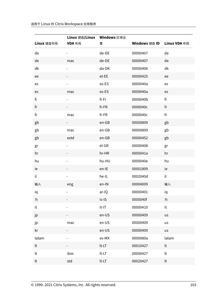| Linux 键盘布局 | Linux 键盘/Linux Windows 区域设<br>VDA 布局 | 置        | Windows 键盘 ID | Linux VDA 布局 |
|------------|--------------------------------------|----------|---------------|--------------|
| de         |                                      | de-DE    | 00000407      | de           |
| de         | mac                                  | de-DE    | 00000407      | de           |
| dk         |                                      | da-DK    | 00000406      | dk           |
| ee         |                                      | et-EE    | 00000425      | ee           |
| es         |                                      | es-ES    | 0000040a      | es           |
| es         | mac                                  | es-ES    | 0000040a      | es           |
| fi         |                                      | $fi-Fl$  | 0000040b      | fi           |
| fr         |                                      | $fr-FR$  | 0000040c      | fr           |
| fr         | mac                                  | $fr-FR$  | 0000040c      | fr           |
| gb         |                                      | $en-GB$  | 00000809      | gb           |
| gb         | mac                                  | en-GB    | 00000809      | gb           |
| gb         | extd                                 | $en-GB$  | 00000452      | gb           |
| gr         |                                      | el-GR    | 00000408      | gr           |
| hr         |                                      | hr-HR    | 0000041a      | hr           |
| hu         |                                      | hu-HU    | 0000040e      | hu           |
| ie         |                                      | en-IE    | 00001809      | ie           |
| il         |                                      | he-IL    | 0002040d      | il           |
| 输入         | eng                                  | en-IN    | 00004009      | 输入           |
| iq         |                                      | ar-IQ    | 00000401      | iq           |
| 为          |                                      | is-IS    | 0000040f      | 为            |
| it         |                                      | $it$ -IT | 00000410      | it           |
| jp         |                                      | en-US    | 00000409      | us           |
| jp         | mac                                  | en-US    | 00000409      | us           |
| kr         |                                      | en-US    | 00000409      | us           |
| latam      |                                      | es-MX    | 0000080a      | latam        |
| lt         |                                      | $lt$ -LT | 00010427      | lt           |
| lt         | ibm                                  | $lt$ -LT | 00000427      | $\sf{lt}$    |
| lt         | std                                  | $lt$ -LT | 00020427      | lt           |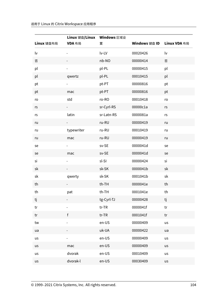| Linux 键盘布局 | Linux 键盘/Linux Windows 区域设<br>VDA 布局 | 置          | Windows 键盘 ID | Linux VDA 布局 |
|------------|--------------------------------------|------------|---------------|--------------|
| lv         |                                      | lv-LV      | 00020426      | lv           |
| 否          |                                      | nb-NO      | 00000414      | 否            |
| pl         |                                      | pl-PL      | 00000415      | pl           |
| pl         | qwertz                               | pl-PL      | 00010415      | pl           |
| pt         |                                      | pt-PT      | 00000816      | pt           |
| pt         | mac                                  | pt-PT      | 00000816      | pt           |
| ro         | std                                  | ro-RO      | 00010418      | ro           |
| rs         | $ -$                                 | sr-Cyrl-RS | 00000c1a      | rs           |
| rs         | latin                                | sr-Latn-RS | 0000081a      | rs           |
| ru         | $-$                                  | ru-RU      | 00000419      | ru           |
| ru         | typewriter                           | ru-RU      | 00010419      | ru           |
| ru         | mac                                  | ru-RU      | 00000419      | ru           |
| se         |                                      | sv-SE      | 0000041d      | se           |
| se         | mac                                  | sv-SE      | 0000041d      | se           |
| si         |                                      | sl-SI      | 00000424      | si           |
| sk         |                                      | sk-SK      | 0000041b      | sk           |
| sk         | qwerty                               | sk-SK      | 0001041b      | sk           |
| th         |                                      | th-TH      | 0000041e      | th           |
| th         | pat                                  | th-TH      | 0001041e      | th           |
| tj         |                                      | tg-Cyrl-TJ | 00000428      | tj           |
| tr         |                                      | $tr$ -TR   | 0000041f      | tr           |
| tr         | $\mathsf{f}$                         | $tr$ -TR   | 0001041f      | tr           |
| tw         |                                      | en-US      | 00000409      | us           |
| ua         |                                      | uk-UA      | 00000422      | ua           |
| us         |                                      | en-US      | 00000409      | us           |
| us         | mac                                  | en-US      | 00000409      | us           |
| us         | dvorak                               | en-US      | 00010409      | us           |
| us         | dvorak-l                             | en-US      | 00030409      | us           |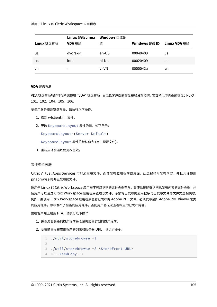|            | Linux 键盘/Linux | Windows 区域设 |               |              |
|------------|----------------|-------------|---------------|--------------|
| Linux 键盘布局 | VDA 布局         | 置           | Windows 键盘 ID | Linux VDA 布局 |
| us         | dvorak-r       | en-US       | 00040409      | us           |
| us         | intl           | nl-NL       | 00020409      | us           |
| vn         |                | vi-VN       | 0000042a      | vn.          |

### **VDA** 键盘布局

VDA 键盘布局功能可帮助您使用 "VDA" 键盘布局,而无论客户端的键盘布局设置如何。它支持以下类型的键盘:PC/XT 101、102、104、105、106。

要使用服务器端键盘布局,请执行以下操作:

- 1. 启动 wfclient.ini 文件。
- 2. 更改 KeyboardLayout 属性的值,如下所示:

KeyboardLayout=(Server Default)

KeyboardLayout 属性的默认值为 (用户配置文件)。

3. 重新启动会话以使更改生效。

#### 文件类型关联

Citrix Virtual Apps Services 可能还发布文件,而非发布应用程序或桌面。此过程称为发布内容,并且允许使用 pnabrowse 打开已发布的文件。

适用于 Linux 的 Citrix Workspace 应用程序可以识别的文件类型有限。要使系统能够识别已发布内容的文件类型,并 使用户可以通过 Citrix Workspace 应用程序查看该文件,必须将已发布的应用程序与已发布文件的文件类型相关联。 例如,要使用 Citrix Workspace 应用程序查看已发布的 Adobe PDF 文件,必须发布诸如 Adobe PDF Viewer 之类 的应用程序。除非发布了恰当的应用程序,否则用户将无法查看相应的已发布内容。

要在客户端上启用 FTA,请执行以下操作:

- 1. 确保您要关联的应用程序是收藏夹或已订阅的应用程序。
- 2. 要获取已发布应用程序的列表和服务器 URL,请运行命令:

```
1 ./util/storebrowse -l
2
3 ./util/storebrowse -S <StoreFront URL>
4 <!--NeedCopy-->
```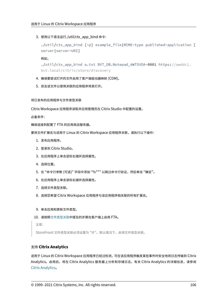3. 使用以下语法运行./util/ctx\_app\_bind 命令:

```
./util/ctx_app_bind [-p] example_file|MIME-type published-application [
server|server-URI]
```
例如,

```
./util/ctx_app_bind a.txt BVT_DB.Notepad_AWTSVDA-0001 https://awddc1.
bvt.local/citrix/store/discovery
```
- 4. 确保要尝试打开的文件启用了客户端驱动器映射 (CDM)。
- 5. 双击该文件以使用关联的应用程序将其打开。

将已发布的应用程序与文件类型关联

Citrix Workspace 应用程序读取并应用管理员在 Citrix Studio 中配置的设置。

必备条件:

确保连接到配置了 FTA 的应用商店服务器。

要将文件扩展名与适用于 Linux 的 Citrix Workspace 应用程序关联,请执行以下操作:

- 1. 发布应用程序。
- 2. 登录到 Citrix Studio。
- 3. 在应用程序上单击鼠标右键并选择属性。
- 4. 选择位置。
- 5. 在"命令行参数 (可选)"字段中添加"%\*\*"以跳过命令行验证,然后单击"确定"。
- 6. 在应用程序上单击鼠标右键并选择属性。
- 7. 选择文件类型关联。
- 8. 选择您希望 Citrix Workspace 应用程序与该应用程序相关联的所有扩展名。
- 9. 单击应用和更新文件类型。
- 10. 请按照文件类型关联中提及的步骤在客户端上启用 FTA。

注意:

StoreFront [文件类型关](https://docs.citrix.com/zh-cn/citrix-workspace-app-for-linux/configure-xenapp.html#file-type-association)联必须设置为 "开"。默认情况下,启用文件类型关联。

# 支持 **Citrix Analytics**

适用于 Linux 的 Citrix Workspace 应用程序已经过检测,可在该应用程序触发某些事件时安全地将日志传输到 Citrix Analytics。启用后,将在 Citrix Analytics 服务器上分析和存储日志。有关 Citrix Analytics 的详细信息,请参阅 Citrix Analytics。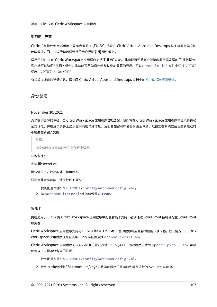#### 透明用户界面

Citrix ICA 协议使用透明用户界面虚拟通道 [TUI VC] 协议在 Citrix Virtual Apps and Desktops 与主机服务器之间 传输数据。TUI 协议传输远程连接的用户界面 [UI] 组件消息。

适用于 Linux 的 Citrix Workspace 应用程序支持 TUI VC 功能。此功能可帮助客户端接收服务器发送的 TUI 数据包, 客户端可以访问 UI 相关组件。此功能可帮助您控制默认叠加屏幕的显示。可以在 module.ini 文件中切换 VDTUI 标志: VDTUI - On/Off

有关虚拟通道的详细信息,请参阅 Citrix Virtual Apps and Desktops 文档中的 Citrix ICA 虚拟通道。

身份验证

#### November 30, 2021

为了提供更好的体验,自 Citrix Workspace 应用程序 2012 起,我们将在 Citrix Workspace 应用程序中显示身份验 证对话框,并在登录屏幕上显示应用商店详细信息。我们会加密和存储身份验证令牌,以便您在系统或会话重新启动时 不需要重新输入凭据。

注意:

此身份验证增强功能仅在云部署中适用。

必备条件:

安装 libsecret 库。

默认情况下,此功能处于禁用状态。

要启用此增强功能,请执行以下操作:

- 1. 找到配置文件: \$ICAROOT/config/AuthManConfig.xml。
- 2. 将 AuthManLiteEnabled 的值设置为 **true**。

智能卡

要在适用于 Linux 的 Citrix Workspace 应用程序中配置智能卡支持,必须通过 StoreFront 控制台配置 StoreFront 服务器。

Citrix Workspace 应用程序支持与 PCSC‑Lite 和 PKCS#11 驱动程序相应兼容的智能卡读卡器。默认情况下,Citrix Workspace 应用程序现在在其中一个标准位置查找 opensc-pkcs11.so。

Citrix Workspace 应用程序可以在非标准位置或其他 PKCS\##11 驱动程序中找到 opensc-pkcs11.so。可以 使用以下过程存储各自的位置:

- 1. 找到配置文件: \$ICAROOT/config/AuthManConfig.xml。
- 2. 找到行 <key>PKCS11module</key>,将驱动程序位置添加到紧跟该行的 <value> 元素中。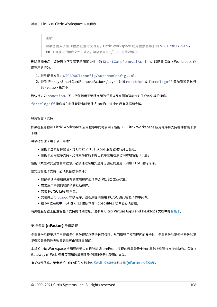注意:

如果您输入了驱动程序位置的文件名,Citrix Workspace 应用程序将导航到 \$ICAROOT/PKCS\ ##11 目录中的相应文件。或者,可以使用以 "/" 开头的绝对路径。

删除智能卡后,请按照以下步骤更新配置文件中的 SmartCardRemovalAction,以配置 Citrix Workspace 应 用程序的行为:

- 1. 找到配置文件:\$ICAROOT/config/AuthManConfig.xml。
- 2. 找到行 <key>SmartCardRemovalAction</key>,并将 noaction 或 forcelogoff 添加到紧跟该行 的 <value> 元素中。

默认行为为 noaction。不执行任何用于清除存储的凭据以及在删除智能卡时生成的令牌的操作。

forcelogoff 操作将在删除智能卡时清除 StoreFront 中的所有凭据和令牌。

#### 启用智能卡支持

如果在服务器和 Citrix Workspace 应用程序中同时启用了智能卡,Citrix Workspace 应用程序将支持各种智能卡读 卡器。

可以将智能卡用于以下用途:

- 智能卡登录身份验证 ‑ 对 Citrix Virtual Apps 服务器进行身份验证。
- 智能卡应用程序支持 允许支持智能卡的已发布应用程序访问本地智能卡设备。

智能卡数据对安全性非常敏感,必须通过采用安全身份验证的通道(例如 TLS)进行传输。

要实现智能卡支持,必须具备以下条件:

- 智能卡读卡器和已发布的应用程序必须符合 PC/SC 工业标准。
- 安装适用于您的智能卡的驱动程序。
- 安装 PC/SC Lite 软件包。
- 安装并运行 pcscd 守护程序,该程序提供使用 PC/SC 访问智能卡的中间件。
- 在 64 位系统中, 64 位和 32 位版本的 libpscslite1 软件包必须存在。

有关在服务器上配置智能卡支持的详细信息,请参阅 Citrix Virtual Apps and Desktops 文档中的智能卡。

## 支持多重 **(nFactor)** 身份验证

多重身份验证要求用户提供多个身份证明以获得访问权限,从而增强了应用程序的安全性。多重身份验证使得身份验证 步骤和关联的凭据收集表单可由管理员配置。

本机 Citrix Workspace 应用程序通过在已针对 StoreFront 实现的表单登录支持的基础上构建来支持此协议。Citrix Gateway 的 Web 登录页面和流量管理器虚拟服务器也使用此协议。

有关详细信息,请参阅 Citrix ADC 文档中的 SAML 身份验证和多重 (nFactor) 身份验证。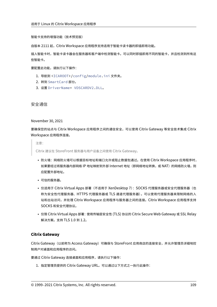智能卡支持的增强功能(技术预览版)

自版本 2111 起, Citrix Workspace 应用程序支持适用于智能卡读卡器的即插即用功能。

插入智能卡时,智能卡读卡器会在服务器和客户端中检测智能卡。可以同时即插即用不同的智能卡,并且检测到所有这 些智能卡。

要配置此功能,请执行以下操作:

- 1. 导航到 <ICAROOT>/config/module.ini 文件夹。
- 2. 转到 SmartCard 部分。
- 3. 设置 DriverName= VDSCARDV2.DLL。

安全通信

November 30, 2021

要确保您的站点与 Citrix Workspace 应用程序之间的通信安全,可以使用 Citrix Gateway 等安全技术集成 Citrix Workspace 应用程序连接。

注意:

Citrix 建议在 StoreFront 服务器与用户设备之间使用 Citrix Gateway。

- 防火墙:网络防火墙可以根据目标地址和端口允许或阻止数据包通过。在使用 Citrix Workspace 应用程序时, 如果要经过将服务器内部网络 IP 地址映射到外部 Internet 地址(即网络地址转换,或 NAT)的网络防火墙,则 应配置外部地址。
- 可信的服务器。
- 仅适用于 Citrix Virtual Apps 部署 (不适用于 XenDesktop 7): SOCKS 代理服务器或安全代理服务器 (也 称为安全性代理服务器、HTTPS 代理服务器或 TLS 通道代理服务器)。可以使用代理服务器来限制网络的入 站和出站访问,并处理 Citrix Workspace 应用程序与服务器之间的连接。Citrix Workspace 应用程序支持 SOCKS 和安全代理协议。
- 仅限 Citrix Virtual Apps 部署:使用传输层安全性 (TLS) 协议的 Citrix Secure Web Gateway 或 SSL Relay 解决方案。支持 TLS 1.0 到 1.2。

# **Citrix Gateway**

Citrix Gateway (以前称为 Access Gateway) 可确保与 StoreFront 应用商店的连接安全, 并允许管理员详细地控 制用户对桌面和应用程序的访问。

要通过 Citrix Gateway 连接桌面和应用程序,请执行以下操作:

1. 指定管理员提供的 Citrix Gateway URL。可以通过以下方式之一执行此操作: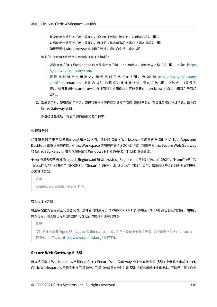- 首次使用自助服务式用户界面时,系统会提示您在添加帐户对话框中输入 URL。
- 以后使用自助服务式用户界面时,可以通过单击首选项 > 帐户 > 添加来输入 URL
- 如果要通过 storebrowse 命令建立连接,请在命令行中输入 URL

该 URL 指定网关和特定应用商店(选择性指定):

- 要连接到 Citrix Workspace 应用程序找到的第一个应用商店,请使用以下格式的 URL, 例如: https: //gateway.company.com。
- 要 连 接 到 特 定 应 用 商 店, 请 使 用 以 下 格 式 的 URL, 例 如:https://gateway.company. com?<storename>。 此 动 态 URL 的 格 式 为 非 标 准 格 式; 请 勿 在 该 URL 中 包 含 =([等 号 字](https://gateway.company.com) [符\)。如果要通过](https://gateway.company.com) storebrowse 连接到特定应用商店,可能需要在 storebrowse 命令中用双引号引起 URL。
- 2. 系统[提示时,](https://gateway.company.com)使用您的用户名、密码和安全令牌连接到该应用商店(通过网关)。有关此步骤的详细信息,请参阅 Citrix Gateway 文档。

身份验证完成后,将显示您的桌面和应用程序。

#### 代理服务器

代理服务器用于限制网络的入站和出站访问,并处理 Citrix Workspace 应用程序与 Citrix Virtual Apps and Desktops 部署之间的连接。Citrix Workspace 应用程序支持 SOCKS 协议(随附于 Citrix Secure Web Gateway 和 Citrix SSL Relay)、安全代理协议和 Windows NT 质询/响应 (NTLM) 身份验证。

支持的代理类型列表被 Trusted\_Regions.ini 和 Untrusted\_Regions.ini 限制为 "Auto"(自动)、"None"(无) 和 "Wpad" 类型。如果使用 "SOCKS"、"Secure"(安全)或 "Script"(脚本)类型,请编辑这些文件以向允许列表中 添加其他类型。

注意:

要确保实现安全连接,请启用 TLS。

# 安全代理服务器

将连接配置为使用安全代理协议时,意味着同时启用了对 Windows NT 质询/响应 (NTLM) 身份验证的支持。如果此 协议可用,则无需任何其他配置即可在运行时检测和使用此协议。

重要:

NTLM 支持需要 OpenSSL 1.1.1d 和 libcrypto.so 库。在用户设备上安装这些库。这些库通常包含在 Linux 发 行版中。也可以从 http://www.openssl.org/ 进行下载。

# **Secure Web Gat[eway](http://www.openssl.org/)** 和 **SSL**

可以将 Citrix Workspace 应用程序与 Citrix Secure Web Gateway 或安全套接字层 (SSL) 中继服务集成在一起。 Citrix Workspace 应用程序支持 TLS 协议。TLS(传输层安全性)是 SSL 协议的最新标准化版本。互联网工程工作小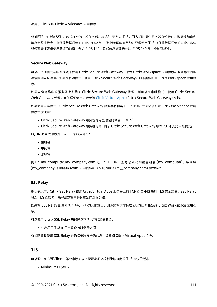组 (IETF) 在接管 SSL 开放式标准的开发任务后,将 SSL 更名为 TLS。TLS 通过提供服务器身份验证、数据流加密和 消息完整性检查,来保障数据通信的安全。有些组织(包括美国政府组织)要求使用 TLS 来保障数据通信的安全。这些 组织可能还要求使用验证的加密,例如 FIPS 140(联邦信息处理标准)。FIPS 140 是一个加密标准。

# **Secure Web Gateway**

可以在普通模式或中继模式下使用 Citrix Secure Web Gateway,来为 Citrix Workspace 应用程序与服务器之间的 通信提供安全通道。如果在普通模式下使用 Citrix Secure Web Gateway, 则不需要配置 Citrix Workspace 应用程 序。

如果安全网络中的服务器上安装了 Citrix Secure Web Gateway 代理, 则可以在中继模式下使用 Citrix Secure Web Gateway 代理。有关详细信息,请参阅 Citrix Virtual Apps (Citrix Secure Web Gateway) 文档。

如果使用中继模式,Citrix Secure Web Gateway 服务器将相当于一个代理,并且必须配置 Citrix Workspace 应用 程序才能使用:

- Citrix Secure Web Gateway 服务器[的完全限定的域名](https://docs.citrix.com/zh-cn/xenapp-and-xendesktop/xenapp-6-5/xenapp65-w2k8-wrapper/sg-presentation-server-v2.html) (FQDN)。
- Citrix Secure Web Gateway 服务器的端口号。Citrix Secure Web Gateway 版本 2.0 不支持中继模式。

FQDN 必须按顺序列出以下三个组成部分:

- 主机名
- 中间域
- 顶级域

例如:my\_computer.my\_company.com 是一个 FQDN,因为它依次列出主机名 (my\_computer)、中间域 (my\_company) 和顶级域 (com)。中间域和顶级域的组合 (my\_company.com) 称为域名。

# **SSL Relay**

默认情况下,Citrix SSL Relay 使用 Citrix Virtual Apps 服务器上的 TCP 端口 443 进行 TLS 安全通信。SSL Relay 收到 TLS 连接时,先解密数据再将其重定向到服务器。

如果将 SSL Relay 配置为侦听 443 以外的其他端口,则必须将该非标准侦听端口号指定给 Citrix Workspace 应用程 序。

可以使用 Citrix SSL Relay 来保障以下情况下的通信安全:

• 在启用了 TLS 的用户设备与服务器之间

有关配置和使用 SSL Relay 来确保安装安全的信息,请参阅 Citrix Virtual Apps 文档。

# **TLS**

可以通过在 [WFClient] 部分中添加以下配置选项来控制能够协商的 TLS 协议的版本:

• MinimumTLS=1.2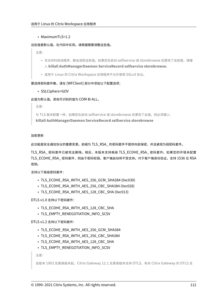# • MaximumTLS=1.2

# 这些值是默认值,在代码中实现。请根据需要调整这些值。

注意:

- 无论何时启动程序,都会读取这些值。如果您在启动 selfservice 或 storebrowse 后更改了这些值,请键 入 **killall AuthManagerDaemon ServiceRecord selfservice storebrowse**。
- 适用于 Linux 的 Citrix Workspace 应用程序不允许使用 SSLv3 协议。

# 要选择密码套件集,请在 [WFClient] 部分中添加以下配置选项:

# • SSLCiphers=GOV

# 此值为默认值。其他可识别的值为 COM 和 ALL。

注意:

与 TLS 版本配置一样,如果您在启动 selfservice 或 storebrowse 后更改了此值,则必须键入: **killall AuthManagerDaemon ServiceRecord selfservice storebrowse**

# 加密更新

此功能是安全通信协议的重要变更。前缀为 TLS\_RSA\_ 的密码套件不提供向前保密,并且被视为弱密码套件。

TLS\_RSA\_ 密码套件已被完全删除。相反,本版本支持高级 TLS\_ECDHE\_RSA\_ 密码套件。如果您的环境未配置 TLS\_ECDHE\_RSA\_ 密码套件,则由于密码较弱,客户端启动将不受支持。对于客户端身份验证,支持 1536 位 RSA 密钥。

支持以下高级密码套件:

- TLS ECDHE\_RSA\_WITH\_AES\_256\_GCM\_SHA384 (0xc030)
- TLS ECDHE\_RSA\_WITH\_AES\_256\_CBC\_SHA384 (0xc028)
- TLS\_ECDHE\_RSA\_WITH\_AES\_128\_CBC\_SHA (0xc013)

DTLS v1.0 支持以下密码套件:

- TLS\_ECDHE\_RSA\_WITH\_AES\_128\_CBC\_SHA
- TLS EMPTY RENEGOTIATION INFO SCSV

# DTLS v1.2 支持以下密码套件:

- TLS ECDHE\_RSA\_WITH\_AES\_256\_GCM\_SHA384
- TLS\_ECDHE\_RSA\_WITH\_AES\_256\_CBC\_SHA384
- TLS ECDHE\_RSA\_WITH\_AES\_128\_CBC\_SHA
- TLS\_EMPTY\_RENEGOTIATION\_INFO\_SCSV

注意:

```
自版本 1903 及更高版本起,Citrix Gateway 12.1 及更高版本支持 DTLS。有关 Citrix Gateway 的 DTLS 支
```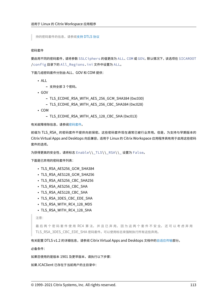持的密码套件的信息,请参阅支持 DTLS 协议

#### 密码套件

要启用不同的密码套件,请将参数 [SSLCiphers](https://docs.citrix.com/en-us/citrix-adc/12-1/ssl/support-for-dtls-protocol.html) 的值更改为 ALL、COM 或 GOV。默认情况下,该选项在 \$ICAROOT /config 目录下的 All\_Regions.ini 文件中设置为 ALL。

下面几组密码套件分别由 ALL、GOV 和 COM 提供:

- ALL
	- **–** 支持全部 3 个密码。
- GOV
	- **–** TLS\_ECDHE\_RSA\_WITH\_AES\_256\_GCM\_SHA384 (0xc030)
	- **–** TLS\_ECDHE\_RSA\_WITH\_AES\_256\_CBC\_SHA384 (0xc028)
- COM
	- **–** TLS\_ECDHE\_RSA\_WITH\_AES\_128\_CBC\_SHA (0xc013)

有关故障排除信息,请参阅密码套件。

前缀为 TLS\_RSA\_ 的密码套件不提供向前保密。这些密码套件现在通常已被行业弃用。但是,为支持与早期版本的 Citrix Virtual Apps and [Desktop](https://docs.citrix.com/zh-cn/citrix-workspace-app-for-linux/troubleshooting.html#cipher-suites)s 向后兼容,适用于 Linux 的 Citrix Workspace 应用程序具有用于启用这些密码 套件的选项。

为获得更高的安全性,请将标志 Enable\\\_TLS\\\_RSA\\\_ 设置为 False。

下面是已弃用的密码套件列表:

- TLS\_RSA\_AES256\_GCM\_SHA384
- TLS\_RSA\_AES128\_GCM\_SHA256
- TLS\_RSA\_AES256\_CBC\_SHA256
- TLS\_RSA\_AES256\_CBC\_SHA
- TLS\_RSA\_AES128\_CBC\_SHA
- TLS\_RSA\_3DES\_CBC\_EDE\_SHA
- TLS\_RSA\_WITH\_RC4\_128\_MD5
- TLS\_RSA\_WITH\_RC4\_128\_SHA

注意:

最 后 两 个 密 码 套 件 使 用 RC4 算 法, 并 且 已 弃 用, 因 为 这 两 个 套 件 不 安 全。 还 可 以 考 虑 弃 用 TLS RSA 3DES CBC EDE SHA 密码套件。可以使用标志来强制执行所有这些弃用。

有关配置 DTLS v1.2 的详细信息,请参阅 Citrix Virtual Apps and Desktops 文档中的自适应传输部分。

必备条件:

#### 如果您使用的是版本 1901 及更早版本,请执行以下步骤:

如果.ICAClient 已存在于当前用户的主目录中: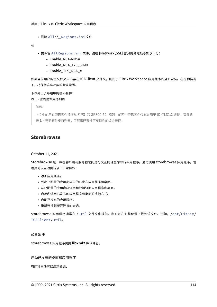• 删除 All\\\_Regions.ini 文件

或

- 要保留 AllRegions.ini 文件,请在 [Network\SSL] 部分的结尾处添加以下行:
	- **–** Enable\_RC4‑MD5=
	- **–** Enable\_RC4\_128\_SHA=
	- **–** Enable\_TLS\_RSA\_=

如果当前用户的主文件夹中不存在.ICAClient 文件夹, 则指示 Citrix Workspace 应用程序的全新安装。在这种情况 下,将保留这些功能的默认设置。

下表列出了每组中的密码套件:

# 表 1 ‑ 密码套件支持列表

注意:

上文中的所有密码套件都遵从 FIPS‑ 和 SP800‑52‑ 规则。前两个密码套件仅允许用于 (D)TLS1.2 连接。请参阅 表 **1 –** 密码套件支持列表,了解密码套件可支持性的综合表征。

# **Storebrowse**

October 11, 2021

Storebrowse 是一款在客户端与服务器之间进行交互的轻型命令行实用程序。通过使用 storebrowse 实用程序,管 理员可以自动执行以下日常操作:

- 添加应用商店。
- 列出已配置的应用商店中的已发布应用程序和桌面。
- 从已配置的应用商店订阅和取消订阅应用程序和桌面。
- 启用和禁用已发布的应用程序和桌面的快捷方式。
- 启动已发布的应用程序。
- 重新连接到断开连接的会话。

storebrowse 实用程序通常在 /util 文件夹中提供。您可以在安装位置下找到该文件。例如,/opt/Citrix/ ICAClient/util。

# 必备条件

storebrowse 实用程序需要 **libxml2** 库软件包。

启动已发布的桌面和应用程序

有两种方法可以启动资源: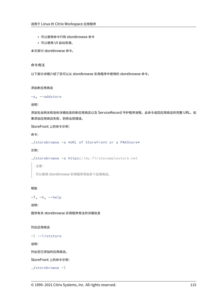- 可以使用命令行和 storebrowse 命令
- 可以使用 UI 启动资源。

本文探讨 storebrowse 命令。

## 命令用法

以下部分详细介绍了您可以从 storebrowse 实用程序中使用的 storebrowse 命令。

#### 添加新应用商店

```
-a, --addstore
```
说明:

添加包含网关和信标详细信息的新应用商店以及 ServiceRecord 守护程序进程。此命令返回应用商店的完整 URL。如 果添加应用商店失败,则将出现错误。

StoreFront 上的命令示例:

命令:

./storebrowse -a \*URL of StoreFront or a PNAStore\*

示例:

```
./storebrowse -a https://my.firstexamplestore.net
```
注意:

可以使用 storebrowse 实用程序添加多个应用商店。

# 帮助

-?, -h, --help

说明:

提供有关 storebrowse 实用程序用法的详细信息

列出应用商店

-l --liststore

说明:

列出您已添加的应用商店。

StoreFront 上的命令示例:

```
./storebrowse -l
```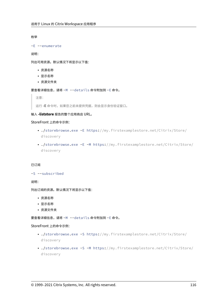枚举

-E --enumerate

说明:

列出可用资源。默认情况下将显示以下值:

- 资源名称
- 显示名称
- 资源文件夹

要查看详细信息,请将 -M --details 命令附加到 -E 命令。

注意:

运行 **‑E** 命令时,如果您之前未提供凭据,则会显示身份验证窗口。

# 输入 **‑liststore** 报告的整个应用商店 URL。

## StoreFront 上的命令示例:

- ./storebrowse.exe -E https://my.firstexamplestore.net/Citrix/Store/ discovery
- ./storebrowse.exe -E -M https://my.firstexamplestore.net/Citrix/Store/ discovery

#### 已订阅

-S --subscribed

说明:

列出订阅的资源。默认情况下将显示以下值:

- 资源名称
- 显示名称
- 资源文件夹

要查看详细信息,请将 -M --details 命令附加到 -E 命令。

#### StoreFront 上的命令示例:

- ./storebrowse.exe -S https://my.firstexamplestore.net/Citrix/Store/ discovery
- ./storebrowse.exe -S -M https://my.firstexamplestore.net/Citrix/Store/ discovery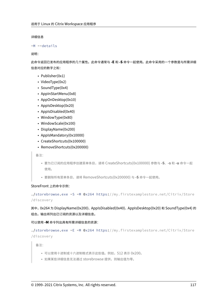详细信息

```
-M --details
```
说明:

此命令返回已发布的应用程序的几个属性。此命令通常与 **‑E** 和 **‑S** 命令一起使用。此命令采用的一个参数是与所需详细 信息对应的数字之和:

- Publisher(0x1)
- VideoType(0x2)
- SoundType(0x4)
- AppInStartMenu(0x8)
- AppOnDesktop(0x10)
- AppIsDesktop(0x20)
- AppIsDisabled(0x40)
- WindowType(0x80)
- WindowScale(0x100)
- DisplayName(0x200)
- AppIsMandatory(0x10000)
- CreateShortcuts(0x100000)
- RemoveShortcuts(0x200000)

备注:

- 要为已订阅的应用程序创建菜单条目,请将 CreateShortcuts(0x100000) 参数与 **‑S**、**‑s** 和 **‑u** 命令一起 使用。
- 要删除所有菜单条目,请将 RemoveShortcuts(0x200000) 与 **‑S** 命令一起使用。

# StoreFront 上的命令示例:

```
./storebrowse.exe -S -M 0x264 https://my.firstexamplestore.net/Citrix/Store
/discovery
```
其中,0x264 为 DisplayName(0x200)、AppIsDisabled(0x40)、AppIsDesktop(0x20) 和 SoundType(0x4) 的 组合。输出将列出已订阅的资源以及详细信息。

可以使用 **‑M** 命令列出具有所需详细信息的资源:

```
./storebrowse.exe -E -M 0x264 https://my.firstexamplestore.net/Citrix/Store
/discovery
```
备注:

- 可以使用十进制或十六进制格式表示这些值。例如,512 表示 0x200。
- 如果某些详细信息无法通过 storebrowse 提供,则输出值为零。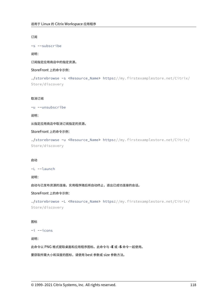订阅

-s --subscribe

说明:

订阅指定应用商店中的指定资源。

StoreFront 上的命令示例:

```
./storebrowse -s <Resource_Name> https://my.firstexamplestore.net/Citrix/
Store/discovery
```
取消订阅

-u --unsubscribe

说明:

从指定应用商店中取消订阅指定的资源。

StoreFront 上的命令示例:

./storebrowse -u <Resource\_Name> https://my.firstexamplestore.net/Citrix/ Store/discovery

#### 启动

-L --launch

说明:

启动与已发布资源的连接。实用程序随后将自动终止,退出已成功连接的会话。

StoreFront 上的命令示例:

```
./storebrowse -L <Resource_Name> https://my.firstexamplestore.net/Citrix/
Store/discovery
```
## 图标

-i --icons

说明:

此命令以 PNG 格式提取桌面和应用程序图标。此命令与 **‑E** 或 **‑S** 命令一起使用。

要获取所需大小和深度的图标,请使用 best 参数或 size 参数方法。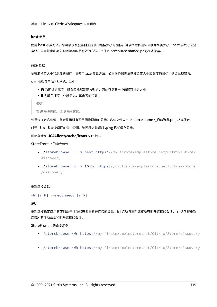#### **best** 参数

使用 best 参数方法,您可以获取服务器上提供的最佳大小的图标。可以稍后将图标转换为所需大小。best 参数方法是 存储、应用带宽和简化脚本编写的最有效的方法。文件以 <resource name>.png 格式保存。

#### **size** 参数

要获取指定大小和深度的图标,请使用 size 参数方法。如果服务器无法获取给定大小或深度的图标,则会出现错误。 size 参数采用 WxB 格式,其中:

- **W** 为图标的宽度。所有图标都是正方形的,因此只需要一个值即可指定大小。
- **B** 为颜色深度。也就是说,每像素的位数。

注意:

```
值 W 是必需的。值 B 是可选的。
```
如果未指定这些值,则会显示所有可用图像深度的图标。这些文件以 <resource name>\_WxWxB.png 格式保存。

对于 **‑E** 或 **‑S** 命令返回的每个资源,这两种方法都以 **.png** 格式保存图标。

图标存储在 **.ICAClient/cache/icons** 文件夹中。

StoreFront 上的命令示例:

- ./storebrowse -E -i best https://my.firstexamplestore.net/Citrix/Store/ discovery
- ./storebrowse -S -i 16x16 https://my.firstexamplestore.net/Citrix/Store /discovery

# 重新连接会话

-W [r|R] --reconnect [r|R]

说明:

重新连接指定应用商店的处于活动状态但已断开连接的会话。[r] 选项将重新连接所有断开连接的会话。[r] 选项将重新 连接所有活动会话和断开连接的会话。

StoreFront 上的命令示例:

- ./storebrowse -Wr https://my.firstexamplestore.net/Citrix/Store/discovery
- ./storebrowse -WR https://my.firstexamplestore.net/Citrix/Store/discovery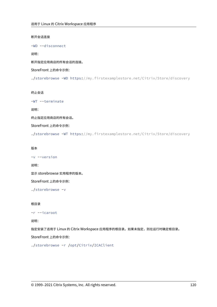断开会话连接

-WD --disconnect

说明:

断开指定应用商店的所有会话的连接。

StoreFront 上的命令示例:

./storebrowse -WD https://my.firstexamplestore.net/Citrix/Store/discovery

终止会话

```
-WT --terminate
```
说明:

终止指定应用商店的所有会话。

StoreFront 上的命令示例:

./storebrowse -WT https://my.firstexamplestore.net/Citrix/Store/discovery

# 版本

```
-v --version
```
说明:

显示 storebrowse 实用程序的版本。

StoreFront 上的命令示例:

./storebrowse -v

# 根目录

```
-r --icaroot
```
说明:

指定安装了适用于 Linux 的 Citrix Workspace 应用程序的根目录。如果未指定,则在运行时确定根目录。

StoreFront 上的命令示例:

./storebrowse -r /opt/Citrix/ICAClient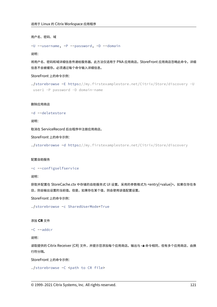用户名、密码、域

-U --username, -P --password, -D --domain

说明:

将用户名、密码和域详细信息传递给服务器。此方法仅适用于 PNA 应用商店。StoreFront 应用商店忽略此命令。详细 信息不会被缓存。必须通过每个命令输入详细信息。

StoreFront 上的命令示例:

```
./storebrowse -E https://my.firstexamplestore.net/Citrix/Store/discovery -U
user1 -P password -D domain-name
```
#### 删除应用商店

-d --deletestore

说明:

取消在 ServiceRecord 后台程序中注册应用商店。

StoreFront 上的命令示例:

./storebrowse -d https://my.firstexamplestore.net/Citrix/Store/discovery

## 配置自助服务

#### -c --configselfservice

说明:

获取并配置在 StoreCache.ctx 中存储的自助服务式 UI 设置。采用的参数格式为 <entry[=value]>。如果仅存在条 目,则会输出设置的当前值。但是,如果存在某个值,则会使用该值配置设置。

StoreFront 上的命令示例:

./storebrowse -c SharedUserMode=True

#### 添加 **CR** 文件

-C --addcr

说明:

读取提供的 Citrix Receiver (CR) 文件,并提示您添加每个应用商店。输出与 **‑a** 命令相同,但有多个应用商店,由换 行符分隔。

StoreFront 上的命令示例:

./storebrowse -C <path to CR file>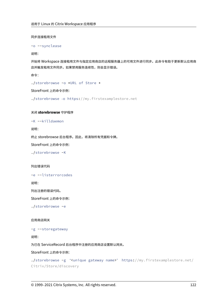同步连接租用文件

```
-o --synclease
```
说明:

开始将 Workspace 连接租用文件与指定应用商店的远程服务器上的可用文件进行同步。此命令有助于更新默认应用商 店并触发租用文件同步。如果禁用服务连续性,则会显示错误。

命令:

./storebrowse -o \*URL of Store \*

StoreFront 上的命令示例:

./storebrowse –o https://my.firstexamplestore.net

# 关闭 **storebrowse** 守护程序

-K --killdaemon

说明:

终止 storebrowse 后台程序。因此,将清除所有凭据和令牌。

StoreFront 上的命令示例:

./storebrowse -K

## 列出错误代码

-e --listerrorcodes

说明:

列出注册的错误代码。

StoreFront 上的命令示例:

./storebrowse -e

应用商店网关

-g --storegateway

说明:

为已在 ServiceRecord 后台程序中注册的应用商店设置默认网关。

StoreFront 上的命令示例:

./storebrowse -g "<unique gateway name>" https://my.firstexamplestore.net/ Citrix/Store/discovery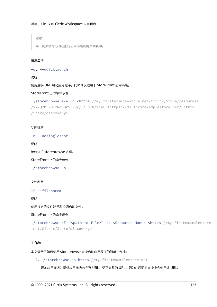注意:

唯一网关名称必须在指定应用商店的网关列表中。

#### 快速启动

-q, --quicklaunch

说明:

使用直接 URL 启动应用程序。此命令仅适用于 StoreFront 应用商店。

StoreFront 上的命令示例:

```
.\storebrowse.exe -q <https://my.firstexamplestore.net/Citrix/Store/resources
/v2/Q2hJkOlmNoPQrSTV9y/launch/ica> <https://my.firstexamplestore.net/Citrix
/Store/discovery>
```
#### 守护程序

-n --nosingleshot

说明:

始终守护 storebrowse 进程。

StoreFront 上的命令示例:

./storebrowse -n

#### 文件参数

```
-F --fileparam
```
说明:

使用指定的文件路径和资源启动文件。

StoreFront 上的命令示例:

```
./storebrowse -F "<path to file>" -L <Resource Name> <https://my.firstexamplestore
.net/Citrix/Store/discovery>
```
# 工作流

本文演示了如何使用 storebrowse 命令启动应用程序的简单工作流:

1. ./storebrowse -a https://my.firstexamplestore.net

添加应用商店并提供应用商店的完整 URL。记下完整的 URL,因为在后面的命令中会使用该 URL。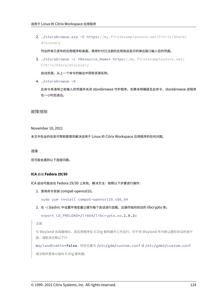2. ./storebrowse.exe -E https://my.firstexamplestore.net/Citrix/Store/ discovery

列出所有已发布的应用程序和桌面。使用针对已注册的应用商店显示的弹出窗口输入您的凭据。

3. ./storebrowse -L <Resource\_Name> https://my.firstexamplestore.net/ Citrix/Store/discovery

启动资源。从上一个命令的输出中获取资源名称。

4. ./storebrowse -K

此命令将清除之前输入的凭据并关闭 storebrowse 守护程序。如果未明确提及此命令, storebrowse 进程将 在一小时后退出。

故障排除

November 10, 2021

本文中包含的信息可帮助管理员解决适用于 Linux 的 Citrix Workspace 应用程序的任何问题。

连接

您可能会遇到以下连接问题。

# **ICA** 启动 **Fedora 29/30**

ICA 启动可能会在 Fedora 29/30 上失败。解决方法:按照以下步骤进行操作:

1. 使用命令安装 compat‑openssl10。

sudo yum install compat-openssl10.x86\_64

2. 在 ~/.bashrc 中设置环境变量以便为每个会话进行加载。此操作指向较旧的 libcrypto 库。

```
export LD_PRELOAD=/lib64/libcrypto.so.1.0.2o
```
注意:

与 Wayland 合成器相比,该应用程序在 X.Org 服务器中工作运行。对于将 Wayland 作为默认图形协议的发行 版,请取消注释以下行:

WaylandEnable=**false**,所在位置为 /etc/gdm/custom.conf 或 /etc/gdm3/custom.conf 请注销并登录以指向 X.Org 服务器。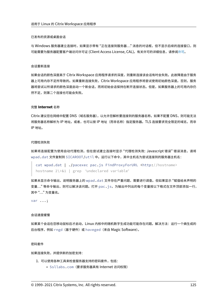#### 已发布的资源或桌面会话

与 Windows 服务器建立连接时,如果显示带有 "正在连接到服务器..." 消息的对话框,但不显示后续的连接窗口,则 可能需要为服务器配置客户端访问许可证 (Client Access License, CAL)。有关许可的详细信息,请参阅许可。

#### 会话重新连接

如果会话的颜色深度高于 Citrix Workspace 应用程序请求的深度,则重新连接该会话有时会失败。此故障是由于服务 器上可用内存不足所导致的。如果重新连接失败,Citrix Workspace 应用程序将尝试使用初始颜色深度。否则,服务 器将尝试以所请求的颜色深度启动一个新会话,而将初始会话保持在断开连接状态。但是,如果服务器上的可用内存仍 然不足,则第二个连接也可能会失败。

#### 完整 **Internet** 名称

Citrix 建议您在网络中配置 DNS(域名服务器),以允许您解析要连接到的服务器名称。如果不配置 DNS,则可能无法 将服务器名称解析为 IP 地址。或者,也可以按 IP 地址(而非名称)指定服务器。TLS 连接要求完全限定的域名,而非 IP 地址。

#### 代理检测失败

如果将连接配置为使用自动代理检测,但在尝试建立连接时显示 "代理检测失败: Javascript 错误" 错误消息,请将 wpad.dat 文件复制到 \$ICAROOT/util 中。运行以下命令,其中主机名为尝试连接到的服务器主机名:

```
cat wpad.dat | ./pacexec pac.js FindProxyForURL <http://hostname>
hostname 2\>&1 | grep "undeclared variable"
```
如果未显示命令输出,说明服务器上的 wpad.dat 文件存在严重问题,需要进行调查。但如果显示 "赋值给未声明的 变量…" 等命令输出,则可以解决该问题。打开 pac.js,为输出中列出的每个变量按以下格式在文件顶部添加一行, 其中 "…" 为变量名。

var ...;

#### 会话速度缓慢

如果某个会话在您移动鼠标后才启动,Linux 内核中的随机数字生成功能可能存在问题。解决方法:运行一个熵生成的 后台程序, 例如 rngd(基于硬件)或 haveged(来自 Magic Software)。

#### 密码套件

如果连接失败,并提供新的加密支持:

- 1. 可以使用各种工具来检查服务器支持的密码套件,包括:
	- Ssllabs.com(要求服务器具有 Internet 访问权限)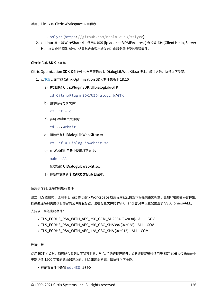- sslyze (https://github.com/nabla-c0d3/sslyze)
- 2. 在 Linux 客户端 WireShark 中,使用过滤器 (ip.addr == VDAIPAddress) 查找数据包 (Client Hello, Server Hello) 以查找 SSL 部分。结果包含由客户端发送并由服务器接受的密码套件。

## **Citrix** 优化 **SDK** 不正确

Citrix Optimization SDK 软件包中包含不正确的 UIDialogLibWebKit.so 版本。解决方法:执行以下步骤:

- 1. 从下载页面下载 Citrix Optimization SDK 软件包版本 18.10。
	- a) 转到路径 CitrixPluginSDK/UIDialogLib/GTK:

[c](https://www.citrix.co.in/downloads/workspace-app/legacy-workspace-app-for-linux/workspace-app-for-linux-1810.html)d CitrixPluginSDK/UIDialogLib/GTK

b) 删除所有对象文件:

rm  $-rf \star o$ 

c) 转到 WebKit 文件夹:

cd ../WebKit

- d) 删除现有 UIDialogLibWebKit.so 包:
	- rm -rf UIDialogLibWebKit.so
- e) 在 WebKit 目录中使用以下命令:

make all

生成新的 UIDialogLibWebKit.so。

f) 将新库复制到 **\$ICAROOT/lib** 目录中。

#### 适用于 **SSL** 连接的弱密码套件

建立 TLS 连接时,适用于 Linux 的 Citrix Workspace 应用程序默认情况下将提供更加新式、更加严格的密码套件集。 如果要连接到需要较旧的密码套件的服务器,请在配置文件的 [WFClient] 部分中设置配置选项 SSLCiphers=ALL。

支持以下高级密码套件:

- TLS\_ECDHE\_RSA\_WITH\_AES\_256\_GCM\_SHA384 (0xc030)、ALL、GOV
- TLS\_ECDHE\_RSA\_WITH\_AES\_256\_CBC\_SHA384 (0xc028)、ALL、GOV
- TLS\_ECDHE\_RSA\_WITH\_AES\_128\_CBC\_SHA (0xc013)、ALL、COM

#### 连接中断

使用 EDT 协议时,您可能会看到以下错误消息: 与 "..." 的连接已断开。 如果连接是通过适用于 EDT 的最大传输单位小 于默认值 1500 字节的路由器建立的,则会出现此问题。请执行以下操作:

• 在配置文件中设置 edtMSS=1000。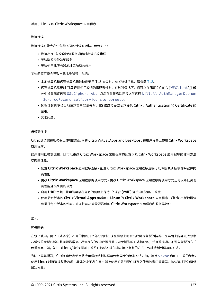#### 连接错误

连接错误可能会产生各种不同的错误对话框。示例如下:

- 连接出错: 与身份验证服务通信时出现协议错误
- 无法联系身份验证服务
- 无法使用此服务器地址添加您的帐户

某些问题可能会导致出现此类错误,包括:

- 本地计算机和远程计算机无法协商通用 TLS 协议时。有关详细信息,请参阅 TLS。
- 远程计算机需要对 TLS 连接使用较旧的密码套件时。在这种情况下,您可以在配置文件的 \ [WFClient\] 部 分中设置配置选项 SSLCiphers=ALL,然后在重新启动连接之前运行 killall AuthManagerDaemon ServiceRecord selfservice storebrowse。
- 远程计算机不恰当地请求客户端证书时。IIS 仅应接受或要求提供 Citrix、Authentication 和 Certificate 的 证书。
- 其他问题。

#### 低带宽连接

Citrix 建议您在服务器上使用最新版本的 Citrix Virtual Apps and Desktops,在用户设备上使用 Citrix Workspace 应用程序。

如果使用低带宽连接,则可以更改 Citrix Workspace 应用程序的配置以及 Citrix Workspace 应用程序的使用方法 以提高性能。

- 配置 **Citrix Workspace** 应用程序连接 ‑ 配置 Citrix Workspace 应用程序连接可以降低 ICA 所需的带宽并提 高性能
- 更改 **Citrix Workspace** 应用程序的使用方式 ‑ 更改 Citrix Workspace 应用程序的使用方式还可以降低实现 高性能连接所需的带宽
- 启用 **UDP** 音频 ‑ 此功能可以在阻塞的网络上保持 IP 语音 (VoIP) 连接中延迟的一致性
- 使用最新版本的 **Citrix Virtual Apps** 和适用于 **Linux** 的 **Citrix Workspace** 应用程序 ‑ Citrix 不断地增强 和提升每个版本的性能,许多性能功能需要最新的 Citrix Workspace 应用程序和服务器软件

#### 显示

#### 屏幕撕裂

在水平块中,两个(或多个)不同的帧的几个部分同时出现在屏幕上时会出现屏幕撕裂的情况。在桌面上内容更改频率 非常快的大型区域中此问题最常见。尽管在 VDA 中数据是通过避免撕裂的方式捕获的,并且数据通过不引入撕裂的方式 传递到客户端,X11(Linux/Unix 图形子系统)仍然不提供通过阻止撕裂的方式一致地绘制到屏幕的方法。

为防止屏幕撕裂,Citrix 建议您使用将应用程序绘制与屏幕绘制同步的标准方法。即,等待 vsvnc 启动下一帧的绘制。 使用 Linux 时可选择某些选项,具体取决于您在客户端上使用的图形硬件以及您使用的窗口管理器。这些选项分为两组 解决方案: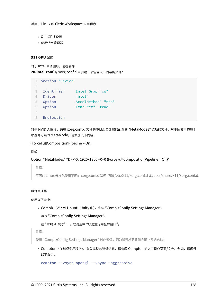- X11 GPU 设置
- 使用组合管理器

# **X11 GPU** 配置

对于 Intel 高清图形,请在名为 **20‑intel.conf** 的 xorg.conf.d 中创建一个包含以下内容的文件:

```
1 Section "Device"
2
3 Identifier "Intel Graphics"
4 Driver "intel"
5 Option "AccelMethod" "sna"
6 Option "TearFree" "true"
7
8 EndSection
```
对于 NVIDIA 图形,请在 xorg.conf.d 文件夹中找到包含您的配置的 "MetaModes" 选项的文件。对于所使用的每个 以逗号分隔的 MetaMode,请添加以下内容:

{ForceFullCompositionPipeline = On}

例如:

Option "MetaModes" "DFP‑0: 1920x1200 +0+0 {ForceFullCompositionPipeline = On}"

注意:

不同的 Linux 分发包使用不同的 xorg.conf.d 路径,例如 /etc/X11/xorg.conf.d 或 /user/share/X11/xorg.conf.d。

## 组合管理器

使用以下命令:

• Compiz(嵌入到 Ubuntu Unity 中)。安装 "CompizConfig Settings Manager"。

运行 "CompizConfig Settings Manager"。

在"常规 -> 撰写"下,取消选中"取消重定向全屏窗口"。

注意:

使用"CompizConfig Settings Manager"时应谨慎,因为错误地更改值会阻止系统启动。

• Compton (加载项实用程序)。有关完整的详细信息,请参阅 Compton 的人工操作页面/文档。例如,请运行 以下命令:

compton --vsync opengl --vsync -aggressive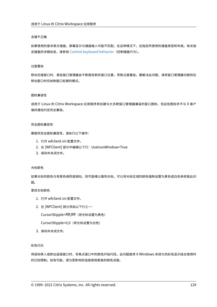#### 击键不正确

如果使用的是非英文键盘,屏幕显示与键盘输入可能不匹配。在这种情况下,应指定所使用的键盘类型和布局。有关指 定键盘的详细信息,请参阅 Control keyboard behavior(控制键盘行为)。

#### 过度重绘

移动无缝窗口时,某些窗口管理器会不断报告新的窗口位置,导致过度重绘。要解决此问题,请将窗口管理器切换到在 移动窗口时仅绘制窗口轮廓的模式。

#### 图标兼容性

适用于 Linux 的 Citrix Workspace 应用程序将创建与大多数窗口管理器兼容的窗口图标,但这些图标并不与 X 客户 端间通信约定完全兼容。

#### 完全图标兼容性

要提供完全图标兼容性,请执行以下操作:

- 1. 打开 wfclient.ini 配置文件。
- 2. 在 [WFClient] 部分中编辑以下行:UseIconWindow=True
- 3. 保存并关闭文件。

#### 光标颜色

如果光标的颜色与背景色相同或相似,则可能难以看到光标。可以将光标区域的颜色强制设置为黑色或白色来修复此问 题。

# 更改光标颜色

- 1. 打开 wfclient.ini 配置文件。
- 2. 在 [WFClient] 部分添加以下行之一:

CursorStipple=ffff,ffff(将光标设置为黑色)

CursorStipple=0,0 (将光标设置为白色)

3. 保存并关闭文件。

彩色闪光

将鼠标移入或移出连接窗口时,非焦点窗口中的颜色开始闪烁。此问题是将 X Windows 系统与伪彩色显示结合使用时 的已知限制。如有可能,请为受影响的连接使用更高的颜色深度。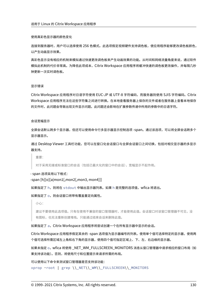#### 使用真彩色显示器的颜色变化

连接到服务器时,用户可以选择使用 256 色模式。此选项假定视频硬件支持调色板,使应用程序能够更改调色板颜色, 以产生动画显示效果。

真彩色显示没有相应的机制来模拟通过快速更改调色板来产生动画效果的功能。从时间和网络流量角度来说,通过软件 模拟此机制的代价非常高。为降低此项成本,Citrix Workspace 应用程序将缓冲快速的调色板更改操作,并每隔几秒 钟更新一次实时调色板。

#### 显示错误

Citrix Workspace 应用程序对日语字符使用 EUC‑JP 或 UTF‑8 字符编码,而服务器则使用 SJIS 字符编码。Citrix Workspace 应用程序无法在这些字符集之间进行转换。在本地查看服务器上保存的文件或者在服务器上查看本地保存 的文件时,此问题会导致出现文件显示问题。此问题还会影响在扩展参数传递中所用的参数中的日语字符。

#### 会话宽幅显示

全屏会话默认跨多个显示器,但还可以使用命令行多显示器显示控制选项 ‑span。通过该选项,可以将全屏会话跨多个 显示器显示。

通过 Desktop Viewer 工具栏功能,您可以在窗口化会话窗口与全屏会话窗口之间切换,包括对相交显示器的多显示 器支持。

重要:

对于采用无缝或标准窗口的会话(包括已最大化的窗口中的会话),宽幅显示不起作用。

‑ span 选项采用以下格式:

 $-$ span [h][o][a $|$ mon1[,mon2[,mon3, mon4]]]

如果指定了 h, 则将在 stdout 中输出显示器列表。如果 h 是完整的选项值, wfica 将退出。

如果指定了 o, 则会话窗口将带有覆盖重定向属性。

小心:

建议不要使用此选项值。只有在使用不兼容的窗口管理器时,才能使用此值。会话窗口对该窗口管理器不可见,没 有图标,也无法重新创建堆栈。只能通过结束会话来删除此值。

如果指定了 a,Citrix Workspace 应用程序将尝试创建一个在所有显示器中显示的会话。

Citrix Workspace 应用程序假定其余的 ‑span 选项值为显示器编号的列表。使用单个值可选择特定的显示器,使用两 个值可选择所需区域左上角和右下角的显示器,使用四个值可指定区域上、下、左、右边缘的显示器。

如果未指定 o, wfica 将使用 NET\_WM\_FULLSCREEN\_MONITORS 消息从窗口管理器中请求相应的窗口布局(如 果支持该功能)。否则,将使用尺寸和位置提示来请求所需的布局。

可以使用以下命令来测试窗口管理器是否支持该功能:

xprop -root | grep \\\_NET\\\_WM\\\_FULLSCREEN\\\_MONITORS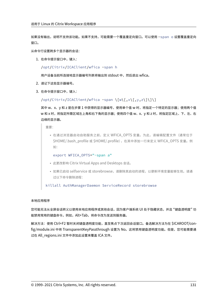如果没有输出,说明不支持该功能。如果不支持,可能需要一个覆盖重定向窗口。可以使用 -span o 设置覆盖重定向 窗口。

从命令行设置跨多个显示器的会话:

1. 在命令提示窗口中,键入:

/opt/Citrix/ICAClient/wfica -span h

用户设备当前所连接地显示器编号列表将输出到 stdout 中,然后退出 wfica。

- 2. 请记下这些显示器编号。
- 3. 在命令提示窗口中,键入:

/opt/Citrix/ICAClient/wfica -span \[w\[,x\[,y,z\]\]\]

其中 w、x、y 和 z 是在步骤 1 中获得的显示器编号,使用单个值 w 时,将指定一个特定的显示器;使用两个值 w 和 x 时,将指定所需区域左上角和右下角的显示器;使用四个值 w、x、y 和 z 时,将指定区域上、下、左、右 边缘的显示器。

重要:

• 在通过浏览器启动自助服务之前, 定义 WFICA OPTS 变量。为此, 请编辑配置文件 (通常位于 \$HOME/.bash\_profile 或 \$HOME/.profile),在其中添加一行来定义 WFICA\_OPTS 变量。例 如:

export WFICA\_OPTS="-span a"

- 此更改影响 Citrix Virtual Apps and Desktops 会话。
- 如果已启动 selfservice 或 storebrowse,请删除其启动的进程,以便新环境变量能够生效。请通 过以下命令删除进程:

killall AuthManagerDaemon ServiceRecord storebrowse

# 本地应用程序

您可能无法从全屏会话转义以使用本地应用程序或其他会话,因为客户端系统 UI 处于隐藏状态,并且 "键盘透明度" 功 能禁用常用的键盘命令。例如,Alt+Tab,将命令改为发送到服务器。

解决方法:使用 Ctrl+F2 暂时关闭键盘透明度功能,直至焦点下次返回会话窗口。备选解决方法为在 \$ICAROOT/config/module.ini 中将 TransparentKeyPassthrough 设置为 No。这将禁用键盘透明度功能。但是,您可能需要通 过在 All\_regions.ini 文件中添加此设置来覆盖 ICA 文件。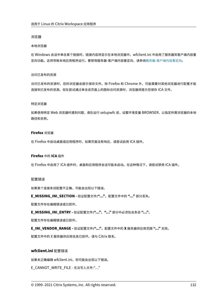#### 浏览器

#### 本地浏览器

在 Windows 会话中单击某个链接时,链接内容将显示在本地浏览器中。wfclient.ini 中启用了服务器到客户端内容重 定向功能。这将导致本地应用程序运行。要禁用服务器‑客户端内容重定向,请参阅服务器‑客户端内容重定向。

#### 访问已发布的资源

访问已发布的资源时,您的浏览器会提示保存文件。除 Firefox 和 Chrome 外,可能需要对其他浏览器进行配置才能 连接到已发布的资源。但在尝试通过单击该页面上的图标访问资源时,浏览器将提示您保存 ICA 文件。

#### 特定浏览器

如果使用特定 Web 浏览器时遇到问题,请在运行 setupwfc 前,设置环境变量 BROWSER,以指定所需浏览器的本地 路径和名称。

#### **Firefox** 浏览器

在 Firefox 中启动桌面或应用程序时,如果页面没有响应,请尝试启用 ICA 插件。

#### **Firefox** 中的 **ICA** 插件

在 Firefox 中启用了 ICA 插件时,桌面和应用程序会话可能未启动。在这种情况下,请尝试禁用 ICA 插件。

#### 配置错误

如果某个连接条目配置不正确,可能会出现以下错误。

**E\_MISSING\_INI\_SECTION ‑** 验证配置文件**:"…"**。配置文件中的 **"…"** 部分丢失。

配置文件存在编辑错误或已损坏。

**E\_MISSING\_INI\_ENTRY ‑** 验证配置文件**:"…"**。**"…"** 部分中必须包含条目 **"…"**。

配置文件存在编辑错误或已损坏。

**E\_INI\_VENDOR\_RANGE ‑** 验证配置文件**:"…"**。配置文件中的 **X** 服务器供应商范围 **"…"** 无效。

配置文件中的 X 服务器供应商信息已损坏。请与 Citrix 联系。

# **wfclient.ini** 配置错误

如果未正确编辑 wfclient.ini, 则可能会出现以下错误。

E\_CANNOT\_WRITE\_FILE ‑ 无法写入文件:"…"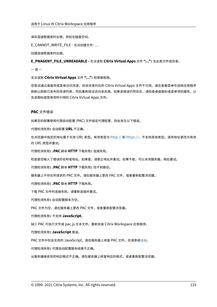保存连接数据库时出错;例如无磁盘空间。

E\_CANNOT\_WRITE\_FILE - 无法创建文件: ...

创建连接数据库时出错。

**E\_PNAGENT\_FILE\_UNREADABLE ‑** 无法读取 **Citrix Virtual Apps** 文件 **"…":** 无此类文件或目录。

 $-\n$ 或 $-$ 

无法读取 **Citrix Virtual Apps** 文件 **"…":** 权限被拒绝。

您尝试通过桌面项或菜单访问资源,但该资源对应的 Citrix Virtual Apps 文件不可用。请在查看菜单中选择应用程序 刷新以刷新已发布的资源列表,然后重新尝试访问该资源。如果该错误仍然存在,请检查桌面图标或菜单项的属性,以 及该图标或菜单项所引用的 Citrix Virtual Apps 文件。

## **PAC** 文件错误

如果您的部署使用代理自动配置 (PAC) 文件指定代理配置,则会发生以下错误。

代理检测失败**:** 自动配置 **URL** 不正确。

在浏览器中指定的地址属于无效 URL 类型。有效类型为 http:// 和 https://,不支持其他类型。请将地址更改为有效 的 URL 类型并重试。

代理检测失败**: .PAC** 脚本 **HTTP** 下载失败**:** 连接失败。

检查是否输入了错误的名称或地址。如果是,请更正地址[并重试。](http://)如[果不是,可](https://)以关闭服务器。稍后重试。

代理检测失败**: .PAC** 脚本 **HTTP** 下载失败**:** 找不到路径。

服务器上不存在所请求的 PAC 文件。请在服务器上更改 PAC 文件,或者重新配置浏览器。

代理检测失败**: .PAC** 脚本 **HTTP** 下载失败。

下载 PAC 文件时连接失败。请重新连接并重试。

代理检测失败**:** 自动配置脚本为空。

PAC 文件为空。请在服务器上更改 PAC 文件,或者重新配置浏览器。

#### 代理检测失败**:** 不支持 **JavaScript**。

缺少 PAC 可执行文件或 pac.js 文本文件。重新安装 Citrix Workspace 应用程序。

#### 代理检测失败**: JavaScript** 错误。

PAC 文件中包含无效的 JavaScript。请在服务器上修复 PAC 文件。另请参阅连接。

代理检测失败**:** 代理自动配置脚本结果不正确。

从服务器接收到的响应格式不正确。请在服务器上修复响应的格式,或者重新[配置浏](https://docs.citrix.com/zh-cn/citrix-workspace-app-for-linux/troubleshooting.html)览器。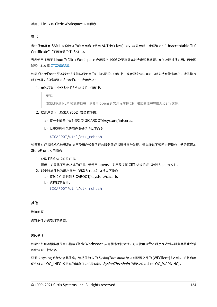#### 证书

当您使用具有 SAML 身份验证的应用商店(使用 AUTHv3 协议)时,将显示以下错误消息: "Unacceptable TLS Certificate"(不可接受的 TLS 证书)。

当您使用适用于 Linux 的 Citrix Workspace 应用程序 1906 及更高版本时会出现此问题。有关故障排除说明,请参阅 知识中心文章 CTX260336。

如果 StoreFront 服务器无法提供与所使用的证书匹配的中间证书,或者要安装中间证书以支持智能卡用户,请先执行 以下步骤,然后再添加 StoreFront 应用商店:

1. 单独获[取一个或多个](https://support.citrix.com/article/CTX260336) PEM 格式的中间证书。

提示:

如果找不到 PEM 格式的证书,请使用 openssl 实用程序将 CRT 格式的证书转换为.pem 文件。

- 2. 以用户身份(通常为 root)安装软件包:
	- a) 将一个或多个文件复制到 \$ICAROOT/keystore/intcerts。
	- b) 以安装软件包的用户身份运行以下命令:

\$ICAROOT/util/ctx\_rehash

如果要对证书颁发机构颁发的尚不受用户设备信任的服务器证书进行身份验证,请先按以下说明进行操作,然后再添加 StoreFront 应用商店:

1. 获取 PEM 格式的根证书。

提示:如果找不到此格式的证书,请使用 openssl 实用程序将 CRT 格式的证书转换为.pem 文件。

- 2. 以安装软件包的用户身份(通常为 root)执行以下操作:
	- a) 将该文件复制到 \$ICAROOT/keystore/cacerts。
	- b) 运行以下命令:
		- \$ICAROOT/util/ctx\_rehash

其他

连接问题

您可能还会遇到以下问题。

关闭会话

如果您想知道服务器是否已指示 Citrix Workspace 应用程序关闭会话,可以使用 *wfica* 程序在收到从服务器终止会话 的命令时进行记录。

要通过 syslog 系统记录此信息,请将值为 6 的 *SyslogThreshold* 添加到配置文件的 [WFClient] 部分中。这将启用 优先级为 LOG\_INFO 或更高的消息日志记录功能。*SyslogThreshold* 的默认值为 4 (=LOG\_WARNING)。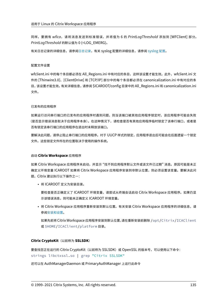同样,要拥有 *wfica*,请将消息发送到标准错误,并将值为 6 的 *PrintLogThreshold* 添加到 [WFClient] 部分。 *PrintLogThreshold* 的默认值为 0 (=LOG\_EMERG)。

有关日志记录的详细信息,请参阅日志记录,有关 syslog 配置的详细信息,请参阅 syslog 配置。

#### 配置文件设置

wfclient.ini 中的每个条目都必须在 All\_Regions.ini 中有对应的条目,这样该设置才能生效。此外,wfclient.ini 文 件的 [Thinwire3.0]、[ClientDrive] 和 [TCP/IP] 部分中的每个条目都必须在 canonicalization.ini 中有对应的条 目,该设置才能生效。 有关详细信息,请参阅 \$ICAROOT/config 目录中的 All\_Regions.ini 和 canonicalization.ini 文件。

#### 已发布的应用程序

如果运行访问串行端口的已发布的应用程序时遇到问题,则当该端口被其他应用程序锁定时,该应用程序可能会失败 (是否显示错误消息取决于应用程序本身)。在这种情况下,请检查是否有其他应用程序临时锁定了该串行端口,或者是 否有锁定该串行端口的应用程序在退出时未释放该端口。

要解决此问题,请停止阻止串行端口的应用程序。对于 UUCP 样式的锁定,应用程序退出后可能会在后面遗留一个锁定 文件。这些锁定文件所在的位置取决于使用的操作系统。

#### 启动 **Citrix Workspace** 应用程序

如果 Citrix Workspace 应用程序未启动,并显示 "找不到应用程序默认文件或该文件已过期" 消息。原因可能是未正 确定义环境变量 ICAROOT 如果将 Citrix Workspace 应用程序安装到非默认位置, 则必须设置该变量。要解决此问 题,Citrix 建议执行以下操作之一:

• 将 ICAROOT 定义为安装目录。

要检查是否正确定义了 ICAROOT 环境变量,请尝试从终端会话启动 Citrix Workspace 应用程序。如果仍显 示该错误消息,则可能未正确定义 ICAROOT 环境变量。

• 将 Citrix Workspace 应用程序重新安装到默认位置。有关安装 Citrix Workspace 应用程序的详细信息,请 参阅安装和设置。

如果先前将 Citrix Workspace 应用程序安装到默认位置,请在重新安装前删除 /opt/Citrix/ICAClient 或 \$[HOME/ICA](https://docs.citrix.com/zh-cn/citrix-workspace-app-for-linux/install.html)Client/platform 目录。

# **Citrix CryptoKit**(以前称为 **SSLSDK**)

要查找您正在运行的 Citrix CryptoKit(以前称为 SSLSDK)或 OpenSSL 的版本号,可以使用以下命令: strings libctxssl.so | grep "Citrix SSLSDK"

还可以在 AuthManagerDaemon 或 PrimaryAuthManager 上运行此命令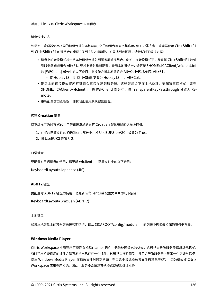# 键盘快捷方式

如果窗口管理器使用相同的键组合提供本机功能,您的键组合可能不起作用。例如,KDE 窗口管理器使用 Ctrl+Shift+F1 到 Ctrl+Shift+F4 的键组合在桌面 13 到 16 之间切换。如果遇到此问题,请尝试以下解决方案:

- 键盘上的转换模式将一组本地键组合映射到服务器端键组合。例如,在转换模式下,默认将 Ctrl+Shift+F1 映射 到服务器端键组合 Alt+F1。要将此映射重新配置为备用本地键组合,请更新 \$HOME/.ICAClient/wfclient.ini 的 [WFClient] 部分中的以下条目:此操作会将本地键组合 Alt+Ctrl+F1 映射到 Alt+F1:
	- **–** 将 Hotkey1Shift=Ctrl+Shift 更改为 Hotkey1Shift=Alt+Ctrl。
- 键盘上的直接模式将所有键组合直接发送到服务器。这些键组合不在本地处理。要配置直接模式,请在 \$HOME/.ICAClient/wfclient.ini 的 [WFClient] 部分中, 将 TransparentKeyPassthrough 设置为 Remote。
- 重新配置窗口管理器,使其阻止使用默认键盘组合。

# 远程 **Croatian** 键盘

以下过程可确保将 ASCII 字符正确发送到具有 Croatian 键盘布局的远程虚拟机。

- 1. 在相应配置文件的 WFClient 部分中,将 UseEUKSforASCII 设置为 True。
- 2. 将 UseEUKS 设置为 2。

# 日语键盘

要配置对日语键盘的使用,请更新 wfclient.ini 配置文件中的以下条目:

KeyboardLayout=Japanese (JIS)

# **ABNT2** 键盘

要配置对 ABNT2 键盘的使用,请更新 wfclient.ini 配置文件中的以下条目:

KeyboardLayout=Brazilian (ABNT2)

# 本地键盘

如果本地键盘上的某些键未按预期运行,请从 \$ICAROOT/config/module.ini 的列表中选择最相配的服务器布局。

# **Windows Media Player**

Citrix Workspace 应用程序可能没有 GStreamer 插件,无法处理请求的格式。这通常会导致服务器请求其他格式。 有时首次检查适用的插件会错误地指出已存在一个插件。这通常会被检测到,并且会导致服务器上显示一个错误对话框, 指出 Windows Media Player 在播放文件时遇到问题。在会话中尝试播放该文件通常能够成功,因为格式被 Citrix Workspace 应用程序拒绝。因此,服务器会请求其他格式或呈现媒体本身。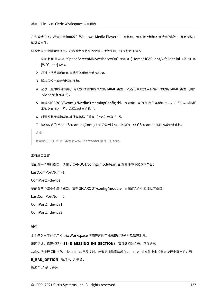在少数情况下,尽管进度指示器在 Windows Media Player 中正常移动,但实际上检测不到恰当的插件,并且无法正 确播放文件。

要避免显示此错误对话框,或者避免在将来的会话中播放失败,请执行以下操作:

- 1. 临时将配置选项"SpeedScreenMMAVerbose=On"添加到 \$Home/.ICAClient/wfclient.ini(举例)的 [WFClient] 部分。
- 2. 通过已从终端启动的自助服务重新启动 wfica。
- 3. 播放导致出现此错误的视频。
- 4. 记录(在跟踪输出中)与缺失插件跟踪关联的 MIME 类型,或者记录应受支持但不播放的 MIME 类型(例如 "video/x‑h264..")。
- 5. 编辑 \$ICAROOT/config/MediaStreamingConfig.tbl。在包含记录的 MIME 类型的行中, 在":" 与 MIME 类型之间插入 "?"。这样将禁用该格式。
- 6. 对引发此错误情况的其他媒体格式重复(上述)步骤 2 5。
- 7. 将修改后的 MediaStreamingConfig.tbl 分发到安装了相同的一组 GStreamer 插件的其他计算机。

注意:

也可以在识别 MIME 类型后安装 GStreamer 插件进行解码。

# 串行端口设置

要配置一个串行端口,请在 \$ICAROOT/config/module.ini 配置文件中添加以下条目:

LastComPortNum=1

ComPort1=device

要配置两个或多个串行端口,请在 \$ICAROOT/config/module.ini 配置文件中添加以下条目:

LastComPortNum=2

ComPort1=device1

ComPort2=device2

错误

本主题列出了在使用 Citrix Workspace 应用程序时可能出现的其他常见错误消息。

出现错误。错误代码为 **11 (E\_MISSING\_INI\_SECTION)**。请参阅相关文档。正在退出。

从命令行运行 Citrix Workspace 应用程序时,此消息通常意味着在 appsrv.ini 文件中未找到命令行中指定的说明。

# **E\_BAD\_OPTION ‑** 选项 **"…"** 无效。

选项 "…" 缺少参数。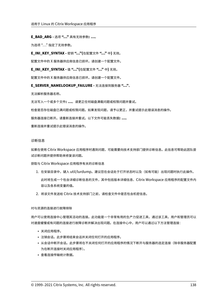# **E\_BAD\_ARG ‑** 选项 **"…"** 具有无效参数**: …**。

为选项 "…" 指定了无效参数。

**E\_INI\_KEY\_SYNTAX ‑** 密钥 **"…"(**在配置文件 **"…"** 中**)** 无效。

配置文件中的 X 服务器供应商信息已损坏。请创建一个配置文件。

**E\_INI\_KEY\_SYNTAX ‑** 值 **"…"(**在配置文件 **"…"** 中**)** 无效。

配置文件中的 X 服务器供应商信息已损坏。请创建一个配置文件。

**E\_SERVER\_NAMELOOKUP\_FAILURE ‑** 无法连接到服务器 **"…"**。

无法解析服务器名称。

无法写入一个或多个文件**: …**。请更正任何磁盘满载问题或权限问题并重试。

检查是否存在磁盘已满问题或权限问题。如果发现问题,请予以更正,并重试提示此错误消息的操作。

服务器连接已断开。请重新连接并重试。以下文件可能丢失数据**: …**。

重新连接并重试提示此错误消息的操作。

# 诊断信息

如果在使用 Citrix Workspace 应用程序时遇到问题,可能需要向技术支持部门提供诊断信息。此信息可帮助此团队尝 试诊断问题并提供帮助来修复该问题。

获取与 Citrix Workspace 应用程序有关的诊断信息

- 1. 在安装目录中,键入 util/lurdump。建议您在会话处于打开状态时以及(如有可能)出现问题时执行此操作。 此时将生成一个包含详细诊断信息的文件,其中包括版本详细信息、Citrix Workspace 应用程序的配置文件内 容以及各系统变量的值。
- 2. 将该文件发送给 Citrix 技术支持部门之前,请检查文件中是否包含机密信息。

# 对与资源的连接进行故障排除

用户可以使用连接中心管理其活动的连接。此功能是一个非常有用的生产力促进工具,通过该工具,用户和管理员可以 对速度缓慢或有问题的连接进行故障诊断并解决出现问题。在连接中心中,用户可以通过以下方法管理连接:

- 关闭应用程序。
- 注销会话。此步骤将结束会话并关闭任何打开的应用程序。
- 从会话中断开会话。此步骤将在不关闭任何打开的应用程序的情况下断开与服务器的选定连接(除非服务器配置 为在断开连接时关闭应用程序)。
- 查看连接传输统计数据。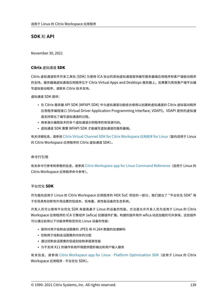# **SDK** 和 **API**

November 30, 2021

# **Citrix** 虚拟通道 **SDK**

Citrix 虚拟通道软件开发工具包 (SDK) 为使用 ICA 协议的其他虚拟通道提供编写服务器端应用程序和客户端驱动程序 的支持。服务器端虚拟通道应用程序位于 Citrix Virtual Apps and Desktops 服务器上。如果要为其他客户端平台编 写虚拟驱动程序,请联系 Citrix 技术支持。

虚拟通道 SDK 提供:

- 在 Citrix 服务器 API SDK (WFAPI SDK) 中与虚拟通道功能结合使用以创建新虚拟通道的 Citrix 虚拟驱动程序 应用程序编程接口 (Virtual Driver Application Programming Interface, VDAPI)。VDAPI 提供的虚拟通 道支持简化了编写虚拟通道的过程。
- 用来演示编程技术的多个虚拟通道示例程序的有效源代码。
- 虚拟通道 SDK 需要 WFAPI SDK 才能编写虚拟通道的服务器端。

有关详细信息,请参阅 Citrix Virtual Channel SDK for Citrix Workspace 应用程序 for Linux(面向适用于 Linux 的 Citrix Workspace 应用程序的 Citrix 虚拟通道 SDK)。

# 命令行引用

有关命令行参考和参数的信息,请参阅 Citrix Workspace app for Linux Command Reference(适用于 Linux 的 Citrix Workspace 应用程序命令参考)。

# 平台优化 **SDK**

作为面向适用于 Linux 的 Citrix Workspace 应用程序的 HDX SoC 项目的一部分,我们提出了 "平台优化 SDK" 用 于实现具有创新性外观设置的低成本、低电量、高性能设备的生态系统。

开发人员可以使用平台优化 SDK 来提高基于 Linux 的设备的性能,方法是允许开发人员为适用于 Linux 的 Citrix Workspace 应用程序的 ICA 引擎组件 (wfica) 创建插件扩展。构建的插件用作 wfica 动态加载的可共享库。这些插件 可以通过启用以下功能来帮助您优化 Linux 设备的性能:

- 提供对用于绘制会话图像的 JPEG 和 H.264 数据的加速解码
- 控制用于绘制会话图像的内存的分配
- 通过控制会话图像的低级别绘制来提高性能
- 为不支持 X11 的操作系统环境提供图形输出和用户输入服务

有关信息,请参阅 Citrix Workspace app for Linux ‑ Platform Optimization SDK(适用于 Linux 的 Citrix Workspace 应用程序 ‑ 平台优化 SDK)。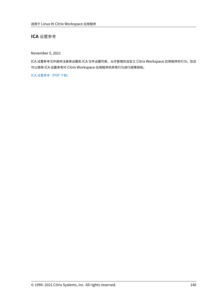**ICA** 设置参考

November 5, 2021

ICA 设置参考文件提供注册表设置和 ICA 文件设置列表,允许管理员自定义 Citrix Workspace 应用程序的行为。您还 可以使用 ICA 设置参考对 Citrix Workspace 应用程序的异常行为进行故障排除。

ICA 设置参考(PDF 下载)